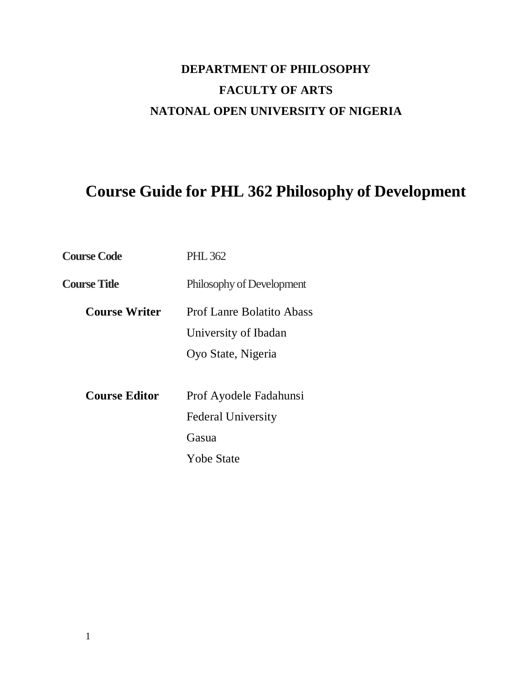# **DEPARTMENT OF PHILOSOPHY FACULTY OF ARTS NATONAL OPEN UNIVERSITY OF NIGERIA**

# **Course Guide for PHL 362 Philosophy of Development**

| <b>Course Code</b>   | <b>PHL 362</b>                   |
|----------------------|----------------------------------|
| <b>Course Title</b>  | Philosophy of Development        |
| <b>Course Writer</b> | <b>Prof Lanre Bolatito Abass</b> |
|                      | University of Ibadan             |
|                      | Oyo State, Nigeria               |
|                      |                                  |
| <b>Course Editor</b> | Prof Ayodele Fadahunsi           |
|                      | <b>Federal University</b>        |
|                      | Gasua                            |
|                      | <b>Yobe State</b>                |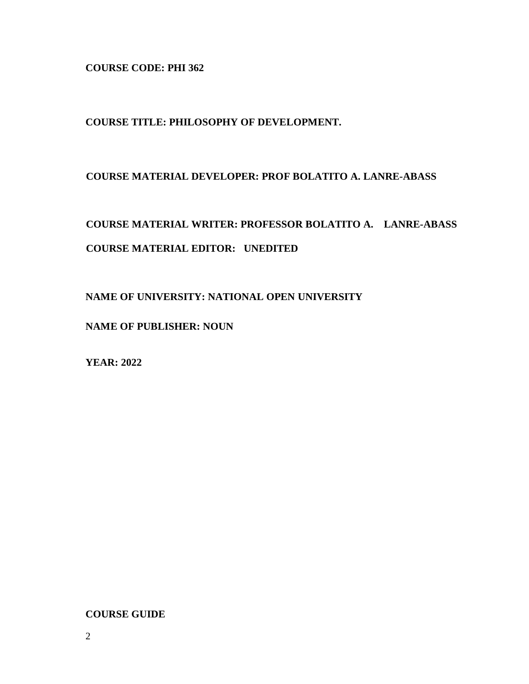**COURSE CODE: PHI 362** 

**COURSE TITLE: PHILOSOPHY OF DEVELOPMENT.** 

**COURSE MATERIAL DEVELOPER: PROF BOLATITO A. LANRE-ABASS** 

**COURSE MATERIAL WRITER: PROFESSOR BOLATITO A. LANRE-ABASS COURSE MATERIAL EDITOR: UNEDITED** 

**NAME OF UNIVERSITY: NATIONAL OPEN UNIVERSITY** 

**NAME OF PUBLISHER: NOUN** 

**YEAR: 2022** 

**COURSE GUIDE**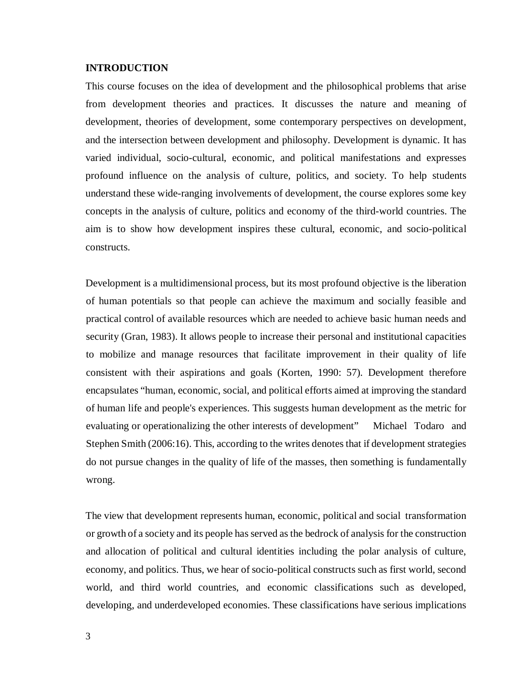#### **INTRODUCTION**

This course focuses on the idea of development and the philosophical problems that arise from development theories and practices. It discusses the nature and meaning of development, theories of development, some contemporary perspectives on development, and the intersection between development and philosophy. Development is dynamic. It has varied individual, socio-cultural, economic, and political manifestations and expresses profound influence on the analysis of culture, politics, and society. To help students understand these wide-ranging involvements of development, the course explores some key concepts in the analysis of culture, politics and economy of the third-world countries. The aim is to show how development inspires these cultural, economic, and socio-political constructs.

Development is a multidimensional process, but its most profound objective is the liberation of human potentials so that people can achieve the maximum and socially feasible and practical control of available resources which are needed to achieve basic human needs and security (Gran, 1983). It allows people to increase their personal and institutional capacities to mobilize and manage resources that facilitate improvement in their quality of life consistent with their aspirations and goals (Korten, 1990: 57). Development therefore encapsulates "human, economic, social, and political efforts aimed at improving the standard of human life and people's experiences. This suggests human development as the metric for evaluating or operationalizing the other interests of development" Michael Todaro and Stephen Smith (2006:16). This, according to the writes denotes that if development strategies do not pursue changes in the quality of life of the masses, then something is fundamentally wrong.

The view that development represents human, economic, political and social transformation or growth of a society and its people has served as the bedrock of analysis for the construction and allocation of political and cultural identities including the polar analysis of culture, economy, and politics. Thus, we hear of socio-political constructs such as first world, second world, and third world countries, and economic classifications such as developed, developing, and underdeveloped economies. These classifications have serious implications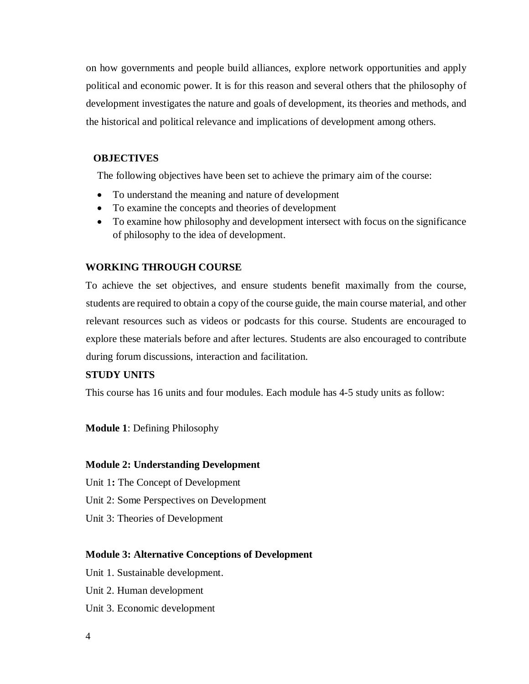on how governments and people build alliances, explore network opportunities and apply political and economic power. It is for this reason and several others that the philosophy of development investigates the nature and goals of development, its theories and methods, and the historical and political relevance and implications of development among others.

# **OBJECTIVES**

The following objectives have been set to achieve the primary aim of the course:

- To understand the meaning and nature of development
- To examine the concepts and theories of development
- To examine how philosophy and development intersect with focus on the significance of philosophy to the idea of development.

# **WORKING THROUGH COURSE**

To achieve the set objectives, and ensure students benefit maximally from the course, students are required to obtain a copy of the course guide, the main course material, and other relevant resources such as videos or podcasts for this course. Students are encouraged to explore these materials before and after lectures. Students are also encouraged to contribute during forum discussions, interaction and facilitation.

# **STUDY UNITS**

This course has 16 units and four modules. Each module has 4-5 study units as follow:

**Module 1**: Defining Philosophy

# **Module 2: Understanding Development**

Unit 1**:** The Concept of Development

- Unit 2: Some Perspectives on Development
- Unit 3: Theories of Development

# **Module 3: Alternative Conceptions of Development**

Unit 1. Sustainable development.

- Unit 2. Human development
- Unit 3. Economic development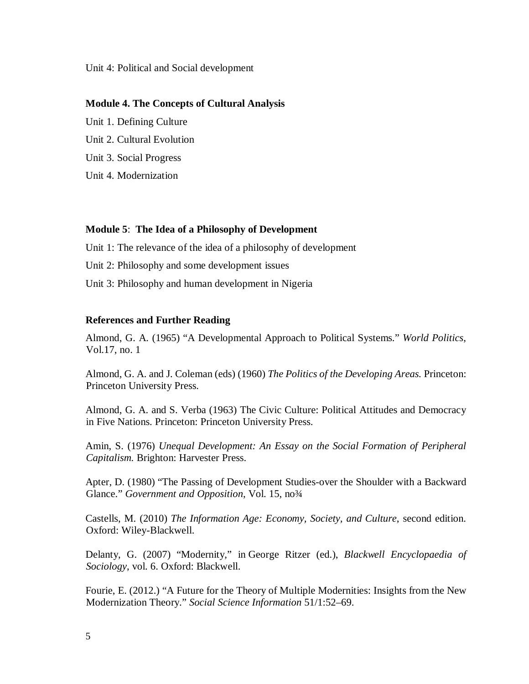#### Unit 4: Political and Social development

#### **Module 4. The Concepts of Cultural Analysis**

Unit 1. Defining Culture Unit 2. Cultural Evolution Unit 3. Social Progress Unit 4. Modernization

## **Module 5**: **The Idea of a Philosophy of Development**

Unit 1: The relevance of the idea of a philosophy of development

Unit 2: Philosophy and some development issues

Unit 3: Philosophy and human development in Nigeria

## **References and Further Reading**

Almond, G. A. (1965) "A Developmental Approach to Political Systems." *World Politics*, Vol.17, no. 1

Almond, G. A. and J. Coleman (eds) (1960) *The Politics of the Developing Areas.* Princeton: Princeton University Press.

Almond, G. A. and S. Verba (1963) The Civic Culture: Political Attitudes and Democracy in Five Nations. Princeton: Princeton University Press.

Amin, S. (1976) *Unequal Development: An Essay on the Social Formation of Peripheral Capitalism.* Brighton: Harvester Press.

Apter, D. (1980) "The Passing of Development Studies-over the Shoulder with a Backward Glance." *Government and Opposition*, Vol. 15, no<sup>3</sup>/4

Castells, M. (2010) *The Information Age: Economy, Society, and Culture*, second edition. Oxford: Wiley-Blackwell.

Delanty, G. (2007) "Modernity," in George Ritzer (ed.), *Blackwell Encyclopaedia of Sociology*, vol. 6. Oxford: Blackwell.

Fourie, E. (2012.) "A Future for the Theory of Multiple Modernities: Insights from the New Modernization Theory." *Social Science Information* 51/1:52–69.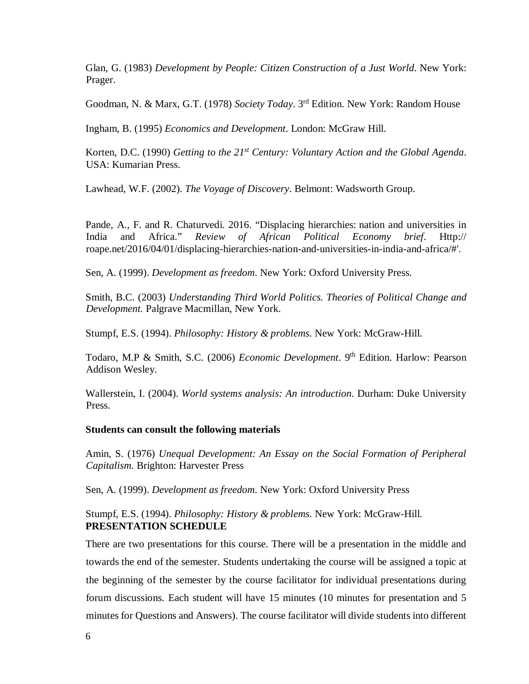Glan, G. (1983) *Development by People: Citizen Construction of a Just World*. New York: Prager.

Goodman, N. & Marx, G.T. (1978) *Society Today*. 3rd Edition. New York: Random House

Ingham, B. (1995) *Economics and Development*. London: McGraw Hill.

Korten, D.C. (1990) *Getting to the 21st Century: Voluntary Action and the Global Agenda*. USA: Kumarian Press.

Lawhead, W.F. (2002). *The Voyage of Discovery*. Belmont: Wadsworth Group.

Pande, A., F. and R. Chaturvedi. 2016. "Displacing hierarchies: nation and universities in India and Africa." *Review of African Political Economy brief*. Http:// roape.net/2016/04/01/displacing-hierarchies-nation-and-universities-in-india-and-africa/#'.

Sen, A. (1999). *Development as freedom*. New York: Oxford University Press.

Smith, B.C. (2003) *Understanding Third World Politics. Theories of Political Change and Development.* Palgrave Macmillan, New York.

Stumpf, E.S. (1994). *Philosophy: History & problems*. New York: McGraw-Hill.

Todaro, M.P & Smith, S.C. (2006) *Economic Development*. 9th Edition. Harlow: Pearson Addison Wesley.

Wallerstein, I. (2004). *World systems analysis: An introduction*. Durham: Duke University Press.

## **Students can consult the following materials**

Amin, S. (1976) *Unequal Development: An Essay on the Social Formation of Peripheral Capitalism.* Brighton: Harvester Press

Sen, A. (1999). *Development as freedom*. New York: Oxford University Press

# Stumpf, E.S. (1994). *Philosophy: History & problems*. New York: McGraw-Hill. **PRESENTATION SCHEDULE**

There are two presentations for this course. There will be a presentation in the middle and towards the end of the semester. Students undertaking the course will be assigned a topic at the beginning of the semester by the course facilitator for individual presentations during forum discussions. Each student will have 15 minutes (10 minutes for presentation and 5 minutes for Questions and Answers). The course facilitator will divide students into different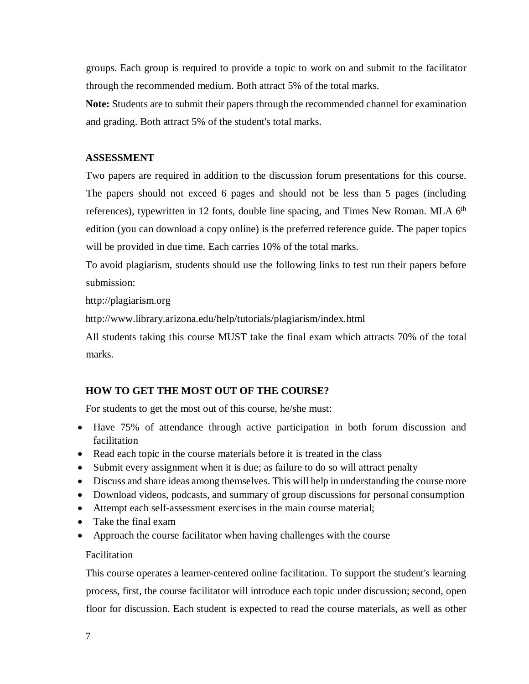groups. Each group is required to provide a topic to work on and submit to the facilitator through the recommended medium. Both attract 5% of the total marks.

**Note:** Students are to submit their papers through the recommended channel for examination and grading. Both attract 5% of the student's total marks.

## **ASSESSMENT**

Two papers are required in addition to the discussion forum presentations for this course. The papers should not exceed 6 pages and should not be less than 5 pages (including references), typewritten in 12 fonts, double line spacing, and Times New Roman. MLA  $6<sup>th</sup>$ edition (you can download a copy online) is the preferred reference guide. The paper topics will be provided in due time. Each carries 10% of the total marks.

To avoid plagiarism, students should use the following links to test run their papers before submission:

http://plagiarism.org

http://www.library.arizona.edu/help/tutorials/plagiarism/index.html

All students taking this course MUST take the final exam which attracts 70% of the total marks.

# **HOW TO GET THE MOST OUT OF THE COURSE?**

For students to get the most out of this course, he/she must:

- Have 75% of attendance through active participation in both forum discussion and facilitation
- Read each topic in the course materials before it is treated in the class
- Submit every assignment when it is due; as failure to do so will attract penalty
- Discuss and share ideas among themselves. This will help in understanding the course more
- Download videos, podcasts, and summary of group discussions for personal consumption
- Attempt each self-assessment exercises in the main course material;
- Take the final exam
- Approach the course facilitator when having challenges with the course

# Facilitation

This course operates a learner-centered online facilitation. To support the student's learning process, first, the course facilitator will introduce each topic under discussion; second, open floor for discussion. Each student is expected to read the course materials, as well as other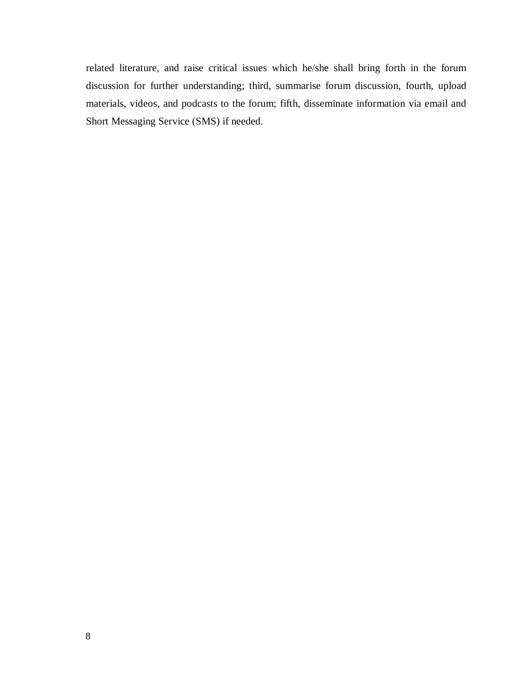related literature, and raise critical issues which he/she shall bring forth in the forum discussion for further understanding; third, summarise forum discussion, fourth, upload materials, videos, and podcasts to the forum; fifth, disseminate information via email and Short Messaging Service (SMS) if needed.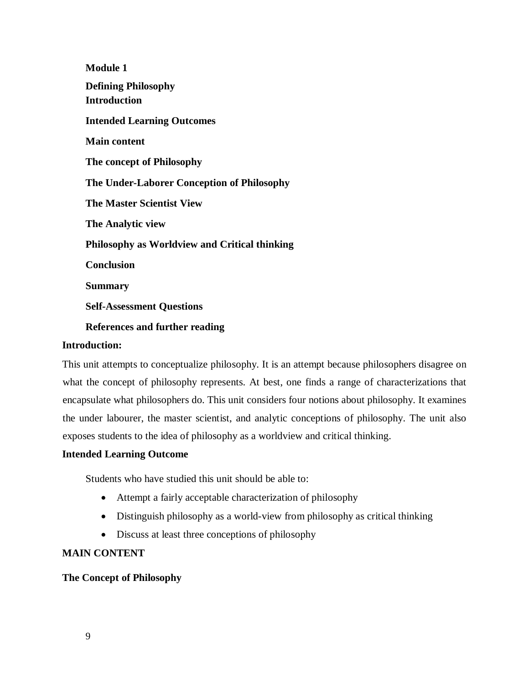**Module 1 Defining Philosophy Introduction Intended Learning Outcomes Main content The concept of Philosophy The Under-Laborer Conception of Philosophy The Master Scientist View The Analytic view Philosophy as Worldview and Critical thinking Conclusion Summary Self-Assessment Questions References and further reading** 

## **Introduction:**

This unit attempts to conceptualize philosophy. It is an attempt because philosophers disagree on what the concept of philosophy represents. At best, one finds a range of characterizations that encapsulate what philosophers do. This unit considers four notions about philosophy. It examines the under labourer, the master scientist, and analytic conceptions of philosophy. The unit also exposes students to the idea of philosophy as a worldview and critical thinking.

# **Intended Learning Outcome**

Students who have studied this unit should be able to:

- Attempt a fairly acceptable characterization of philosophy
- Distinguish philosophy as a world-view from philosophy as critical thinking
- Discuss at least three conceptions of philosophy

# **MAIN CONTENT**

# **The Concept of Philosophy**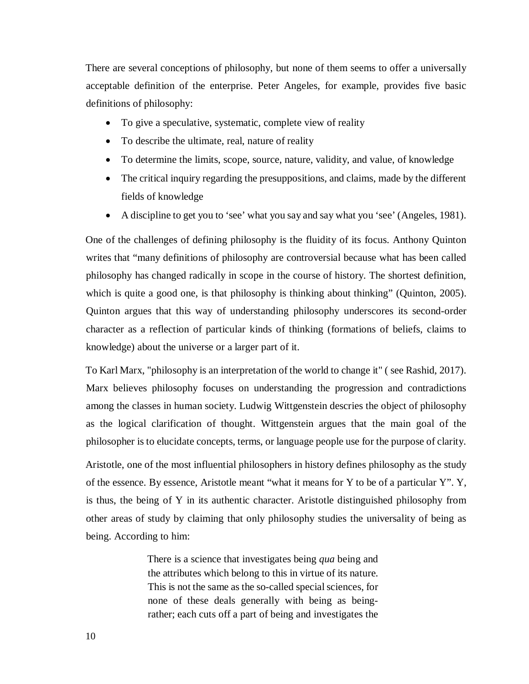There are several conceptions of philosophy, but none of them seems to offer a universally acceptable definition of the enterprise. Peter Angeles, for example, provides five basic definitions of philosophy:

- To give a speculative, systematic, complete view of reality
- To describe the ultimate, real, nature of reality
- To determine the limits, scope, source, nature, validity, and value, of knowledge
- The critical inquiry regarding the presuppositions, and claims, made by the different fields of knowledge
- A discipline to get you to 'see' what you say and say what you 'see' (Angeles, 1981).

One of the challenges of defining philosophy is the fluidity of its focus. Anthony Quinton writes that "many definitions of philosophy are controversial because what has been called philosophy has changed radically in scope in the course of history. The shortest definition, which is quite a good one, is that philosophy is thinking about thinking" (Quinton, 2005). Quinton argues that this way of understanding philosophy underscores its second-order character as a reflection of particular kinds of thinking (formations of beliefs, claims to knowledge) about the universe or a larger part of it.

To Karl Marx, "philosophy is an interpretation of the world to change it" ( see Rashid, 2017). Marx believes philosophy focuses on understanding the progression and contradictions among the classes in human society. Ludwig Wittgenstein descries the object of philosophy as the logical clarification of thought. Wittgenstein argues that the main goal of the philosopher is to elucidate concepts, terms, or language people use for the purpose of clarity.

Aristotle, one of the most influential philosophers in history defines philosophy as the study of the essence. By essence, Aristotle meant "what it means for Y to be of a particular Y". Y, is thus, the being of Y in its authentic character. Aristotle distinguished philosophy from other areas of study by claiming that only philosophy studies the universality of being as being. According to him:

> There is a science that investigates being *qua* being and the attributes which belong to this in virtue of its nature. This is not the same as the so-called special sciences, for none of these deals generally with being as beingrather; each cuts off a part of being and investigates the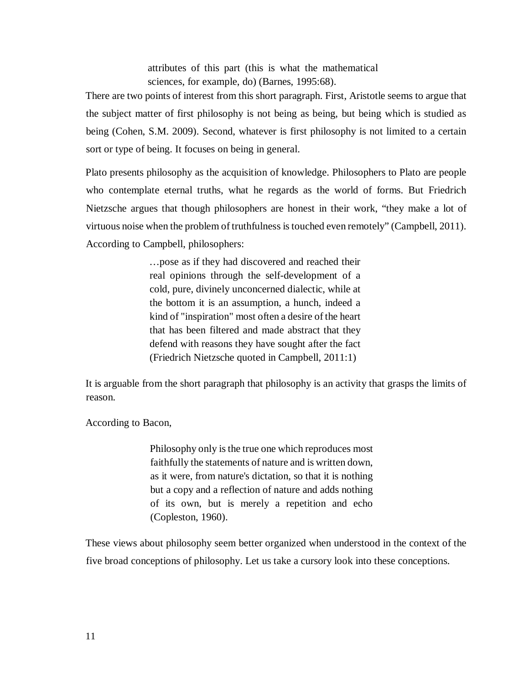attributes of this part (this is what the mathematical sciences, for example, do) (Barnes, 1995:68).

There are two points of interest from this short paragraph. First, Aristotle seems to argue that the subject matter of first philosophy is not being as being, but being which is studied as being (Cohen, S.M. 2009). Second, whatever is first philosophy is not limited to a certain sort or type of being. It focuses on being in general.

Plato presents philosophy as the acquisition of knowledge. Philosophers to Plato are people who contemplate eternal truths, what he regards as the world of forms. But Friedrich Nietzsche argues that though philosophers are honest in their work, "they make a lot of virtuous noise when the problem of truthfulness is touched even remotely" (Campbell, 2011). According to Campbell, philosophers:

> …pose as if they had discovered and reached their real opinions through the self-development of a cold, pure, divinely unconcerned dialectic, while at the bottom it is an assumption, a hunch, indeed a kind of "inspiration" most often a desire of the heart that has been filtered and made abstract that they defend with reasons they have sought after the fact (Friedrich Nietzsche quoted in Campbell, 2011:1)

It is arguable from the short paragraph that philosophy is an activity that grasps the limits of reason.

According to Bacon,

Philosophy only is the true one which reproduces most faithfully the statements of nature and is written down, as it were, from nature's dictation, so that it is nothing but a copy and a reflection of nature and adds nothing of its own, but is merely a repetition and echo (Copleston, 1960).

These views about philosophy seem better organized when understood in the context of the five broad conceptions of philosophy. Let us take a cursory look into these conceptions.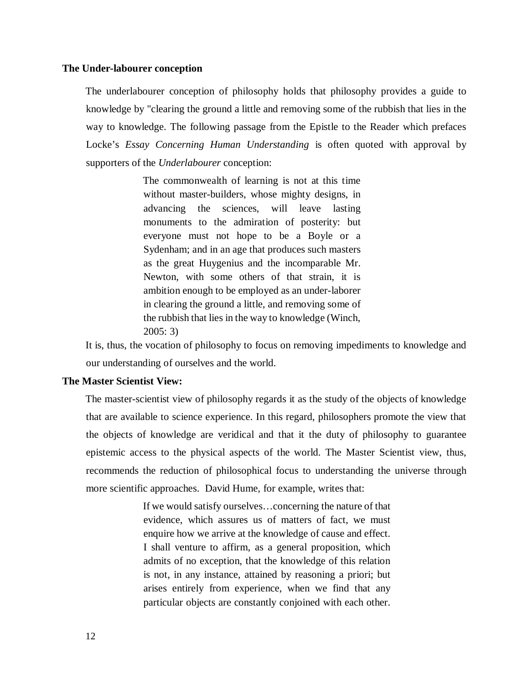# **The Under-labourer conception**

The underlabourer conception of philosophy holds that philosophy provides a guide to knowledge by "clearing the ground a little and removing some of the rubbish that lies in the way to knowledge. The following passage from the Epistle to the Reader which prefaces Locke's *Essay Concerning Human Understanding* is often quoted with approval by supporters of the *Underlabourer* conception:

> The commonwealth of learning is not at this time without master-builders, whose mighty designs, in advancing the sciences, will leave lasting monuments to the admiration of posterity: but everyone must not hope to be a Boyle or a Sydenham; and in an age that produces such masters as the great Huygenius and the incomparable Mr. Newton, with some others of that strain, it is ambition enough to be employed as an under-laborer in clearing the ground a little, and removing some of the rubbish that lies in the way to knowledge (Winch, 2005: 3)

It is, thus, the vocation of philosophy to focus on removing impediments to knowledge and our understanding of ourselves and the world.

#### **The Master Scientist View:**

The master-scientist view of philosophy regards it as the study of the objects of knowledge that are available to science experience. In this regard, philosophers promote the view that the objects of knowledge are veridical and that it the duty of philosophy to guarantee epistemic access to the physical aspects of the world. The Master Scientist view, thus, recommends the reduction of philosophical focus to understanding the universe through more scientific approaches. David Hume, for example, writes that:

> If we would satisfy ourselves…concerning the nature of that evidence, which assures us of matters of fact, we must enquire how we arrive at the knowledge of cause and effect. I shall venture to affirm, as a general proposition, which admits of no exception, that the knowledge of this relation is not, in any instance, attained by reasoning a priori; but arises entirely from experience, when we find that any particular objects are constantly conjoined with each other.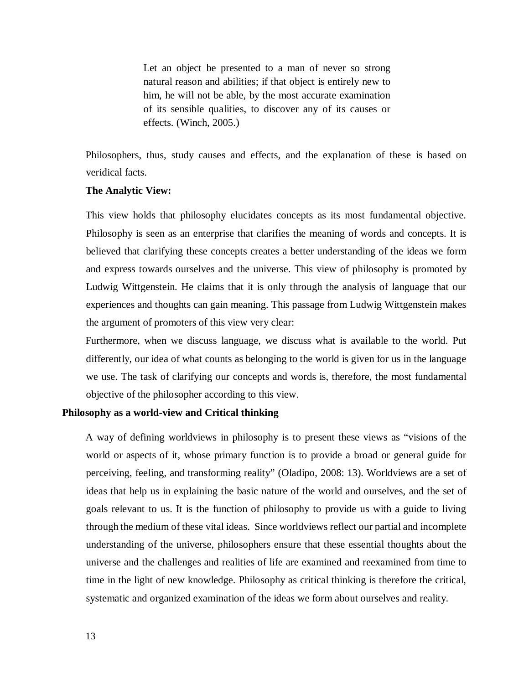Let an object be presented to a man of never so strong natural reason and abilities; if that object is entirely new to him, he will not be able, by the most accurate examination of its sensible qualities, to discover any of its causes or effects. (Winch, 2005.)

Philosophers, thus, study causes and effects, and the explanation of these is based on veridical facts.

#### **The Analytic View:**

This view holds that philosophy elucidates concepts as its most fundamental objective. Philosophy is seen as an enterprise that clarifies the meaning of words and concepts. It is believed that clarifying these concepts creates a better understanding of the ideas we form and express towards ourselves and the universe. This view of philosophy is promoted by Ludwig Wittgenstein. He claims that it is only through the analysis of language that our experiences and thoughts can gain meaning. This passage from Ludwig Wittgenstein makes the argument of promoters of this view very clear:

Furthermore, when we discuss language, we discuss what is available to the world. Put differently, our idea of what counts as belonging to the world is given for us in the language we use. The task of clarifying our concepts and words is, therefore, the most fundamental objective of the philosopher according to this view.

## **Philosophy as a world-view and Critical thinking**

A way of defining worldviews in philosophy is to present these views as "visions of the world or aspects of it, whose primary function is to provide a broad or general guide for perceiving, feeling, and transforming reality" (Oladipo, 2008: 13). Worldviews are a set of ideas that help us in explaining the basic nature of the world and ourselves, and the set of goals relevant to us. It is the function of philosophy to provide us with a guide to living through the medium of these vital ideas. Since worldviews reflect our partial and incomplete understanding of the universe, philosophers ensure that these essential thoughts about the universe and the challenges and realities of life are examined and reexamined from time to time in the light of new knowledge. Philosophy as critical thinking is therefore the critical, systematic and organized examination of the ideas we form about ourselves and reality.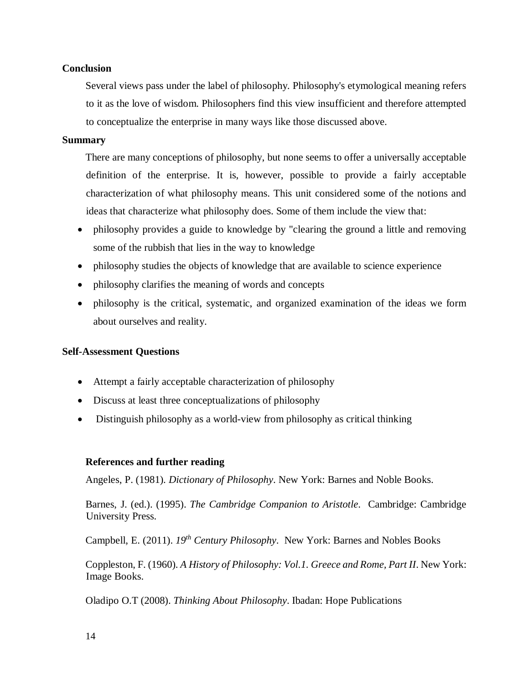# **Conclusion**

Several views pass under the label of philosophy. Philosophy's etymological meaning refers to it as the love of wisdom. Philosophers find this view insufficient and therefore attempted to conceptualize the enterprise in many ways like those discussed above.

## **Summary**

There are many conceptions of philosophy, but none seems to offer a universally acceptable definition of the enterprise. It is, however, possible to provide a fairly acceptable characterization of what philosophy means. This unit considered some of the notions and ideas that characterize what philosophy does. Some of them include the view that:

- philosophy provides a guide to knowledge by "clearing the ground a little and removing some of the rubbish that lies in the way to knowledge
- philosophy studies the objects of knowledge that are available to science experience
- philosophy clarifies the meaning of words and concepts
- philosophy is the critical, systematic, and organized examination of the ideas we form about ourselves and reality.

## **Self-Assessment Questions**

- Attempt a fairly acceptable characterization of philosophy
- Discuss at least three conceptualizations of philosophy
- Distinguish philosophy as a world-view from philosophy as critical thinking

## **References and further reading**

Angeles, P. (1981). *Dictionary of Philosophy*. New York: Barnes and Noble Books.

Barnes, J. (ed.). (1995). *The Cambridge Companion to Aristotle*. Cambridge: Cambridge University Press.

Campbell, E. (2011). *19th Century Philosophy*. New York: Barnes and Nobles Books

Coppleston, F. (1960). *A History of Philosophy: Vol.1. Greece and Rome, Part II*. New York: Image Books.

Oladipo O.T (2008). *Thinking About Philosophy*. Ibadan: Hope Publications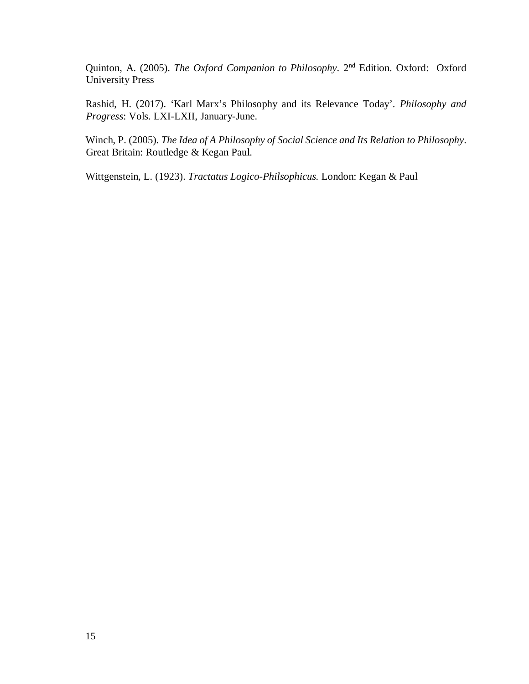Quinton, A. (2005). *The Oxford Companion to Philosophy*. 2nd Edition. Oxford: Oxford University Press

Rashid, H. (2017). 'Karl Marx's Philosophy and its Relevance Today'. *Philosophy and Progress*: Vols. LXI-LXII, January-June.

Winch, P. (2005). *The Idea of A Philosophy of Social Science and Its Relation to Philosophy*. Great Britain: Routledge & Kegan Paul.

Wittgenstein, L. (1923). *Tractatus Logico-Philsophicus.* London: Kegan & Paul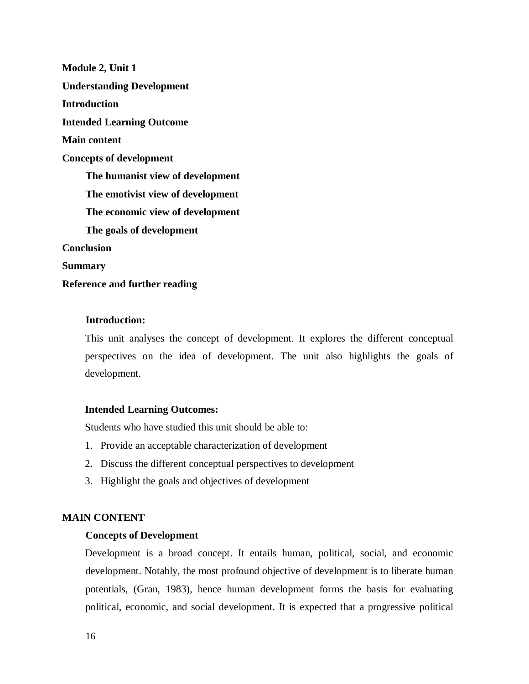**Module 2, Unit 1 Understanding Development Introduction Intended Learning Outcome Main content Concepts of development The humanist view of development The emotivist view of development The economic view of development The goals of development Conclusion Summary Reference and further reading** 

## **Introduction:**

This unit analyses the concept of development. It explores the different conceptual perspectives on the idea of development. The unit also highlights the goals of development.

#### **Intended Learning Outcomes:**

Students who have studied this unit should be able to:

- 1. Provide an acceptable characterization of development
- 2. Discuss the different conceptual perspectives to development
- 3. Highlight the goals and objectives of development

## **MAIN CONTENT**

### **Concepts of Development**

Development is a broad concept. It entails human, political, social, and economic development. Notably, the most profound objective of development is to liberate human potentials, (Gran, 1983), hence human development forms the basis for evaluating political, economic, and social development. It is expected that a progressive political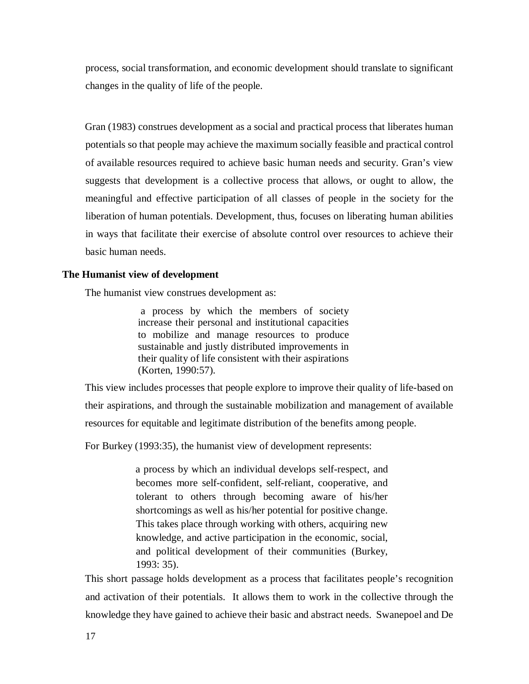process, social transformation, and economic development should translate to significant changes in the quality of life of the people.

Gran (1983) construes development as a social and practical process that liberates human potentials so that people may achieve the maximum socially feasible and practical control of available resources required to achieve basic human needs and security. Gran's view suggests that development is a collective process that allows, or ought to allow, the meaningful and effective participation of all classes of people in the society for the liberation of human potentials. Development, thus, focuses on liberating human abilities in ways that facilitate their exercise of absolute control over resources to achieve their basic human needs.

## **The Humanist view of development**

The humanist view construes development as:

 a process by which the members of society increase their personal and institutional capacities to mobilize and manage resources to produce sustainable and justly distributed improvements in their quality of life consistent with their aspirations (Korten, 1990:57).

This view includes processes that people explore to improve their quality of life-based on their aspirations, and through the sustainable mobilization and management of available resources for equitable and legitimate distribution of the benefits among people.

For Burkey (1993:35), the humanist view of development represents:

a process by which an individual develops self-respect, and becomes more self-confident, self-reliant, cooperative, and tolerant to others through becoming aware of his/her shortcomings as well as his/her potential for positive change. This takes place through working with others, acquiring new knowledge, and active participation in the economic, social, and political development of their communities (Burkey, 1993: 35).

This short passage holds development as a process that facilitates people's recognition and activation of their potentials. It allows them to work in the collective through the knowledge they have gained to achieve their basic and abstract needs. Swanepoel and De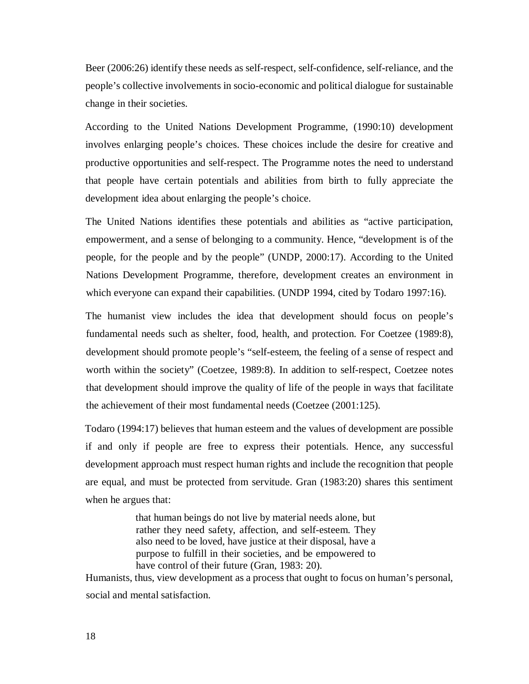Beer (2006:26) identify these needs as self-respect, self-confidence, self-reliance, and the people's collective involvements in socio-economic and political dialogue for sustainable change in their societies.

According to the United Nations Development Programme, (1990:10) development involves enlarging people's choices. These choices include the desire for creative and productive opportunities and self-respect. The Programme notes the need to understand that people have certain potentials and abilities from birth to fully appreciate the development idea about enlarging the people's choice.

The United Nations identifies these potentials and abilities as "active participation, empowerment, and a sense of belonging to a community. Hence, "development is of the people, for the people and by the people" (UNDP, 2000:17). According to the United Nations Development Programme, therefore, development creates an environment in which everyone can expand their capabilities. (UNDP 1994, cited by Todaro 1997:16).

The humanist view includes the idea that development should focus on people's fundamental needs such as shelter, food, health, and protection. For Coetzee (1989:8), development should promote people's "self-esteem, the feeling of a sense of respect and worth within the society" (Coetzee, 1989:8). In addition to self-respect, Coetzee notes that development should improve the quality of life of the people in ways that facilitate the achievement of their most fundamental needs (Coetzee (2001:125).

Todaro (1994:17) believes that human esteem and the values of development are possible if and only if people are free to express their potentials. Hence, any successful development approach must respect human rights and include the recognition that people are equal, and must be protected from servitude. Gran (1983:20) shares this sentiment when he argues that:

> that human beings do not live by material needs alone, but rather they need safety, affection, and self-esteem. They also need to be loved, have justice at their disposal, have a purpose to fulfill in their societies, and be empowered to have control of their future (Gran, 1983: 20).

Humanists, thus, view development as a process that ought to focus on human's personal, social and mental satisfaction.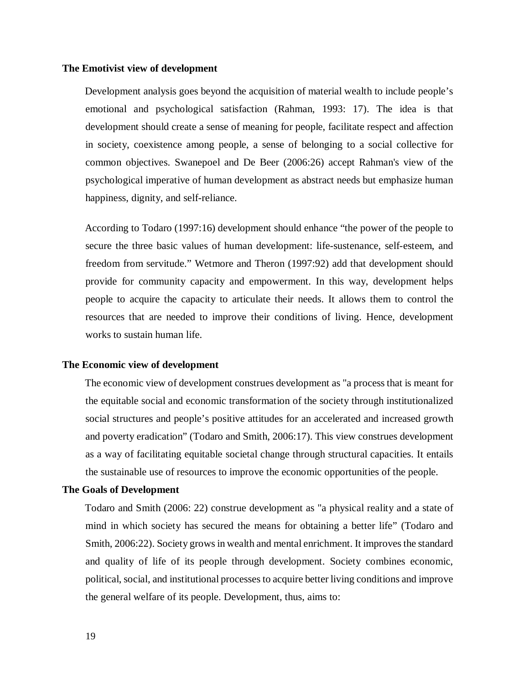#### **The Emotivist view of development**

Development analysis goes beyond the acquisition of material wealth to include people's emotional and psychological satisfaction (Rahman, 1993: 17). The idea is that development should create a sense of meaning for people, facilitate respect and affection in society, coexistence among people, a sense of belonging to a social collective for common objectives. Swanepoel and De Beer (2006:26) accept Rahman's view of the psychological imperative of human development as abstract needs but emphasize human happiness, dignity, and self-reliance.

According to Todaro (1997:16) development should enhance "the power of the people to secure the three basic values of human development: life-sustenance, self-esteem, and freedom from servitude." Wetmore and Theron (1997:92) add that development should provide for community capacity and empowerment. In this way, development helps people to acquire the capacity to articulate their needs. It allows them to control the resources that are needed to improve their conditions of living. Hence, development works to sustain human life.

## **The Economic view of development**

The economic view of development construes development as "a process that is meant for the equitable social and economic transformation of the society through institutionalized social structures and people's positive attitudes for an accelerated and increased growth and poverty eradication" (Todaro and Smith, 2006:17). This view construes development as a way of facilitating equitable societal change through structural capacities. It entails the sustainable use of resources to improve the economic opportunities of the people.

# **The Goals of Development**

Todaro and Smith (2006: 22) construe development as "a physical reality and a state of mind in which society has secured the means for obtaining a better life" (Todaro and Smith, 2006:22). Society grows in wealth and mental enrichment. It improves the standard and quality of life of its people through development. Society combines economic, political, social, and institutional processes to acquire better living conditions and improve the general welfare of its people. Development, thus, aims to: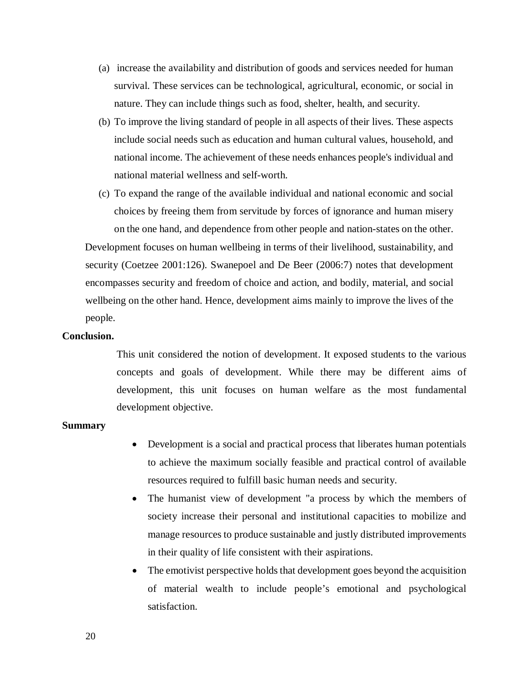- (a) increase the availability and distribution of goods and services needed for human survival. These services can be technological, agricultural, economic, or social in nature. They can include things such as food, shelter, health, and security.
- (b) To improve the living standard of people in all aspects of their lives. These aspects include social needs such as education and human cultural values, household, and national income. The achievement of these needs enhances people's individual and national material wellness and self-worth.
- (c) To expand the range of the available individual and national economic and social choices by freeing them from servitude by forces of ignorance and human misery on the one hand, and dependence from other people and nation-states on the other.

Development focuses on human wellbeing in terms of their livelihood, sustainability, and security (Coetzee 2001:126). Swanepoel and De Beer (2006:7) notes that development encompasses security and freedom of choice and action, and bodily, material, and social wellbeing on the other hand. Hence, development aims mainly to improve the lives of the people.

#### **Conclusion.**

This unit considered the notion of development. It exposed students to the various concepts and goals of development. While there may be different aims of development, this unit focuses on human welfare as the most fundamental development objective.

## **Summary**

- Development is a social and practical process that liberates human potentials to achieve the maximum socially feasible and practical control of available resources required to fulfill basic human needs and security.
- The humanist view of development "a process by which the members of society increase their personal and institutional capacities to mobilize and manage resources to produce sustainable and justly distributed improvements in their quality of life consistent with their aspirations.
- The emotivist perspective holds that development goes beyond the acquisition of material wealth to include people's emotional and psychological satisfaction.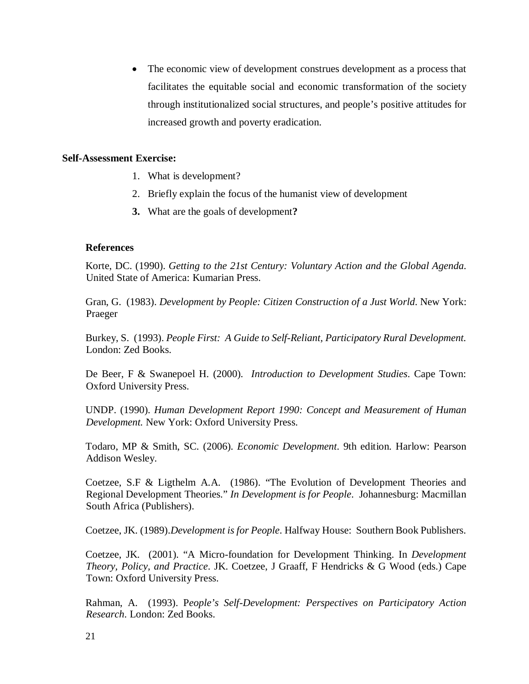The economic view of development construes development as a process that facilitates the equitable social and economic transformation of the society through institutionalized social structures, and people's positive attitudes for increased growth and poverty eradication.

## **Self-Assessment Exercise:**

- 1. What is development?
- 2. Briefly explain the focus of the humanist view of development
- **3.** What are the goals of development**?**

## **References**

Korte, DC. (1990). *Getting to the 21st Century: Voluntary Action and the Global Agenda*. United State of America: Kumarian Press.

Gran, G. (1983). *Development by People: Citizen Construction of a Just World*. New York: Praeger

Burkey, S. (1993). *People First: A Guide to Self-Reliant, Participatory Rural Development.* London: Zed Books.

De Beer, F & Swanepoel H. (2000). *Introduction to Development Studies*. Cape Town: Oxford University Press.

UNDP. (1990). *Human Development Report 1990: Concept and Measurement of Human Development.* New York: Oxford University Press.

Todaro, MP & Smith, SC. (2006). *Economic Development*. 9th edition. Harlow: Pearson Addison Wesley.

Coetzee, S.F & Ligthelm A.A. (1986). "The Evolution of Development Theories and Regional Development Theories." *In Development is for People*. Johannesburg: Macmillan South Africa (Publishers).

Coetzee, JK. (1989).*Development is for People*. Halfway House: Southern Book Publishers.

Coetzee, JK. (2001). "A Micro-foundation for Development Thinking. In *Development Theory, Policy, and Practice*. JK. Coetzee, J Graaff, F Hendricks & G Wood (eds.) Cape Town: Oxford University Press.

Rahman, A. (1993). P*eople's Self-Development: Perspectives on Participatory Action Research*. London: Zed Books.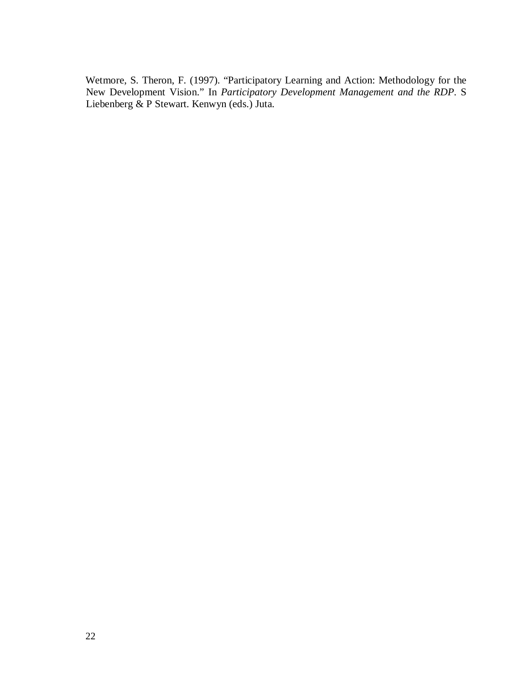Wetmore, S. Theron, F. (1997). "Participatory Learning and Action: Methodology for the New Development Vision." In *Participatory Development Management and the RDP*. S Liebenberg & P Stewart. Kenwyn (eds.) Juta.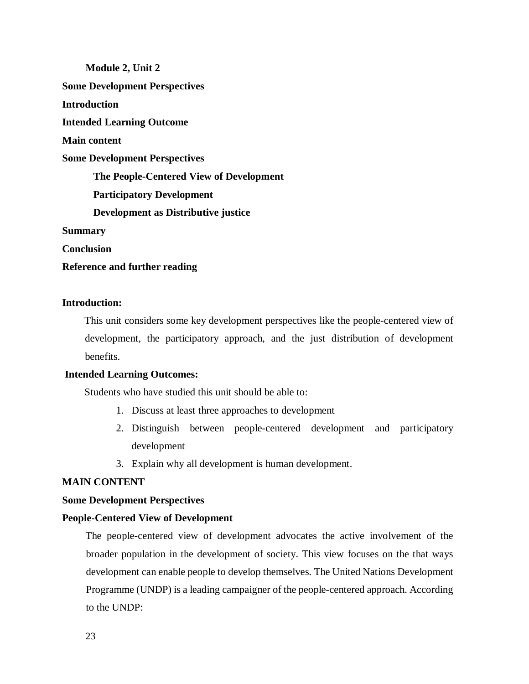**Module 2, Unit 2 Some Development Perspectives Introduction Intended Learning Outcome Main content Some Development Perspectives The People-Centered View of Development Participatory Development Development as Distributive justice Summary Conclusion Reference and further reading** 

## **Introduction:**

This unit considers some key development perspectives like the people-centered view of development, the participatory approach, and the just distribution of development benefits.

## **Intended Learning Outcomes:**

Students who have studied this unit should be able to:

- 1. Discuss at least three approaches to development
- 2. Distinguish between people-centered development and participatory development
- 3. Explain why all development is human development.

# **MAIN CONTENT**

## **Some Development Perspectives**

# **People-Centered View of Development**

The people-centered view of development advocates the active involvement of the broader population in the development of society. This view focuses on the that ways development can enable people to develop themselves. The United Nations Development Programme (UNDP) is a leading campaigner of the people-centered approach. According to the UNDP: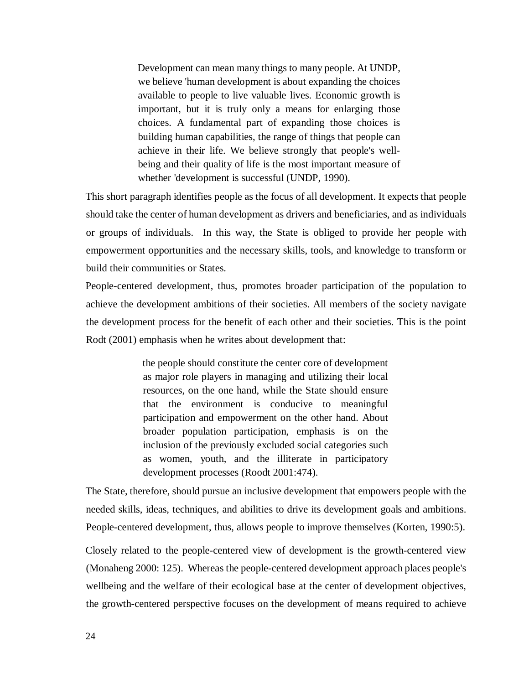Development can mean many things to many people. At UNDP, we believe 'human development is about expanding the choices available to people to live valuable lives. Economic growth is important, but it is truly only a means for enlarging those choices. A fundamental part of expanding those choices is building human capabilities, the range of things that people can achieve in their life. We believe strongly that people's wellbeing and their quality of life is the most important measure of whether 'development is successful (UNDP, 1990).

This short paragraph identifies people as the focus of all development. It expects that people should take the center of human development as drivers and beneficiaries, and as individuals or groups of individuals. In this way, the State is obliged to provide her people with empowerment opportunities and the necessary skills, tools, and knowledge to transform or build their communities or States.

People-centered development, thus, promotes broader participation of the population to achieve the development ambitions of their societies. All members of the society navigate the development process for the benefit of each other and their societies. This is the point Rodt (2001) emphasis when he writes about development that:

> the people should constitute the center core of development as major role players in managing and utilizing their local resources, on the one hand, while the State should ensure that the environment is conducive to meaningful participation and empowerment on the other hand. About broader population participation, emphasis is on the inclusion of the previously excluded social categories such as women, youth, and the illiterate in participatory development processes (Roodt 2001:474).

The State, therefore, should pursue an inclusive development that empowers people with the needed skills, ideas, techniques, and abilities to drive its development goals and ambitions. People-centered development, thus, allows people to improve themselves (Korten, 1990:5).

Closely related to the people-centered view of development is the growth-centered view (Monaheng 2000: 125). Whereas the people-centered development approach places people's wellbeing and the welfare of their ecological base at the center of development objectives, the growth-centered perspective focuses on the development of means required to achieve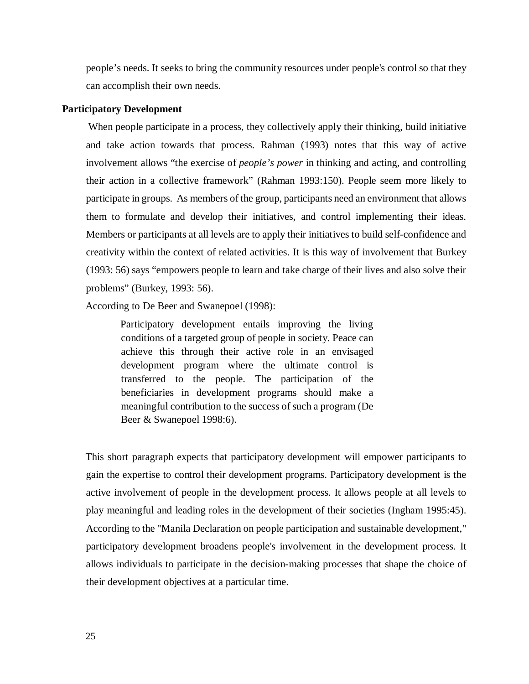people's needs. It seeks to bring the community resources under people's control so that they can accomplish their own needs.

## **Participatory Development**

 When people participate in a process, they collectively apply their thinking, build initiative and take action towards that process. Rahman (1993) notes that this way of active involvement allows "the exercise of *people's power* in thinking and acting, and controlling their action in a collective framework" (Rahman 1993:150). People seem more likely to participate in groups. As members of the group, participants need an environment that allows them to formulate and develop their initiatives, and control implementing their ideas. Members or participants at all levels are to apply their initiatives to build self-confidence and creativity within the context of related activities. It is this way of involvement that Burkey (1993: 56) says "empowers people to learn and take charge of their lives and also solve their problems" (Burkey, 1993: 56).

According to De Beer and Swanepoel (1998):

Participatory development entails improving the living conditions of a targeted group of people in society. Peace can achieve this through their active role in an envisaged development program where the ultimate control is transferred to the people. The participation of the beneficiaries in development programs should make a meaningful contribution to the success of such a program (De Beer & Swanepoel 1998:6).

This short paragraph expects that participatory development will empower participants to gain the expertise to control their development programs. Participatory development is the active involvement of people in the development process. It allows people at all levels to play meaningful and leading roles in the development of their societies (Ingham 1995:45). According to the "Manila Declaration on people participation and sustainable development," participatory development broadens people's involvement in the development process. It allows individuals to participate in the decision-making processes that shape the choice of their development objectives at a particular time.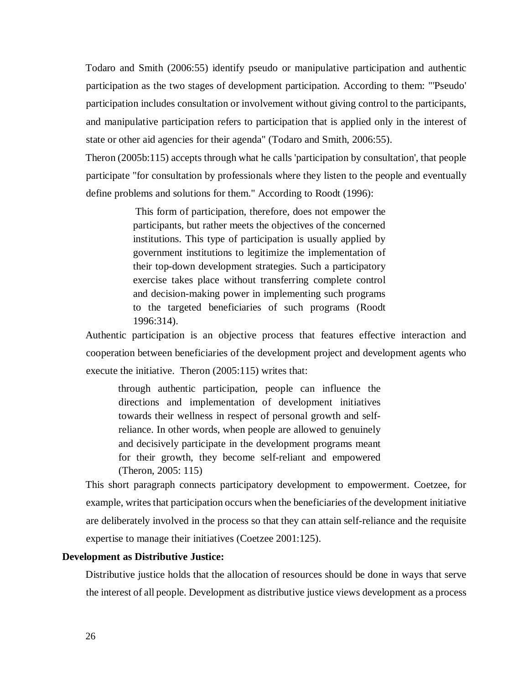Todaro and Smith (2006:55) identify pseudo or manipulative participation and authentic participation as the two stages of development participation. According to them: "'Pseudo' participation includes consultation or involvement without giving control to the participants, and manipulative participation refers to participation that is applied only in the interest of state or other aid agencies for their agenda" (Todaro and Smith, 2006:55).

Theron (2005b:115) accepts through what he calls 'participation by consultation', that people participate "for consultation by professionals where they listen to the people and eventually define problems and solutions for them." According to Roodt (1996):

> This form of participation, therefore, does not empower the participants, but rather meets the objectives of the concerned institutions. This type of participation is usually applied by government institutions to legitimize the implementation of their top-down development strategies. Such a participatory exercise takes place without transferring complete control and decision-making power in implementing such programs to the targeted beneficiaries of such programs (Roodt 1996:314).

Authentic participation is an objective process that features effective interaction and cooperation between beneficiaries of the development project and development agents who execute the initiative. Theron (2005:115) writes that:

through authentic participation, people can influence the directions and implementation of development initiatives towards their wellness in respect of personal growth and selfreliance. In other words, when people are allowed to genuinely and decisively participate in the development programs meant for their growth, they become self-reliant and empowered (Theron, 2005: 115)

This short paragraph connects participatory development to empowerment. Coetzee, for example, writes that participation occurs when the beneficiaries of the development initiative are deliberately involved in the process so that they can attain self-reliance and the requisite expertise to manage their initiatives (Coetzee 2001:125).

### **Development as Distributive Justice:**

Distributive justice holds that the allocation of resources should be done in ways that serve the interest of all people. Development as distributive justice views development as a process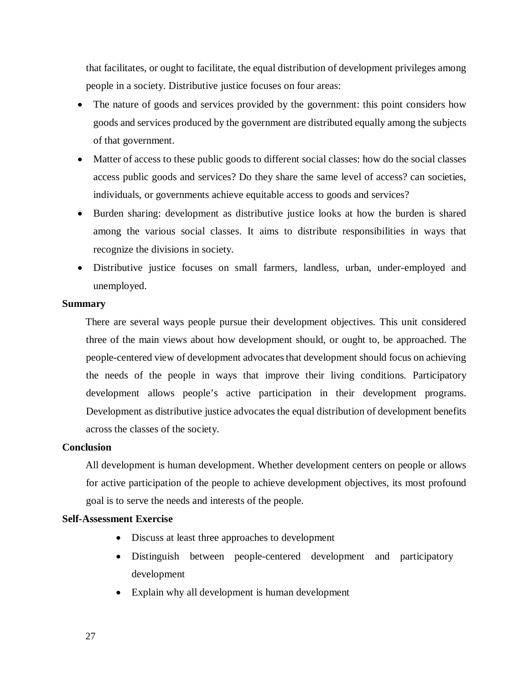that facilitates, or ought to facilitate, the equal distribution of development privileges among people in a society. Distributive justice focuses on four areas:

- The nature of goods and services provided by the government: this point considers how goods and services produced by the government are distributed equally among the subjects of that government.
- Matter of access to these public goods to different social classes: how do the social classes access public goods and services? Do they share the same level of access? can societies, individuals, or governments achieve equitable access to goods and services?
- Burden sharing: development as distributive justice looks at how the burden is shared among the various social classes. It aims to distribute responsibilities in ways that recognize the divisions in society.
- Distributive justice focuses on small farmers, landless, urban, under-employed and unemployed.

## **Summary**

There are several ways people pursue their development objectives. This unit considered three of the main views about how development should, or ought to, be approached. The people-centered view of development advocates that development should focus on achieving the needs of the people in ways that improve their living conditions. Participatory development allows people's active participation in their development programs. Development as distributive justice advocates the equal distribution of development benefits across the classes of the society.

## **Conclusion**

All development is human development. Whether development centers on people or allows for active participation of the people to achieve development objectives, its most profound goal is to serve the needs and interests of the people.

# **Self-Assessment Exercise**

- Discuss at least three approaches to development
- Distinguish between people-centered development and participatory development
- Explain why all development is human development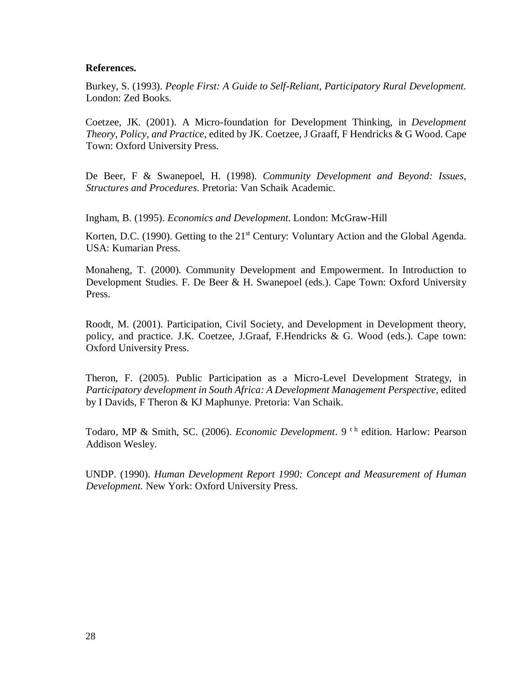## **References.**

Burkey, S. (1993). *People First: A Guide to Self-Reliant, Participatory Rural Development.* London: Zed Books.

Coetzee, JK. (2001). A Micro-foundation for Development Thinking, in *Development Theory, Policy, and Practice,* edited by JK. Coetzee, J Graaff, F Hendricks & G Wood. Cape Town: Oxford University Press.

De Beer, F & Swanepoel, H. (1998). *Community Development and Beyond: Issues, Structures and Procedures.* Pretoria: Van Schaik Academic.

Ingham, B. (1995). *Economics and Development.* London: McGraw-Hill

Korten, D.C. (1990). Getting to the 21<sup>st</sup> Century: Voluntary Action and the Global Agenda. USA: Kumarian Press.

Monaheng, T. (2000). Community Development and Empowerment. In Introduction to Development Studies. F. De Beer & H. Swanepoel (eds.). Cape Town: Oxford University Press.

Roodt, M. (2001). Participation, Civil Society, and Development in Development theory, policy, and practice. J.K. Coetzee, J.Graaf, F.Hendricks & G. Wood (eds.). Cape town: Oxford University Press.

Theron, F. (2005). Public Participation as a Micro-Level Development Strategy, in Participatory development in South Africa: A Development Management Perspective, edited by I Davids, F Theron & KJ Maphunye. Pretoria: Van Schaik.

Todaro, MP & Smith, SC. (2006). *Economic Development*. 9<sup>th</sup> edition. Harlow: Pearson Addison Wesley.

UNDP. (1990). *Human Development Report 1990: Concept and Measurement of Human Development.* New York: Oxford University Press.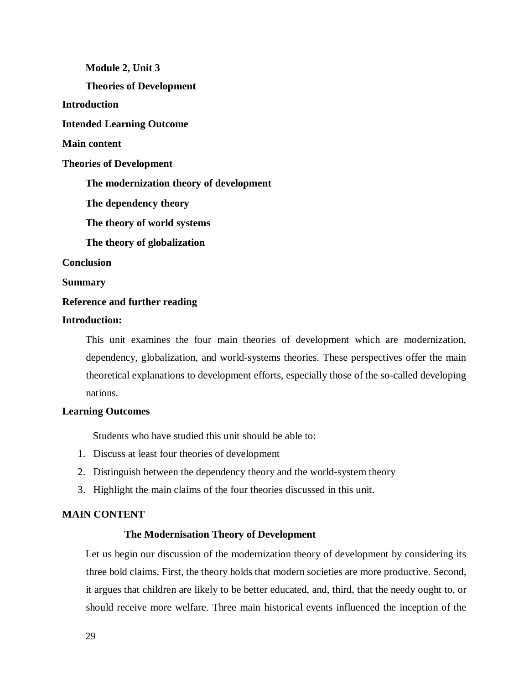**Module 2, Unit 3 Theories of Development Introduction Intended Learning Outcome Main content Theories of Development The modernization theory of development The dependency theory The theory of world systems The theory of globalization Conclusion Summary Reference and further reading** 

# **Introduction:**

This unit examines the four main theories of development which are modernization, dependency, globalization, and world-systems theories. These perspectives offer the main theoretical explanations to development efforts, especially those of the so-called developing nations.

## **Learning Outcomes**

Students who have studied this unit should be able to:

- 1. Discuss at least four theories of development
- 2. Distinguish between the dependency theory and the world-system theory
- 3. Highlight the main claims of the four theories discussed in this unit.

## **MAIN CONTENT**

## **The Modernisation Theory of Development**

Let us begin our discussion of the modernization theory of development by considering its three bold claims. First, the theory holds that modern societies are more productive. Second, it argues that children are likely to be better educated, and, third, that the needy ought to, or should receive more welfare. Three main historical events influenced the inception of the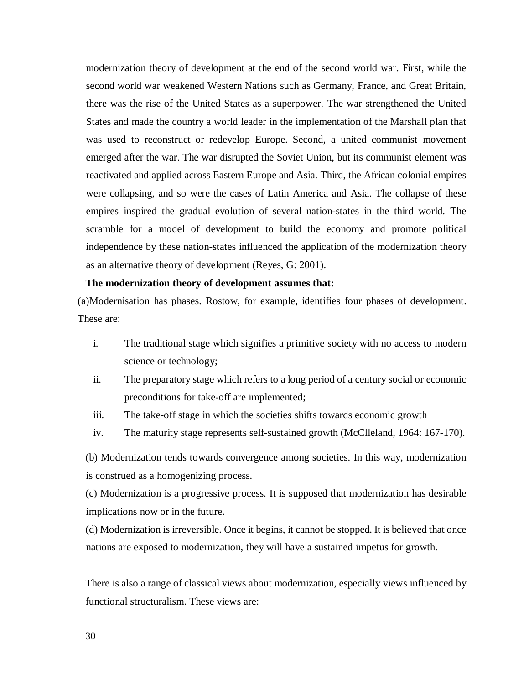modernization theory of development at the end of the second world war. First, while the second world war weakened Western Nations such as Germany, France, and Great Britain, there was the rise of the United States as a superpower. The war strengthened the United States and made the country a world leader in the implementation of the Marshall plan that was used to reconstruct or redevelop Europe. Second, a united communist movement emerged after the war. The war disrupted the Soviet Union, but its communist element was reactivated and applied across Eastern Europe and Asia. Third, the African colonial empires were collapsing, and so were the cases of Latin America and Asia. The collapse of these empires inspired the gradual evolution of several nation-states in the third world. The scramble for a model of development to build the economy and promote political independence by these nation-states influenced the application of the modernization theory as an alternative theory of development (Reyes, G: 2001).

#### **The modernization theory of development assumes that:**

(a)Modernisation has phases. Rostow, for example, identifies four phases of development. These are:

- i. The traditional stage which signifies a primitive society with no access to modern science or technology;
- ii. The preparatory stage which refers to a long period of a century social or economic preconditions for take-off are implemented;
- iii. The take-off stage in which the societies shifts towards economic growth
- iv. The maturity stage represents self-sustained growth (McClleland, 1964: 167-170).

(b) Modernization tends towards convergence among societies. In this way, modernization is construed as a homogenizing process.

(c) Modernization is a progressive process. It is supposed that modernization has desirable implications now or in the future.

(d) Modernization is irreversible. Once it begins, it cannot be stopped. It is believed that once nations are exposed to modernization, they will have a sustained impetus for growth.

There is also a range of classical views about modernization, especially views influenced by functional structuralism. These views are: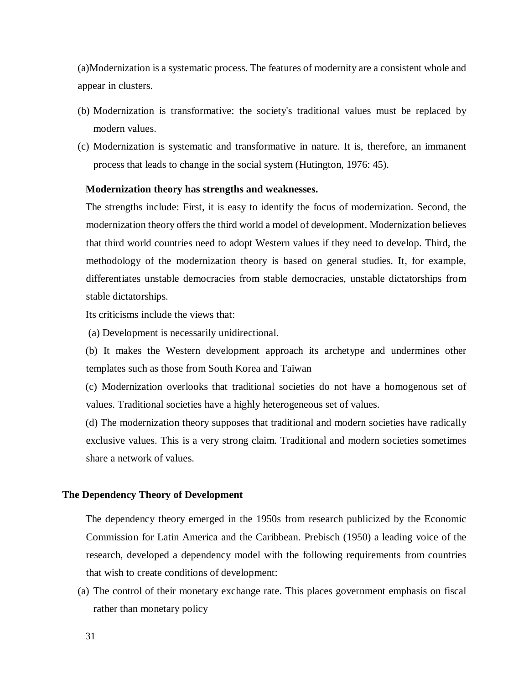(a)Modernization is a systematic process. The features of modernity are a consistent whole and appear in clusters.

- (b) Modernization is transformative: the society's traditional values must be replaced by modern values.
- (c) Modernization is systematic and transformative in nature. It is, therefore, an immanent process that leads to change in the social system (Hutington, 1976: 45).

## **Modernization theory has strengths and weaknesses.**

The strengths include: First, it is easy to identify the focus of modernization. Second, the modernization theory offers the third world a model of development. Modernization believes that third world countries need to adopt Western values if they need to develop. Third, the methodology of the modernization theory is based on general studies. It, for example, differentiates unstable democracies from stable democracies, unstable dictatorships from stable dictatorships.

Its criticisms include the views that:

(a) Development is necessarily unidirectional.

(b) It makes the Western development approach its archetype and undermines other templates such as those from South Korea and Taiwan

(c) Modernization overlooks that traditional societies do not have a homogenous set of values. Traditional societies have a highly heterogeneous set of values.

(d) The modernization theory supposes that traditional and modern societies have radically exclusive values. This is a very strong claim. Traditional and modern societies sometimes share a network of values.

## **The Dependency Theory of Development**

The dependency theory emerged in the 1950s from research publicized by the Economic Commission for Latin America and the Caribbean. Prebisch (1950) a leading voice of the research, developed a dependency model with the following requirements from countries that wish to create conditions of development:

(a) The control of their monetary exchange rate. This places government emphasis on fiscal rather than monetary policy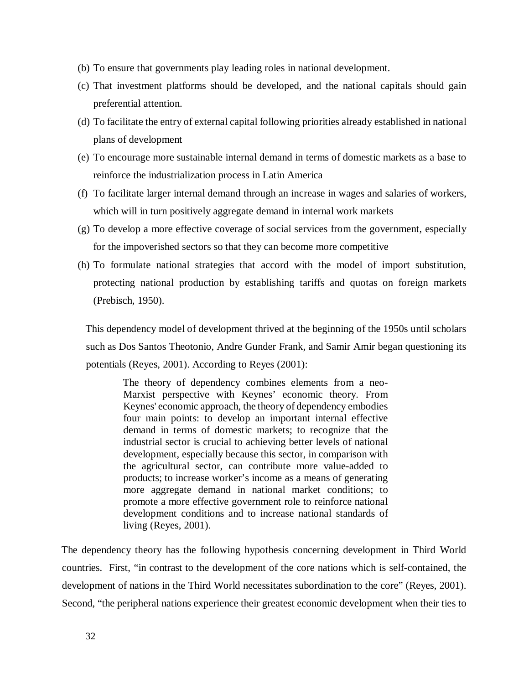- (b) To ensure that governments play leading roles in national development.
- (c) That investment platforms should be developed, and the national capitals should gain preferential attention.
- (d) To facilitate the entry of external capital following priorities already established in national plans of development
- (e) To encourage more sustainable internal demand in terms of domestic markets as a base to reinforce the industrialization process in Latin America
- (f) To facilitate larger internal demand through an increase in wages and salaries of workers, which will in turn positively aggregate demand in internal work markets
- (g) To develop a more effective coverage of social services from the government, especially for the impoverished sectors so that they can become more competitive
- (h) To formulate national strategies that accord with the model of import substitution, protecting national production by establishing tariffs and quotas on foreign markets (Prebisch, 1950).

This dependency model of development thrived at the beginning of the 1950s until scholars such as Dos Santos Theotonio, Andre Gunder Frank, and Samir Amir began questioning its potentials (Reyes, 2001). According to Reyes (2001):

The theory of dependency combines elements from a neo-Marxist perspective with Keynes' economic theory. From Keynes' economic approach, the theory of dependency embodies four main points: to develop an important internal effective demand in terms of domestic markets; to recognize that the industrial sector is crucial to achieving better levels of national development, especially because this sector, in comparison with the agricultural sector, can contribute more value-added to products; to increase worker's income as a means of generating more aggregate demand in national market conditions; to promote a more effective government role to reinforce national development conditions and to increase national standards of living (Reyes, 2001).

The dependency theory has the following hypothesis concerning development in Third World countries. First, "in contrast to the development of the core nations which is self-contained, the development of nations in the Third World necessitates subordination to the core" (Reyes, 2001). Second, "the peripheral nations experience their greatest economic development when their ties to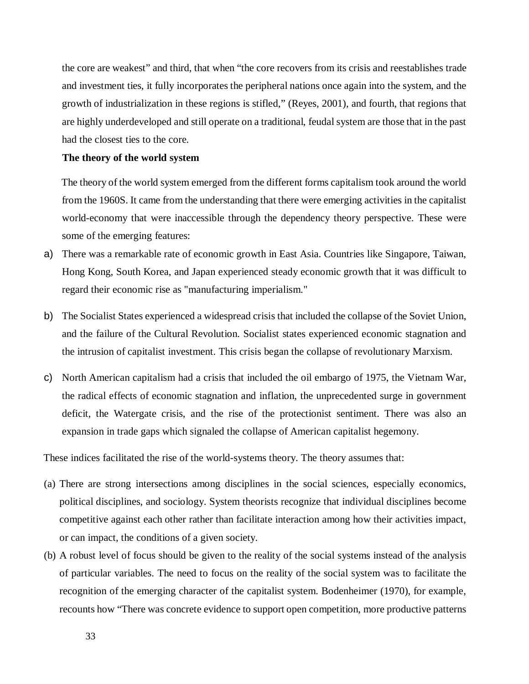the core are weakest" and third, that when "the core recovers from its crisis and reestablishes trade and investment ties, it fully incorporates the peripheral nations once again into the system, and the growth of industrialization in these regions is stifled," (Reyes, 2001), and fourth, that regions that are highly underdeveloped and still operate on a traditional, feudal system are those that in the past had the closest ties to the core.

#### **The theory of the world system**

The theory of the world system emerged from the different forms capitalism took around the world from the 1960S. It came from the understanding that there were emerging activities in the capitalist world-economy that were inaccessible through the dependency theory perspective. These were some of the emerging features:

- a) There was a remarkable rate of economic growth in East Asia. Countries like Singapore, Taiwan, Hong Kong, South Korea, and Japan experienced steady economic growth that it was difficult to regard their economic rise as "manufacturing imperialism."
- b) The Socialist States experienced a widespread crisis that included the collapse of the Soviet Union, and the failure of the Cultural Revolution. Socialist states experienced economic stagnation and the intrusion of capitalist investment. This crisis began the collapse of revolutionary Marxism.
- c) North American capitalism had a crisis that included the oil embargo of 1975, the Vietnam War, the radical effects of economic stagnation and inflation, the unprecedented surge in government deficit, the Watergate crisis, and the rise of the protectionist sentiment. There was also an expansion in trade gaps which signaled the collapse of American capitalist hegemony.

These indices facilitated the rise of the world-systems theory. The theory assumes that:

- (a) There are strong intersections among disciplines in the social sciences, especially economics, political disciplines, and sociology. System theorists recognize that individual disciplines become competitive against each other rather than facilitate interaction among how their activities impact, or can impact, the conditions of a given society.
- (b) A robust level of focus should be given to the reality of the social systems instead of the analysis of particular variables. The need to focus on the reality of the social system was to facilitate the recognition of the emerging character of the capitalist system. Bodenheimer (1970), for example, recounts how "There was concrete evidence to support open competition, more productive patterns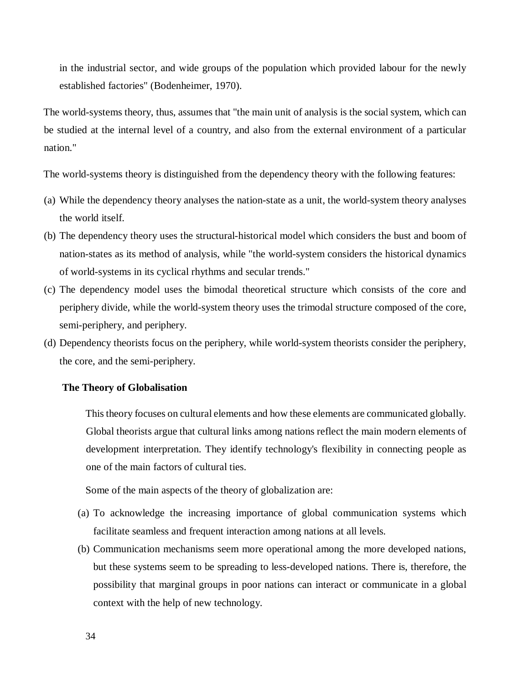in the industrial sector, and wide groups of the population which provided labour for the newly established factories" (Bodenheimer, 1970).

The world-systems theory, thus, assumes that "the main unit of analysis is the social system, which can be studied at the internal level of a country, and also from the external environment of a particular nation."

The world-systems theory is distinguished from the dependency theory with the following features:

- (a) While the dependency theory analyses the nation-state as a unit, the world-system theory analyses the world itself.
- (b) The dependency theory uses the structural-historical model which considers the bust and boom of nation-states as its method of analysis, while "the world-system considers the historical dynamics of world-systems in its cyclical rhythms and secular trends."
- (c) The dependency model uses the bimodal theoretical structure which consists of the core and periphery divide, while the world-system theory uses the trimodal structure composed of the core, semi-periphery, and periphery.
- (d) Dependency theorists focus on the periphery, while world-system theorists consider the periphery, the core, and the semi-periphery.

#### **The Theory of Globalisation**

This theory focuses on cultural elements and how these elements are communicated globally. Global theorists argue that cultural links among nations reflect the main modern elements of development interpretation. They identify technology's flexibility in connecting people as one of the main factors of cultural ties.

Some of the main aspects of the theory of globalization are:

- (a) To acknowledge the increasing importance of global communication systems which facilitate seamless and frequent interaction among nations at all levels.
- (b) Communication mechanisms seem more operational among the more developed nations, but these systems seem to be spreading to less-developed nations. There is, therefore, the possibility that marginal groups in poor nations can interact or communicate in a global context with the help of new technology.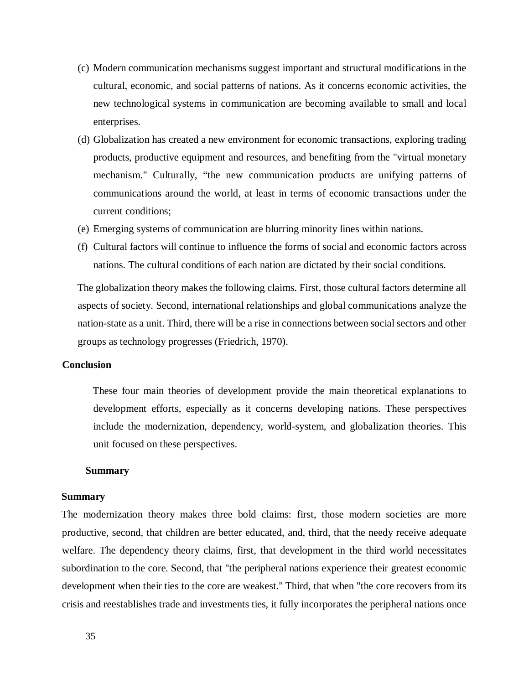- (c) Modern communication mechanisms suggest important and structural modifications in the cultural, economic, and social patterns of nations. As it concerns economic activities, the new technological systems in communication are becoming available to small and local enterprises.
- (d) Globalization has created a new environment for economic transactions, exploring trading products, productive equipment and resources, and benefiting from the "virtual monetary mechanism." Culturally, "the new communication products are unifying patterns of communications around the world, at least in terms of economic transactions under the current conditions;
- (e) Emerging systems of communication are blurring minority lines within nations.
- (f) Cultural factors will continue to influence the forms of social and economic factors across nations. The cultural conditions of each nation are dictated by their social conditions.

The globalization theory makes the following claims. First, those cultural factors determine all aspects of society. Second, international relationships and global communications analyze the nation-state as a unit. Third, there will be a rise in connections between social sectors and other groups as technology progresses (Friedrich, 1970).

#### **Conclusion**

These four main theories of development provide the main theoretical explanations to development efforts, especially as it concerns developing nations. These perspectives include the modernization, dependency, world-system, and globalization theories. This unit focused on these perspectives.

#### **Summary**

#### **Summary**

The modernization theory makes three bold claims: first, those modern societies are more productive, second, that children are better educated, and, third, that the needy receive adequate welfare. The dependency theory claims, first, that development in the third world necessitates subordination to the core. Second, that "the peripheral nations experience their greatest economic development when their ties to the core are weakest." Third, that when "the core recovers from its crisis and reestablishes trade and investments ties, it fully incorporates the peripheral nations once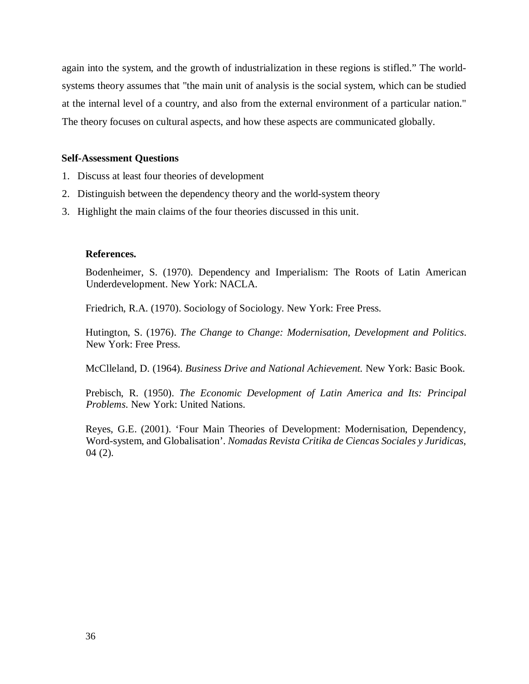again into the system, and the growth of industrialization in these regions is stifled." The worldsystems theory assumes that "the main unit of analysis is the social system, which can be studied at the internal level of a country, and also from the external environment of a particular nation." The theory focuses on cultural aspects, and how these aspects are communicated globally.

## **Self-Assessment Questions**

- 1. Discuss at least four theories of development
- 2. Distinguish between the dependency theory and the world-system theory
- 3. Highlight the main claims of the four theories discussed in this unit.

## **References.**

Bodenheimer, S. (1970). Dependency and Imperialism: The Roots of Latin American Underdevelopment. New York: NACLA.

Friedrich, R.A. (1970). Sociology of Sociology. New York: Free Press.

Hutington, S. (1976). *The Change to Change: Modernisation, Development and Politics*. New York: Free Press.

McClleland, D. (1964). *Business Drive and National Achievement.* New York: Basic Book.

Prebisch, R. (1950). *The Economic Development of Latin America and Its: Principal Problems*. New York: United Nations.

Reyes, G.E. (2001). 'Four Main Theories of Development: Modernisation, Dependency, Word-system, and Globalisation'. *Nomadas Revista Critika de Ciencas Sociales y Juridicas*,  $04(2)$ .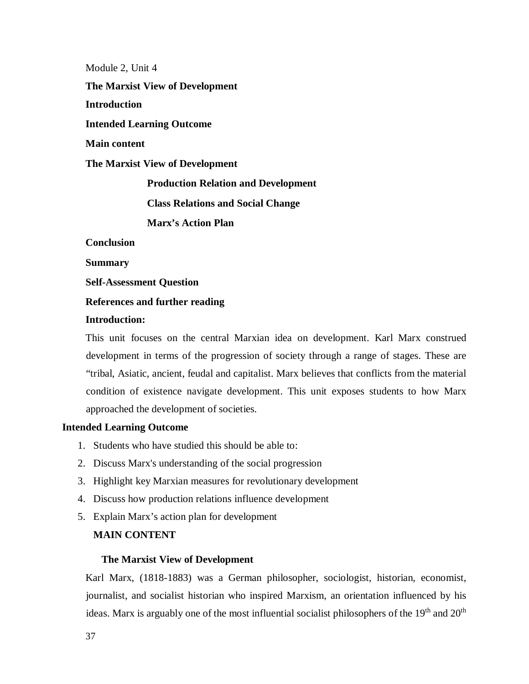Module 2, Unit 4 **The Marxist View of Development Introduction Intended Learning Outcome Main content The Marxist View of Development Production Relation and Development Class Relations and Social Change Marx's Action Plan Conclusion** 

**Summary** 

**Self-Assessment Question** 

# **References and further reading**

### **Introduction:**

This unit focuses on the central Marxian idea on development. Karl Marx construed development in terms of the progression of society through a range of stages. These are "tribal, Asiatic, ancient, feudal and capitalist. Marx believes that conflicts from the material condition of existence navigate development. This unit exposes students to how Marx approached the development of societies.

# **Intended Learning Outcome**

- 1. Students who have studied this should be able to:
- 2. Discuss Marx's understanding of the social progression
- 3. Highlight key Marxian measures for revolutionary development
- 4. Discuss how production relations influence development
- 5. Explain Marx's action plan for development

### **MAIN CONTENT**

#### **The Marxist View of Development**

Karl Marx, (1818-1883) was a German philosopher, sociologist, historian, economist, journalist, and socialist historian who inspired Marxism, an orientation influenced by his ideas. Marx is arguably one of the most influential socialist philosophers of the  $19<sup>th</sup>$  and  $20<sup>th</sup>$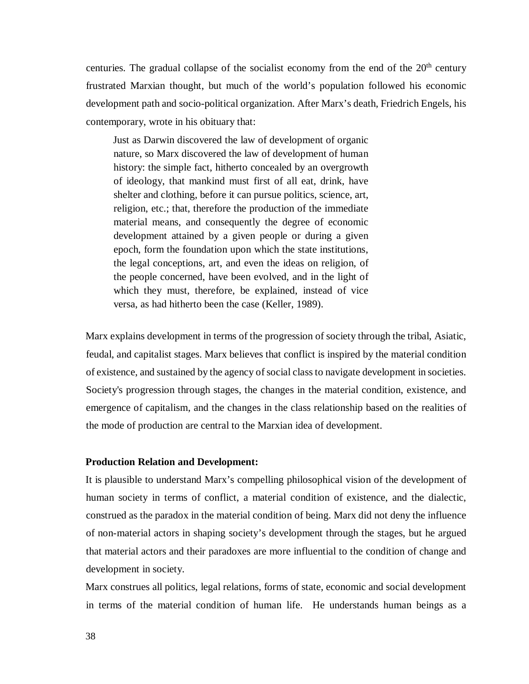centuries. The gradual collapse of the socialist economy from the end of the  $20<sup>th</sup>$  century frustrated Marxian thought, but much of the world's population followed his economic development path and socio-political organization. After Marx's death, Friedrich Engels, his contemporary, wrote in his obituary that:

Just as Darwin discovered the law of development of organic nature, so Marx discovered the law of development of human history: the simple fact, hitherto concealed by an overgrowth of ideology, that mankind must first of all eat, drink, have shelter and clothing, before it can pursue politics, science, art, religion, etc.; that, therefore the production of the immediate material means, and consequently the degree of economic development attained by a given people or during a given epoch, form the foundation upon which the state institutions, the legal conceptions, art, and even the ideas on religion, of the people concerned, have been evolved, and in the light of which they must, therefore, be explained, instead of vice versa, as had hitherto been the case (Keller, 1989).

Marx explains development in terms of the progression of society through the tribal, Asiatic, feudal, and capitalist stages. Marx believes that conflict is inspired by the material condition of existence, and sustained by the agency of social class to navigate development in societies. Society's progression through stages, the changes in the material condition, existence, and emergence of capitalism, and the changes in the class relationship based on the realities of the mode of production are central to the Marxian idea of development.

# **Production Relation and Development:**

It is plausible to understand Marx's compelling philosophical vision of the development of human society in terms of conflict, a material condition of existence, and the dialectic, construed as the paradox in the material condition of being. Marx did not deny the influence of non-material actors in shaping society's development through the stages, but he argued that material actors and their paradoxes are more influential to the condition of change and development in society.

Marx construes all politics, legal relations, forms of state, economic and social development in terms of the material condition of human life. He understands human beings as a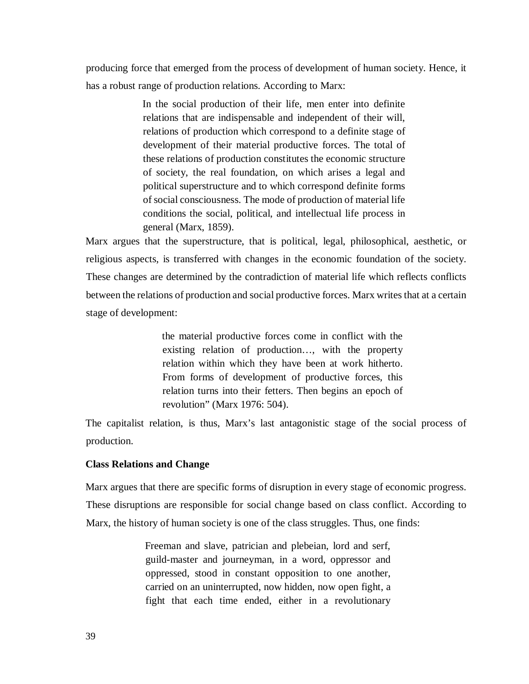producing force that emerged from the process of development of human society. Hence, it has a robust range of production relations. According to Marx:

> In the social production of their life, men enter into definite relations that are indispensable and independent of their will, relations of production which correspond to a definite stage of development of their material productive forces. The total of these relations of production constitutes the economic structure of society, the real foundation, on which arises a legal and political superstructure and to which correspond definite forms of social consciousness. The mode of production of material life conditions the social, political, and intellectual life process in general (Marx, 1859).

Marx argues that the superstructure, that is political, legal, philosophical, aesthetic, or religious aspects, is transferred with changes in the economic foundation of the society. These changes are determined by the contradiction of material life which reflects conflicts between the relations of production and social productive forces. Marx writes that at a certain stage of development:

> the material productive forces come in conflict with the existing relation of production…, with the property relation within which they have been at work hitherto. From forms of development of productive forces, this relation turns into their fetters. Then begins an epoch of revolution" (Marx 1976: 504).

The capitalist relation, is thus, Marx's last antagonistic stage of the social process of production.

# **Class Relations and Change**

Marx argues that there are specific forms of disruption in every stage of economic progress. These disruptions are responsible for social change based on class conflict. According to Marx, the history of human society is one of the class struggles. Thus, one finds:

> Freeman and slave, patrician and plebeian, lord and serf, guild-master and journeyman, in a word, oppressor and oppressed, stood in constant opposition to one another, carried on an uninterrupted, now hidden, now open fight, a fight that each time ended, either in a revolutionary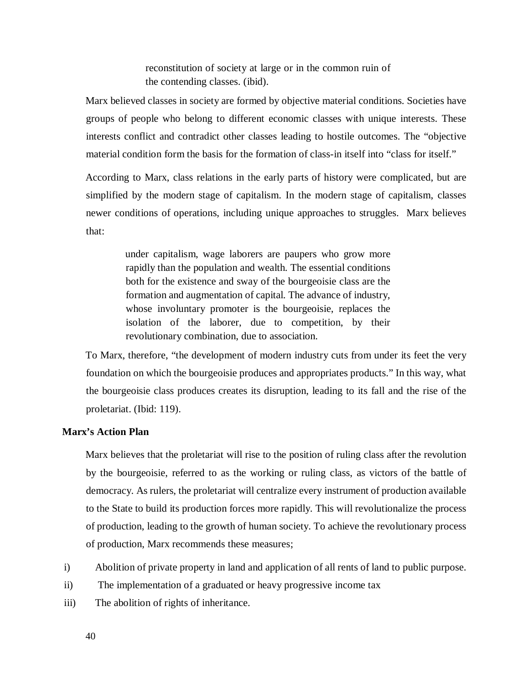reconstitution of society at large or in the common ruin of the contending classes. (ibid).

Marx believed classes in society are formed by objective material conditions. Societies have groups of people who belong to different economic classes with unique interests. These interests conflict and contradict other classes leading to hostile outcomes. The "objective material condition form the basis for the formation of class-in itself into "class for itself."

According to Marx, class relations in the early parts of history were complicated, but are simplified by the modern stage of capitalism. In the modern stage of capitalism, classes newer conditions of operations, including unique approaches to struggles. Marx believes that:

> under capitalism, wage laborers are paupers who grow more rapidly than the population and wealth. The essential conditions both for the existence and sway of the bourgeoisie class are the formation and augmentation of capital. The advance of industry, whose involuntary promoter is the bourgeoisie, replaces the isolation of the laborer, due to competition, by their revolutionary combination, due to association.

To Marx, therefore, "the development of modern industry cuts from under its feet the very foundation on which the bourgeoisie produces and appropriates products." In this way, what the bourgeoisie class produces creates its disruption, leading to its fall and the rise of the proletariat. (Ibid: 119).

# **Marx's Action Plan**

Marx believes that the proletariat will rise to the position of ruling class after the revolution by the bourgeoisie, referred to as the working or ruling class, as victors of the battle of democracy. As rulers, the proletariat will centralize every instrument of production available to the State to build its production forces more rapidly. This will revolutionalize the process of production, leading to the growth of human society. To achieve the revolutionary process of production, Marx recommends these measures;

- i) Abolition of private property in land and application of all rents of land to public purpose.
- ii) The implementation of a graduated or heavy progressive income tax
- iii) The abolition of rights of inheritance.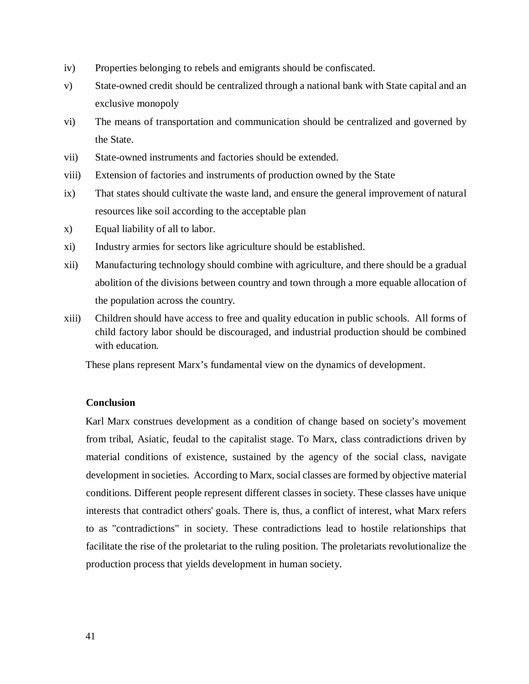- iv) Properties belonging to rebels and emigrants should be confiscated.
- v) State-owned credit should be centralized through a national bank with State capital and an exclusive monopoly
- vi) The means of transportation and communication should be centralized and governed by the State.
- vii) State-owned instruments and factories should be extended.
- viii) Extension of factories and instruments of production owned by the State
- ix) That states should cultivate the waste land, and ensure the general improvement of natural resources like soil according to the acceptable plan
- x) Equal liability of all to labor.
- xi) Industry armies for sectors like agriculture should be established.
- xii) Manufacturing technology should combine with agriculture, and there should be a gradual abolition of the divisions between country and town through a more equable allocation of the population across the country.
- xiii) Children should have access to free and quality education in public schools. All forms of child factory labor should be discouraged, and industrial production should be combined with education.

These plans represent Marx's fundamental view on the dynamics of development.

# **Conclusion**

Karl Marx construes development as a condition of change based on society's movement from tribal, Asiatic, feudal to the capitalist stage. To Marx, class contradictions driven by material conditions of existence, sustained by the agency of the social class, navigate development in societies. According to Marx, social classes are formed by objective material conditions. Different people represent different classes in society. These classes have unique interests that contradict others' goals. There is, thus, a conflict of interest, what Marx refers to as "contradictions" in society. These contradictions lead to hostile relationships that facilitate the rise of the proletariat to the ruling position. The proletariats revolutionalize the production process that yields development in human society.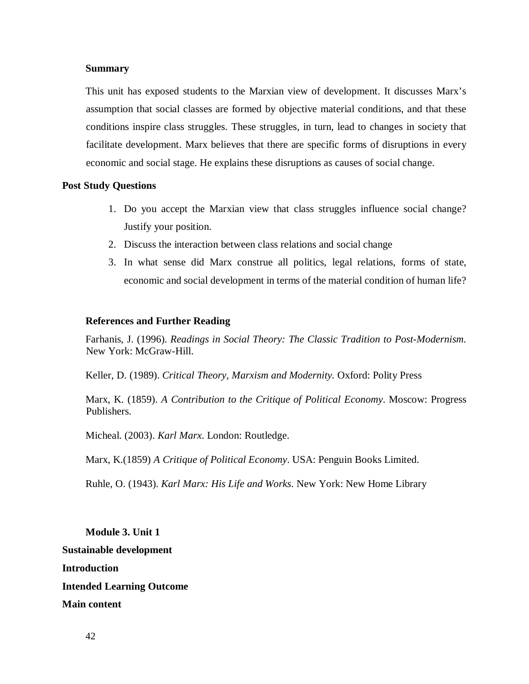#### **Summary**

This unit has exposed students to the Marxian view of development. It discusses Marx's assumption that social classes are formed by objective material conditions, and that these conditions inspire class struggles. These struggles, in turn, lead to changes in society that facilitate development. Marx believes that there are specific forms of disruptions in every economic and social stage. He explains these disruptions as causes of social change.

# **Post Study Questions**

- 1. Do you accept the Marxian view that class struggles influence social change? Justify your position.
- 2. Discuss the interaction between class relations and social change
- 3. In what sense did Marx construe all politics, legal relations, forms of state, economic and social development in terms of the material condition of human life?

#### **References and Further Reading**

Farhanis, J. (1996). *Readings in Social Theory: The Classic Tradition to Post-Modernism.* New York: McGraw-Hill.

Keller, D. (1989). *Critical Theory, Marxism and Modernity.* Oxford: Polity Press

Marx, K. (1859). *A Contribution to the Critique of Political Economy*. Moscow: Progress Publishers.

Micheal. (2003). *Karl Marx*. London: Routledge.

Marx, K.(1859) *A Critique of Political Economy*. USA: Penguin Books Limited.

Ruhle, O. (1943). *Karl Marx: His Life and Works*. New York: New Home Library

**Module 3. Unit 1 Sustainable development Introduction Intended Learning Outcome Main content**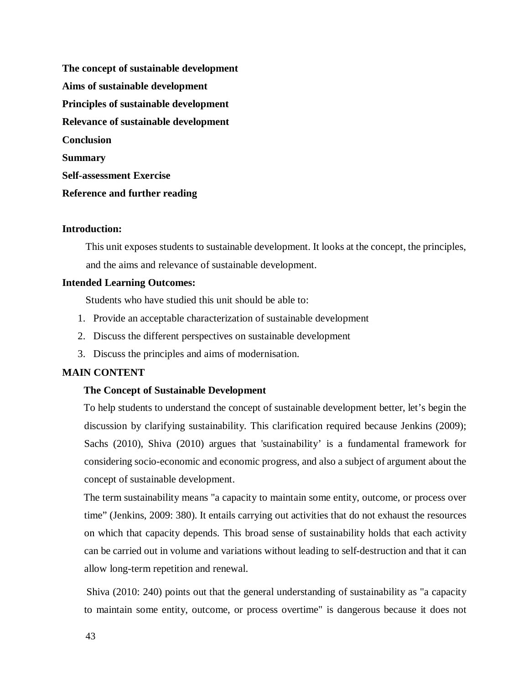**The concept of sustainable development Aims of sustainable development Principles of sustainable development Relevance of sustainable development Conclusion Summary Self-assessment Exercise Reference and further reading** 

# **Introduction:**

This unit exposes students to sustainable development. It looks at the concept, the principles, and the aims and relevance of sustainable development.

### **Intended Learning Outcomes:**

Students who have studied this unit should be able to:

- 1. Provide an acceptable characterization of sustainable development
- 2. Discuss the different perspectives on sustainable development
- 3. Discuss the principles and aims of modernisation.

# **MAIN CONTENT**

#### **The Concept of Sustainable Development**

To help students to understand the concept of sustainable development better, let's begin the discussion by clarifying sustainability. This clarification required because Jenkins (2009); Sachs (2010), Shiva (2010) argues that 'sustainability' is a fundamental framework for considering socio-economic and economic progress, and also a subject of argument about the concept of sustainable development.

The term sustainability means "a capacity to maintain some entity, outcome, or process over time" (Jenkins, 2009: 380). It entails carrying out activities that do not exhaust the resources on which that capacity depends. This broad sense of sustainability holds that each activity can be carried out in volume and variations without leading to self-destruction and that it can allow long-term repetition and renewal.

 Shiva (2010: 240) points out that the general understanding of sustainability as "a capacity to maintain some entity, outcome, or process overtime" is dangerous because it does not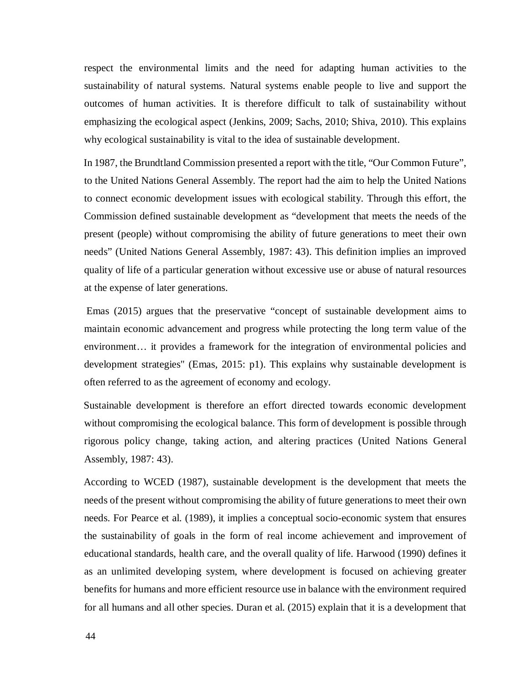respect the environmental limits and the need for adapting human activities to the sustainability of natural systems. Natural systems enable people to live and support the outcomes of human activities. It is therefore difficult to talk of sustainability without emphasizing the ecological aspect (Jenkins, 2009; Sachs, 2010; Shiva, 2010). This explains why ecological sustainability is vital to the idea of sustainable development.

In 1987, the Brundtland Commission presented a report with the title, "Our Common Future", to the United Nations General Assembly. The report had the aim to help the United Nations to connect economic development issues with ecological stability. Through this effort, the Commission defined sustainable development as "development that meets the needs of the present (people) without compromising the ability of future generations to meet their own needs" (United Nations General Assembly, 1987: 43). This definition implies an improved quality of life of a particular generation without excessive use or abuse of natural resources at the expense of later generations.

 Emas (2015) argues that the preservative "concept of sustainable development aims to maintain economic advancement and progress while protecting the long term value of the environment… it provides a framework for the integration of environmental policies and development strategies" (Emas, 2015: p1). This explains why sustainable development is often referred to as the agreement of economy and ecology.

Sustainable development is therefore an effort directed towards economic development without compromising the ecological balance. This form of development is possible through rigorous policy change, taking action, and altering practices (United Nations General Assembly, 1987: 43).

According to WCED (1987), sustainable development is the development that meets the needs of the present without compromising the ability of future generations to meet their own needs. For Pearce et al. (1989), it implies a conceptual socio-economic system that ensures the sustainability of goals in the form of real income achievement and improvement of educational standards, health care, and the overall quality of life. Harwood (1990) defines it as an unlimited developing system, where development is focused on achieving greater benefits for humans and more efficient resource use in balance with the environment required for all humans and all other species. Duran et al. (2015) explain that it is a development that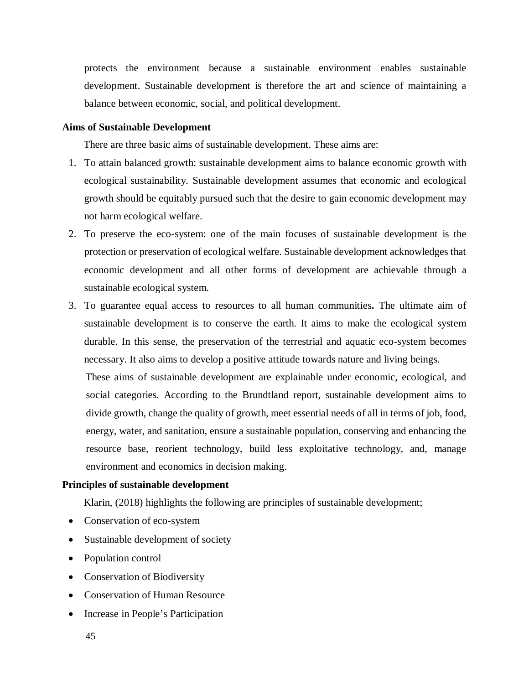protects the environment because a sustainable environment enables sustainable development. Sustainable development is therefore the art and science of maintaining a balance between economic, social, and political development.

# **Aims of Sustainable Development**

There are three basic aims of sustainable development. These aims are:

- 1. To attain balanced growth: sustainable development aims to balance economic growth with ecological sustainability. Sustainable development assumes that economic and ecological growth should be equitably pursued such that the desire to gain economic development may not harm ecological welfare.
- 2. To preserve the eco-system: one of the main focuses of sustainable development is the protection or preservation of ecological welfare. Sustainable development acknowledges that economic development and all other forms of development are achievable through a sustainable ecological system.
- 3. To guarantee equal access to resources to all human communities**.** The ultimate aim of sustainable development is to conserve the earth. It aims to make the ecological system durable. In this sense, the preservation of the terrestrial and aquatic eco-system becomes necessary. It also aims to develop a positive attitude towards nature and living beings.

These aims of sustainable development are explainable under economic, ecological, and social categories. According to the Brundtland report, sustainable development aims to divide growth, change the quality of growth, meet essential needs of all in terms of job, food, energy, water, and sanitation, ensure a sustainable population, conserving and enhancing the resource base, reorient technology, build less exploitative technology, and, manage environment and economics in decision making.

# **Principles of sustainable development**

Klarin, (2018) highlights the following are principles of sustainable development;

- Conservation of eco-system
- Sustainable development of society
- Population control
- Conservation of Biodiversity
- Conservation of Human Resource
- Increase in People's Participation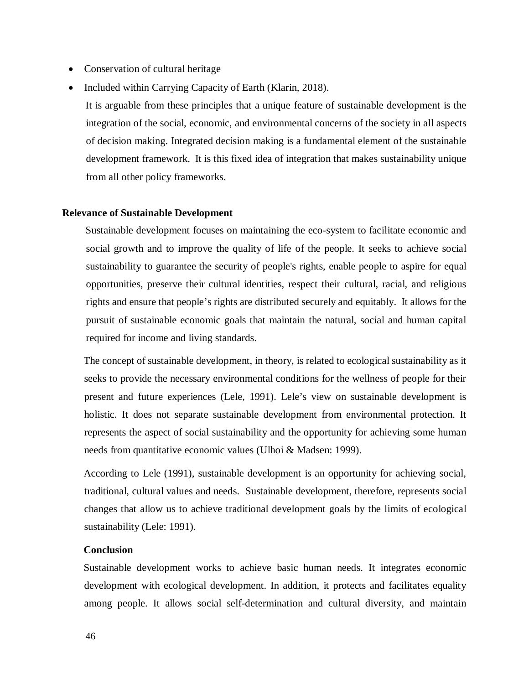- Conservation of cultural heritage
- Included within Carrying Capacity of Earth (Klarin, 2018).

It is arguable from these principles that a unique feature of sustainable development is the integration of the social, economic, and environmental concerns of the society in all aspects of decision making. Integrated decision making is a fundamental element of the sustainable development framework. It is this fixed idea of integration that makes sustainability unique from all other policy frameworks.

### **Relevance of Sustainable Development**

Sustainable development focuses on maintaining the eco-system to facilitate economic and social growth and to improve the quality of life of the people. It seeks to achieve social sustainability to guarantee the security of people's rights, enable people to aspire for equal opportunities, preserve their cultural identities, respect their cultural, racial, and religious rights and ensure that people's rights are distributed securely and equitably. It allows for the pursuit of sustainable economic goals that maintain the natural, social and human capital required for income and living standards.

The concept of sustainable development, in theory, is related to ecological sustainability as it seeks to provide the necessary environmental conditions for the wellness of people for their present and future experiences (Lele, 1991). Lele's view on sustainable development is holistic. It does not separate sustainable development from environmental protection. It represents the aspect of social sustainability and the opportunity for achieving some human needs from quantitative economic values (Ulhoi & Madsen: 1999).

According to Lele (1991), sustainable development is an opportunity for achieving social, traditional, cultural values and needs. Sustainable development, therefore, represents social changes that allow us to achieve traditional development goals by the limits of ecological sustainability (Lele: 1991).

#### **Conclusion**

Sustainable development works to achieve basic human needs. It integrates economic development with ecological development. In addition, it protects and facilitates equality among people. It allows social self-determination and cultural diversity, and maintain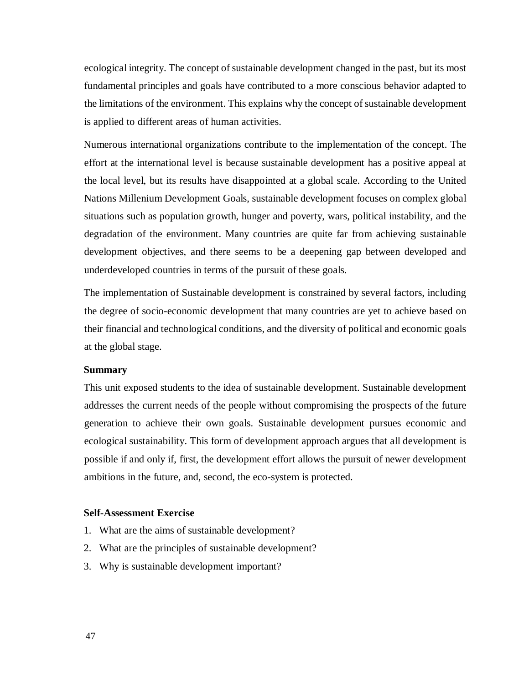ecological integrity. The concept of sustainable development changed in the past, but its most fundamental principles and goals have contributed to a more conscious behavior adapted to the limitations of the environment. This explains why the concept of sustainable development is applied to different areas of human activities.

Numerous international organizations contribute to the implementation of the concept. The effort at the international level is because sustainable development has a positive appeal at the local level, but its results have disappointed at a global scale. According to the United Nations Millenium Development Goals, sustainable development focuses on complex global situations such as population growth, hunger and poverty, wars, political instability, and the degradation of the environment. Many countries are quite far from achieving sustainable development objectives, and there seems to be a deepening gap between developed and underdeveloped countries in terms of the pursuit of these goals.

The implementation of Sustainable development is constrained by several factors, including the degree of socio-economic development that many countries are yet to achieve based on their financial and technological conditions, and the diversity of political and economic goals at the global stage.

# **Summary**

This unit exposed students to the idea of sustainable development. Sustainable development addresses the current needs of the people without compromising the prospects of the future generation to achieve their own goals. Sustainable development pursues economic and ecological sustainability. This form of development approach argues that all development is possible if and only if, first, the development effort allows the pursuit of newer development ambitions in the future, and, second, the eco-system is protected.

### **Self-Assessment Exercise**

- 1. What are the aims of sustainable development?
- 2. What are the principles of sustainable development?
- 3. Why is sustainable development important?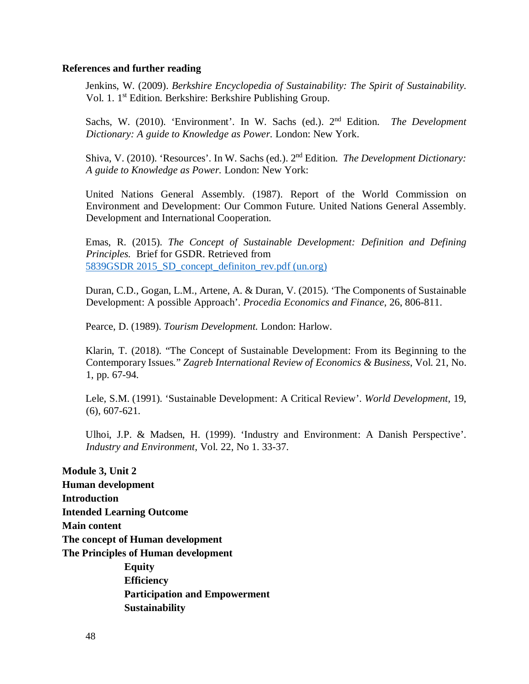#### **References and further reading**

Jenkins, W. (2009). *Berkshire Encyclopedia of Sustainability: The Spirit of Sustainability.* Vol. 1. 1st Edition. Berkshire: Berkshire Publishing Group.

Sachs, W. (2010). 'Environment'. In W. Sachs (ed.). 2nd Edition. *The Development Dictionary: A guide to Knowledge as Power.* London: New York.

Shiva, V. (2010). 'Resources'. In W. Sachs (ed.). 2nd Edition. *The Development Dictionary: A guide to Knowledge as Power.* London: New York:

United Nations General Assembly. (1987). Report of the World Commission on Environment and Development: Our Common Future. United Nations General Assembly. Development and International Cooperation.

Emas, R. (2015). *The Concept of Sustainable Development: Definition and Defining Principles.* Brief for GSDR. Retrieved from 5839GSDR 2015 SD\_concept\_definiton\_rev.pdf (un.org)

Duran, C.D., Gogan, L.M., Artene, A. & Duran, V. (2015). 'The Components of Sustainable Development: A possible Approach'. *Procedia Economics and Finance*, 26, 806-811.

Pearce, D. (1989). *Tourism Development.* London: Harlow.

Klarin, T. (2018). "The Concept of Sustainable Development: From its Beginning to the Contemporary Issues*.*" *Zagreb International Review of Economics & Business*, Vol. 21, No. 1, pp. 67-94.

Lele, S.M. (1991). 'Sustainable Development: A Critical Review'. *World Development*, 19, (6), 607-621.

Ulhoi, J.P. & Madsen, H. (1999). 'Industry and Environment: A Danish Perspective'. *Industry and Environment*, Vol. 22, No 1. 33-37.

**Module 3, Unit 2 Human development Introduction Intended Learning Outcome Main content The concept of Human development The Principles of Human development Equity Efficiency Participation and Empowerment Sustainability**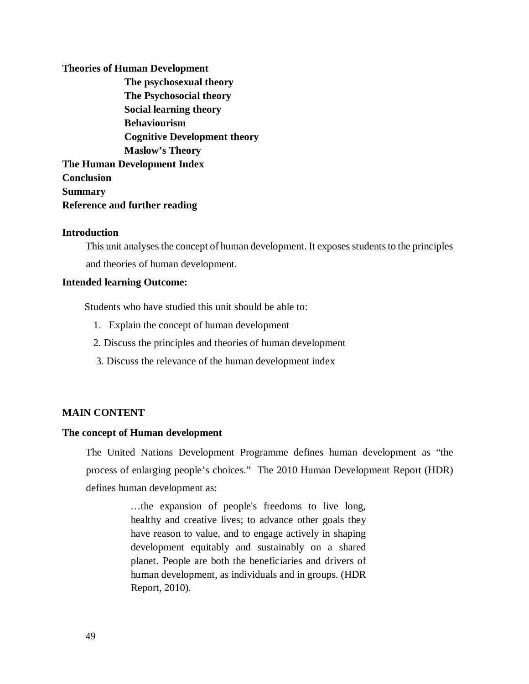# **Theories of Human Development The psychosexual theory The Psychosocial theory Social learning theory Behaviourism Cognitive Development theory Maslow's Theory The Human Development Index Conclusion Summary Reference and further reading**

# **Introduction**

This unit analyses the concept of human development. It exposes students to the principles and theories of human development.

# **Intended learning Outcome:**

Students who have studied this unit should be able to:

- 1. Explain the concept of human development
- 2. Discuss the principles and theories of human development
- 3. Discuss the relevance of the human development index

# **MAIN CONTENT**

# **The concept of Human development**

The United Nations Development Programme defines human development as "the process of enlarging people's choices." The 2010 Human Development Report (HDR) defines human development as:

> …the expansion of people's freedoms to live long, healthy and creative lives; to advance other goals they have reason to value, and to engage actively in shaping development equitably and sustainably on a shared planet. People are both the beneficiaries and drivers of human development, as individuals and in groups. (HDR Report, 2010).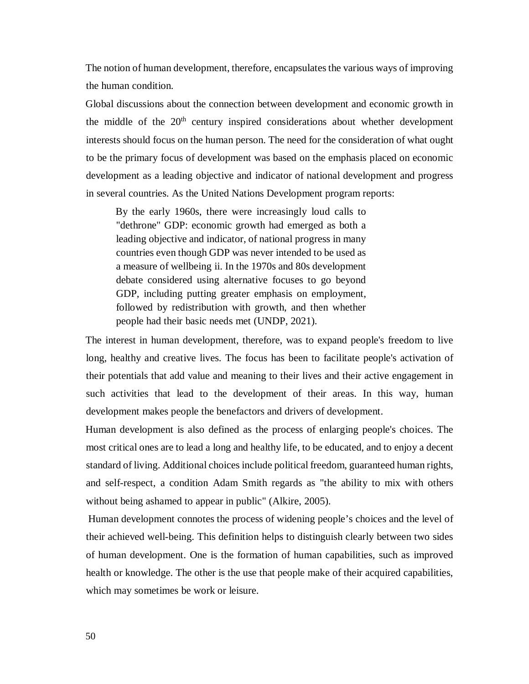The notion of human development, therefore, encapsulates the various ways of improving the human condition.

Global discussions about the connection between development and economic growth in the middle of the  $20<sup>th</sup>$  century inspired considerations about whether development interests should focus on the human person. The need for the consideration of what ought to be the primary focus of development was based on the emphasis placed on economic development as a leading objective and indicator of national development and progress in several countries. As the United Nations Development program reports:

By the early 1960s, there were increasingly loud calls to "dethrone" GDP: economic growth had emerged as both a leading objective and indicator, of national progress in many countries even though GDP was never intended to be used as a measure of wellbeing ii. In the 1970s and 80s development debate considered using alternative focuses to go beyond GDP, including putting greater emphasis on employment, followed by redistribution with growth, and then whether people had their basic needs met (UNDP, 2021).

The interest in human development, therefore, was to expand people's freedom to live long, healthy and creative lives. The focus has been to facilitate people's activation of their potentials that add value and meaning to their lives and their active engagement in such activities that lead to the development of their areas. In this way, human development makes people the benefactors and drivers of development.

Human development is also defined as the process of enlarging people's choices. The most critical ones are to lead a long and healthy life, to be educated, and to enjoy a decent standard of living. Additional choices include political freedom, guaranteed human rights, and self-respect, a condition Adam Smith regards as "the ability to mix with others without being ashamed to appear in public" (Alkire, 2005).

 Human development connotes the process of widening people's choices and the level of their achieved well-being. This definition helps to distinguish clearly between two sides of human development. One is the formation of human capabilities, such as improved health or knowledge. The other is the use that people make of their acquired capabilities, which may sometimes be work or leisure.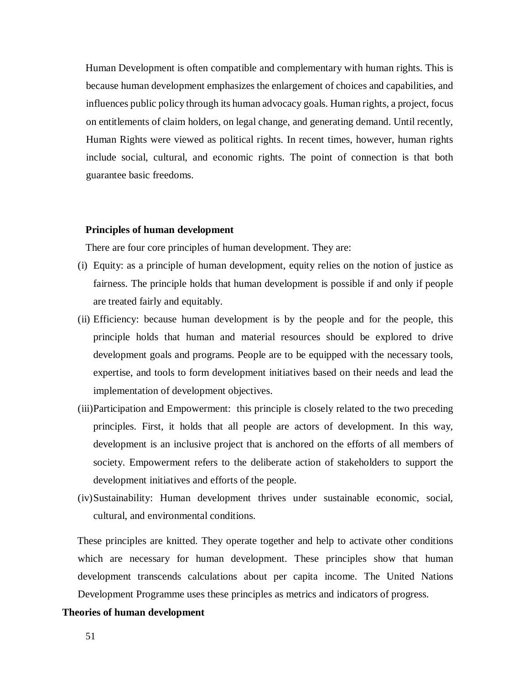Human Development is often compatible and complementary with human rights. This is because human development emphasizes the enlargement of choices and capabilities, and influences public policy through its human advocacy goals. Human rights, a project, focus on entitlements of claim holders, on legal change, and generating demand. Until recently, Human Rights were viewed as political rights. In recent times, however, human rights include social, cultural, and economic rights. The point of connection is that both guarantee basic freedoms.

#### **Principles of human development**

There are four core principles of human development. They are:

- (i) Equity: as a principle of human development, equity relies on the notion of justice as fairness. The principle holds that human development is possible if and only if people are treated fairly and equitably.
- (ii) Efficiency: because human development is by the people and for the people, this principle holds that human and material resources should be explored to drive development goals and programs. People are to be equipped with the necessary tools, expertise, and tools to form development initiatives based on their needs and lead the implementation of development objectives.
- (iii)Participation and Empowerment: this principle is closely related to the two preceding principles. First, it holds that all people are actors of development. In this way, development is an inclusive project that is anchored on the efforts of all members of society. Empowerment refers to the deliberate action of stakeholders to support the development initiatives and efforts of the people.
- (iv)Sustainability: Human development thrives under sustainable economic, social, cultural, and environmental conditions.

These principles are knitted. They operate together and help to activate other conditions which are necessary for human development. These principles show that human development transcends calculations about per capita income. The United Nations Development Programme uses these principles as metrics and indicators of progress.

#### **Theories of human development**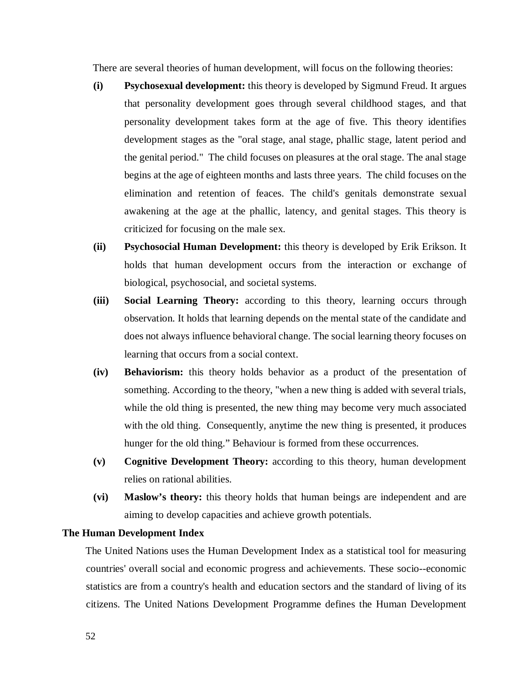There are several theories of human development, will focus on the following theories:

- **(i) Psychosexual development:** this theory is developed by Sigmund Freud. It argues that personality development goes through several childhood stages, and that personality development takes form at the age of five. This theory identifies development stages as the "oral stage, anal stage, phallic stage, latent period and the genital period." The child focuses on pleasures at the oral stage. The anal stage begins at the age of eighteen months and lasts three years. The child focuses on the elimination and retention of feaces. The child's genitals demonstrate sexual awakening at the age at the phallic, latency, and genital stages. This theory is criticized for focusing on the male sex.
- **(ii) Psychosocial Human Development:** this theory is developed by Erik Erikson. It holds that human development occurs from the interaction or exchange of biological, psychosocial, and societal systems.
- **(iii) Social Learning Theory:** according to this theory, learning occurs through observation. It holds that learning depends on the mental state of the candidate and does not always influence behavioral change. The social learning theory focuses on learning that occurs from a social context.
- **(iv) Behaviorism:** this theory holds behavior as a product of the presentation of something. According to the theory, "when a new thing is added with several trials, while the old thing is presented, the new thing may become very much associated with the old thing. Consequently, anytime the new thing is presented, it produces hunger for the old thing." Behaviour is formed from these occurrences.
- **(v) Cognitive Development Theory:** according to this theory, human development relies on rational abilities.
- **(vi) Maslow's theory:** this theory holds that human beings are independent and are aiming to develop capacities and achieve growth potentials.

### **The Human Development Index**

The United Nations uses the Human Development Index as a statistical tool for measuring countries' overall social and economic progress and achievements. These socio--economic statistics are from a country's health and education sectors and the standard of living of its citizens. The United Nations Development Programme defines the Human Development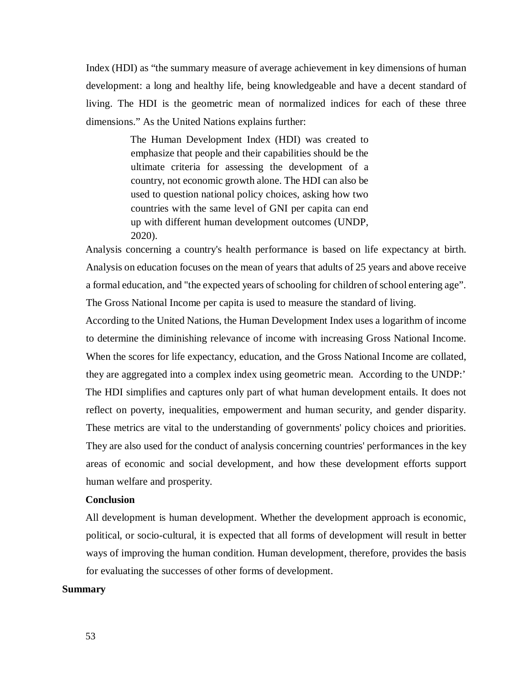Index (HDI) as "the summary measure of average achievement in key dimensions of human development: a long and healthy life, being knowledgeable and have a decent standard of living. The HDI is the geometric mean of normalized indices for each of these three dimensions." As the United Nations explains further:

> The Human Development Index (HDI) was created to emphasize that people and their capabilities should be the ultimate criteria for assessing the development of a country, not economic growth alone. The HDI can also be used to question national policy choices, asking how two countries with the same level of GNI per capita can end up with different human development outcomes (UNDP, 2020).

Analysis concerning a country's health performance is based on life expectancy at birth. Analysis on education focuses on the mean of years that adults of 25 years and above receive a formal education, and "the expected years of schooling for children of school entering age". The Gross National Income per capita is used to measure the standard of living.

According to the United Nations, the Human Development Index uses a logarithm of income to determine the diminishing relevance of income with increasing Gross National Income. When the scores for life expectancy, education, and the Gross National Income are collated, they are aggregated into a complex index using geometric mean. According to the UNDP:' The HDI simplifies and captures only part of what human development entails. It does not reflect on poverty, inequalities, empowerment and human security, and gender disparity. These metrics are vital to the understanding of governments' policy choices and priorities. They are also used for the conduct of analysis concerning countries' performances in the key areas of economic and social development, and how these development efforts support human welfare and prosperity.

# **Conclusion**

All development is human development. Whether the development approach is economic, political, or socio-cultural, it is expected that all forms of development will result in better ways of improving the human condition. Human development, therefore, provides the basis for evaluating the successes of other forms of development.

# **Summary**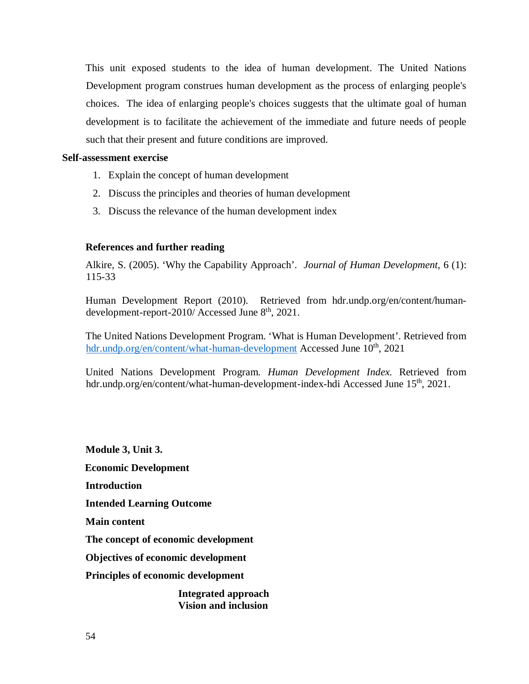This unit exposed students to the idea of human development. The United Nations Development program construes human development as the process of enlarging people's choices. The idea of enlarging people's choices suggests that the ultimate goal of human development is to facilitate the achievement of the immediate and future needs of people such that their present and future conditions are improved.

#### **Self-assessment exercise**

- 1. Explain the concept of human development
- 2. Discuss the principles and theories of human development
- 3. Discuss the relevance of the human development index

# **References and further reading**

Alkire, S. (2005). 'Why the Capability Approach'. *Journal of Human Development*, 6 (1): 115-33

Human Development Report (2010). Retrieved from hdr.undp.org/en/content/humandevelopment-report-2010/ Accessed June 8<sup>th</sup>, 2021.

The United Nations Development Program. 'What is Human Development'. Retrieved from hdr.undp.org/en/content/what-human-development Accessed June 10<sup>th</sup>, 2021

United Nations Development Program. *Human Development Index.* Retrieved from hdr.undp.org/en/content/what-human-development-index-hdi Accessed June 15<sup>th</sup>, 2021.

**Module 3, Unit 3. Economic Development Introduction Intended Learning Outcome Main content The concept of economic development Objectives of economic development Principles of economic development Integrated approach Vision and inclusion**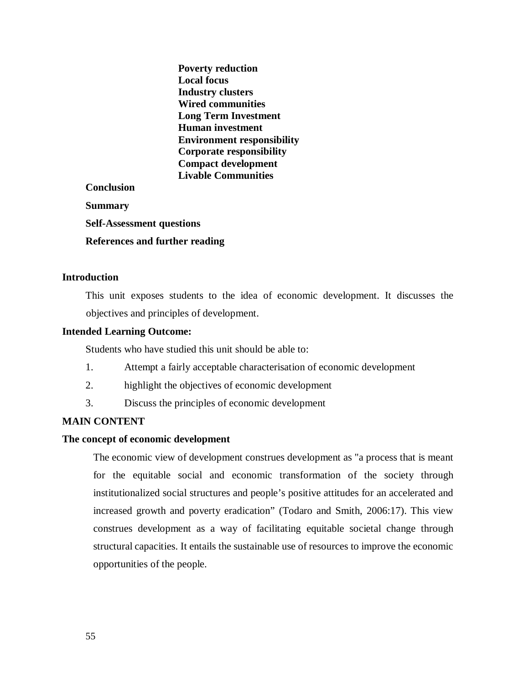|                                       | <b>Poverty reduction</b>          |
|---------------------------------------|-----------------------------------|
|                                       | Local focus                       |
|                                       | <b>Industry clusters</b>          |
|                                       | <b>Wired communities</b>          |
|                                       | <b>Long Term Investment</b>       |
|                                       | <b>Human investment</b>           |
|                                       | <b>Environment responsibility</b> |
|                                       | <b>Corporate responsibility</b>   |
|                                       | <b>Compact development</b>        |
|                                       | <b>Livable Communities</b>        |
| <b>Conclusion</b>                     |                                   |
| <b>Summary</b>                        |                                   |
| <b>Self-Assessment questions</b>      |                                   |
| <b>References and further reading</b> |                                   |

# **Introduction**

This unit exposes students to the idea of economic development. It discusses the objectives and principles of development.

#### **Intended Learning Outcome:**

Students who have studied this unit should be able to:

- 1. Attempt a fairly acceptable characterisation of economic development
- 2. highlight the objectives of economic development
- 3. Discuss the principles of economic development

# **MAIN CONTENT**

### **The concept of economic development**

The economic view of development construes development as "a process that is meant for the equitable social and economic transformation of the society through institutionalized social structures and people's positive attitudes for an accelerated and increased growth and poverty eradication" (Todaro and Smith, 2006:17). This view construes development as a way of facilitating equitable societal change through structural capacities. It entails the sustainable use of resources to improve the economic opportunities of the people.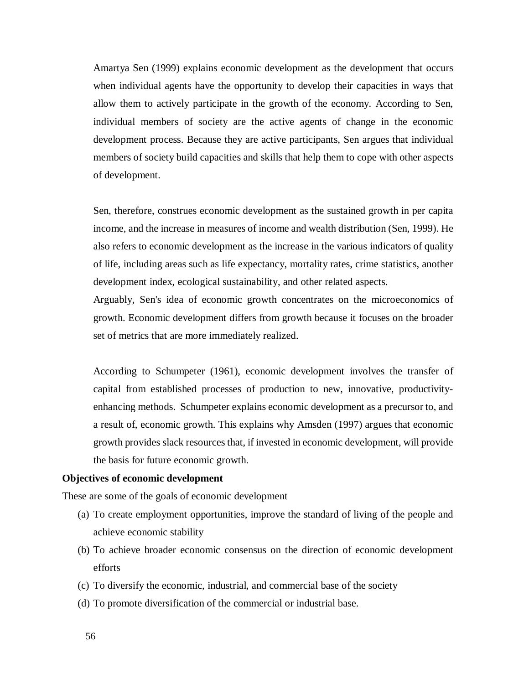Amartya Sen (1999) explains economic development as the development that occurs when individual agents have the opportunity to develop their capacities in ways that allow them to actively participate in the growth of the economy. According to Sen, individual members of society are the active agents of change in the economic development process. Because they are active participants, Sen argues that individual members of society build capacities and skills that help them to cope with other aspects of development.

Sen, therefore, construes economic development as the sustained growth in per capita income, and the increase in measures of income and wealth distribution (Sen, 1999). He also refers to economic development as the increase in the various indicators of quality of life, including areas such as life expectancy, mortality rates, crime statistics, another development index, ecological sustainability, and other related aspects.

Arguably, Sen's idea of economic growth concentrates on the microeconomics of growth. Economic development differs from growth because it focuses on the broader set of metrics that are more immediately realized.

According to Schumpeter (1961), economic development involves the transfer of capital from established processes of production to new, innovative, productivityenhancing methods. Schumpeter explains economic development as a precursor to, and a result of, economic growth. This explains why Amsden (1997) argues that economic growth provides slack resources that, if invested in economic development, will provide the basis for future economic growth.

#### **Objectives of economic development**

These are some of the goals of economic development

- (a) To create employment opportunities, improve the standard of living of the people and achieve economic stability
- (b) To achieve broader economic consensus on the direction of economic development efforts
- (c) To diversify the economic, industrial, and commercial base of the society
- (d) To promote diversification of the commercial or industrial base.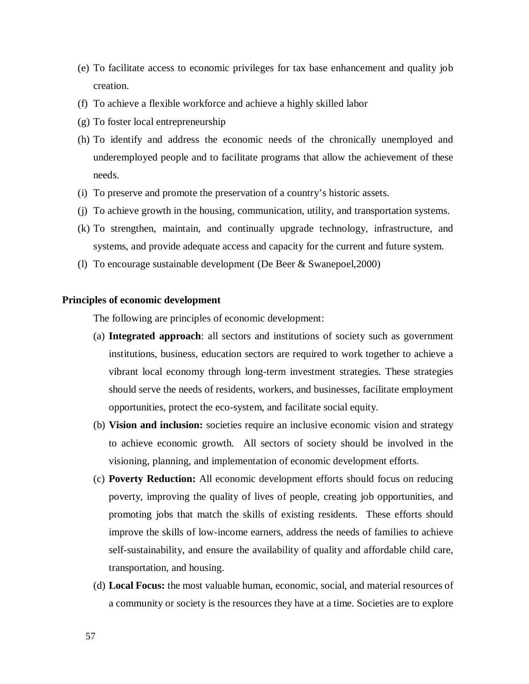- (e) To facilitate access to economic privileges for tax base enhancement and quality job creation.
- (f) To achieve a flexible workforce and achieve a highly skilled labor
- (g) To foster local entrepreneurship
- (h) To identify and address the economic needs of the chronically unemployed and underemployed people and to facilitate programs that allow the achievement of these needs.
- (i) To preserve and promote the preservation of a country's historic assets.
- (j) To achieve growth in the housing, communication, utility, and transportation systems.
- (k) To strengthen, maintain, and continually upgrade technology, infrastructure, and systems, and provide adequate access and capacity for the current and future system.
- (l) To encourage sustainable development (De Beer & Swanepoel,2000)

### **Principles of economic development**

The following are principles of economic development:

- (a) **Integrated approach**: all sectors and institutions of society such as government institutions, business, education sectors are required to work together to achieve a vibrant local economy through long-term investment strategies. These strategies should serve the needs of residents, workers, and businesses, facilitate employment opportunities, protect the eco-system, and facilitate social equity.
- (b) **Vision and inclusion:** societies require an inclusive economic vision and strategy to achieve economic growth. All sectors of society should be involved in the visioning, planning, and implementation of economic development efforts.
- (c) **Poverty Reduction:** All economic development efforts should focus on reducing poverty, improving the quality of lives of people, creating job opportunities, and promoting jobs that match the skills of existing residents. These efforts should improve the skills of low-income earners, address the needs of families to achieve self-sustainability, and ensure the availability of quality and affordable child care, transportation, and housing.
- (d) **Local Focus:** the most valuable human, economic, social, and material resources of a community or society is the resources they have at a time. Societies are to explore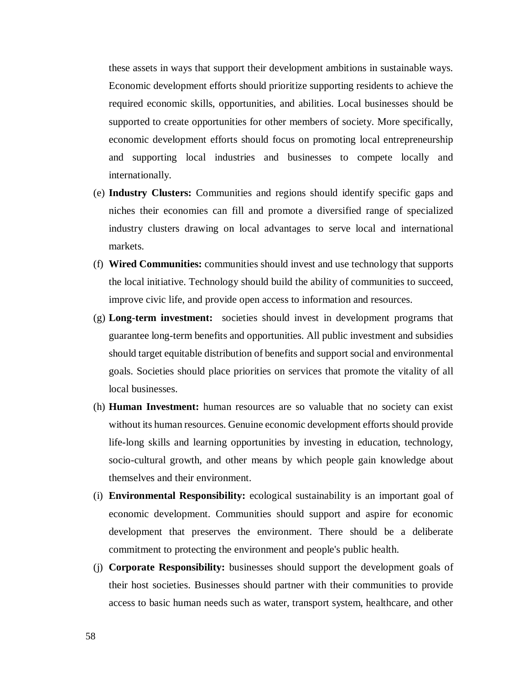these assets in ways that support their development ambitions in sustainable ways. Economic development efforts should prioritize supporting residents to achieve the required economic skills, opportunities, and abilities. Local businesses should be supported to create opportunities for other members of society. More specifically, economic development efforts should focus on promoting local entrepreneurship and supporting local industries and businesses to compete locally and internationally.

- (e) **Industry Clusters:** Communities and regions should identify specific gaps and niches their economies can fill and promote a diversified range of specialized industry clusters drawing on local advantages to serve local and international markets.
- (f) **Wired Communities:** communities should invest and use technology that supports the local initiative. Technology should build the ability of communities to succeed, improve civic life, and provide open access to information and resources.
- (g) **Long**-**term investment:** societies should invest in development programs that guarantee long-term benefits and opportunities. All public investment and subsidies should target equitable distribution of benefits and support social and environmental goals. Societies should place priorities on services that promote the vitality of all local businesses.
- (h) **Human Investment:** human resources are so valuable that no society can exist without its human resources. Genuine economic development efforts should provide life-long skills and learning opportunities by investing in education, technology, socio-cultural growth, and other means by which people gain knowledge about themselves and their environment.
- (i) **Environmental Responsibility:** ecological sustainability is an important goal of economic development. Communities should support and aspire for economic development that preserves the environment. There should be a deliberate commitment to protecting the environment and people's public health.
- (j) **Corporate Responsibility:** businesses should support the development goals of their host societies. Businesses should partner with their communities to provide access to basic human needs such as water, transport system, healthcare, and other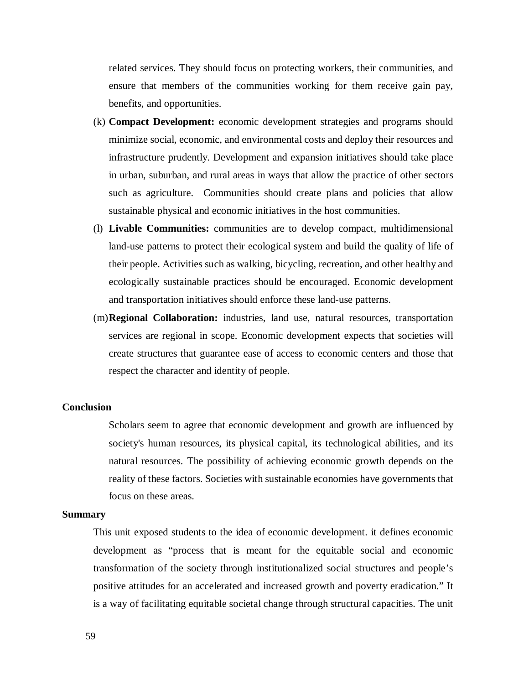related services. They should focus on protecting workers, their communities, and ensure that members of the communities working for them receive gain pay, benefits, and opportunities.

- (k) **Compact Development:** economic development strategies and programs should minimize social, economic, and environmental costs and deploy their resources and infrastructure prudently. Development and expansion initiatives should take place in urban, suburban, and rural areas in ways that allow the practice of other sectors such as agriculture. Communities should create plans and policies that allow sustainable physical and economic initiatives in the host communities.
- (l) **Livable Communities:** communities are to develop compact, multidimensional land-use patterns to protect their ecological system and build the quality of life of their people. Activities such as walking, bicycling, recreation, and other healthy and ecologically sustainable practices should be encouraged. Economic development and transportation initiatives should enforce these land-use patterns.
- (m)**Regional Collaboration:** industries, land use, natural resources, transportation services are regional in scope. Economic development expects that societies will create structures that guarantee ease of access to economic centers and those that respect the character and identity of people.

### **Conclusion**

Scholars seem to agree that economic development and growth are influenced by society's human resources, its physical capital, its technological abilities, and its natural resources. The possibility of achieving economic growth depends on the reality of these factors. Societies with sustainable economies have governments that focus on these areas.

### **Summary**

This unit exposed students to the idea of economic development. it defines economic development as "process that is meant for the equitable social and economic transformation of the society through institutionalized social structures and people's positive attitudes for an accelerated and increased growth and poverty eradication." It is a way of facilitating equitable societal change through structural capacities. The unit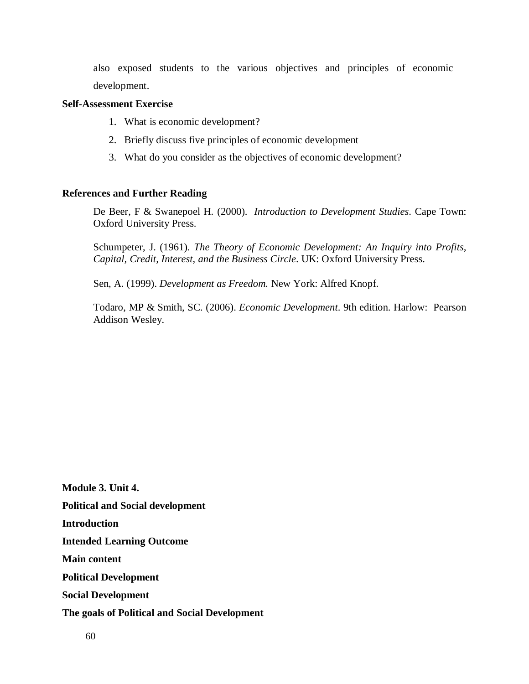also exposed students to the various objectives and principles of economic development.

# **Self-Assessment Exercise**

- 1. What is economic development?
- 2. Briefly discuss five principles of economic development
- 3. What do you consider as the objectives of economic development?

# **References and Further Reading**

De Beer, F & Swanepoel H. (2000). *Introduction to Development Studies*. Cape Town: Oxford University Press.

Schumpeter, J. (1961). *The Theory of Economic Development: An Inquiry into Profits, Capital, Credit, Interest, and the Business Circle*. UK: Oxford University Press.

Sen, A. (1999). *Development as Freedom.* New York: Alfred Knopf.

Todaro, MP & Smith, SC. (2006). *Economic Development*. 9th edition. Harlow: Pearson Addison Wesley.

**Module 3. Unit 4. Political and Social development Introduction Intended Learning Outcome Main content Political Development Social Development The goals of Political and Social Development**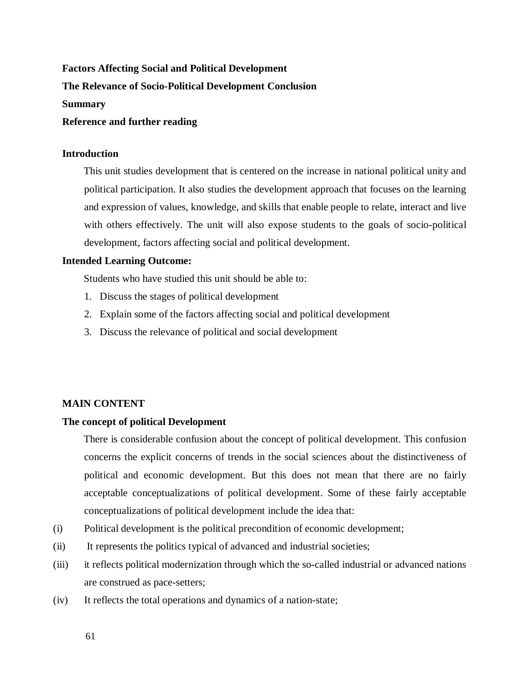# **Factors Affecting Social and Political Development**

# **The Relevance of Socio-Political Development Conclusion**

#### **Summary**

#### **Reference and further reading**

### **Introduction**

This unit studies development that is centered on the increase in national political unity and political participation. It also studies the development approach that focuses on the learning and expression of values, knowledge, and skills that enable people to relate, interact and live with others effectively. The unit will also expose students to the goals of socio-political development, factors affecting social and political development.

### **Intended Learning Outcome:**

Students who have studied this unit should be able to:

- 1. Discuss the stages of political development
- 2. Explain some of the factors affecting social and political development
- 3. Discuss the relevance of political and social development

# **MAIN CONTENT**

#### **The concept of political Development**

There is considerable confusion about the concept of political development. This confusion concerns the explicit concerns of trends in the social sciences about the distinctiveness of political and economic development. But this does not mean that there are no fairly acceptable conceptualizations of political development. Some of these fairly acceptable conceptualizations of political development include the idea that:

- (i) Political development is the political precondition of economic development;
- (ii) It represents the politics typical of advanced and industrial societies;
- (iii) it reflects political modernization through which the so-called industrial or advanced nations are construed as pace-setters;
- (iv) It reflects the total operations and dynamics of a nation-state;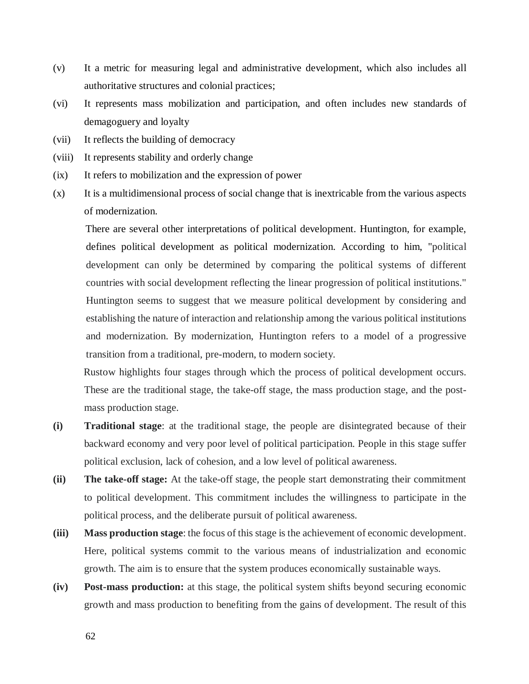- (v) It a metric for measuring legal and administrative development, which also includes all authoritative structures and colonial practices;
- (vi) It represents mass mobilization and participation, and often includes new standards of demagoguery and loyalty
- (vii) It reflects the building of democracy
- (viii) It represents stability and orderly change
- (ix) It refers to mobilization and the expression of power
- (x) It is a multidimensional process of social change that is inextricable from the various aspects of modernization.

There are several other interpretations of political development. Huntington, for example, defines political development as political modernization. According to him, "political development can only be determined by comparing the political systems of different countries with social development reflecting the linear progression of political institutions." Huntington seems to suggest that we measure political development by considering and establishing the nature of interaction and relationship among the various political institutions and modernization. By modernization, Huntington refers to a model of a progressive transition from a traditional, pre-modern, to modern society.

Rustow highlights four stages through which the process of political development occurs. These are the traditional stage, the take-off stage, the mass production stage, and the postmass production stage.

- **(i) Traditional stage**: at the traditional stage, the people are disintegrated because of their backward economy and very poor level of political participation. People in this stage suffer political exclusion, lack of cohesion, and a low level of political awareness.
- **(ii) The take-off stage:** At the take-off stage, the people start demonstrating their commitment to political development. This commitment includes the willingness to participate in the political process, and the deliberate pursuit of political awareness.
- **(iii) Mass production stage**: the focus of this stage is the achievement of economic development. Here, political systems commit to the various means of industrialization and economic growth. The aim is to ensure that the system produces economically sustainable ways.
- **(iv) Post-mass production:** at this stage, the political system shifts beyond securing economic growth and mass production to benefiting from the gains of development. The result of this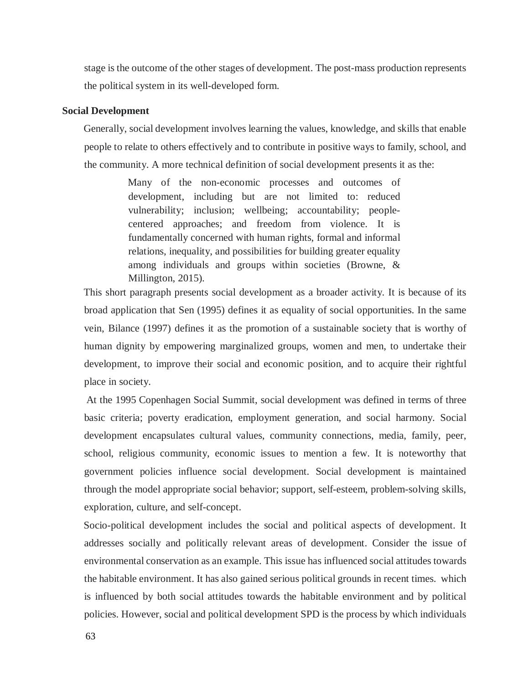stage is the outcome of the other stages of development. The post-mass production represents the political system in its well-developed form.

# **Social Development**

Generally, social development involves learning the values, knowledge, and skills that enable people to relate to others effectively and to contribute in positive ways to family, school, and the community. A more technical definition of social development presents it as the:

> Many of the non-economic processes and outcomes of development, including but are not limited to: reduced vulnerability; inclusion; wellbeing; accountability; peoplecentered approaches; and freedom from violence. It is fundamentally concerned with human rights, formal and informal relations, inequality, and possibilities for building greater equality among individuals and groups within societies (Browne, & Millington, 2015).

This short paragraph presents social development as a broader activity. It is because of its broad application that Sen (1995) defines it as equality of social opportunities. In the same vein, Bilance (1997) defines it as the promotion of a sustainable society that is worthy of human dignity by empowering marginalized groups, women and men, to undertake their development, to improve their social and economic position, and to acquire their rightful place in society.

 At the 1995 Copenhagen Social Summit, social development was defined in terms of three basic criteria; poverty eradication, employment generation, and social harmony. Social development encapsulates cultural values, community connections, media, family, peer, school, religious community, economic issues to mention a few. It is noteworthy that government policies influence social development. Social development is maintained through the model appropriate social behavior; support, self-esteem, problem-solving skills, exploration, culture, and self-concept.

Socio-political development includes the social and political aspects of development. It addresses socially and politically relevant areas of development. Consider the issue of environmental conservation as an example. This issue has influenced social attitudes towards the habitable environment. It has also gained serious political grounds in recent times. which is influenced by both social attitudes towards the habitable environment and by political policies. However, social and political development SPD is the process by which individuals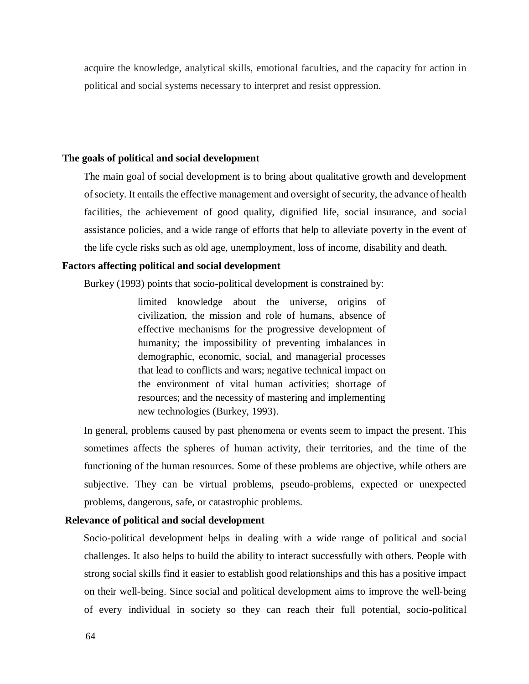acquire the knowledge, analytical skills, emotional faculties, and the capacity for action in political and social systems necessary to interpret and resist oppression.

# **The goals of political and social development**

The main goal of social development is to bring about qualitative growth and development of society. It entails the effective management and oversight of security, the advance of health facilities, the achievement of good quality, dignified life, social insurance, and social assistance policies, and a wide range of efforts that help to alleviate poverty in the event of the life cycle risks such as old age, unemployment, loss of income, disability and death.

### **Factors affecting political and social development**

Burkey (1993) points that socio-political development is constrained by:

limited knowledge about the universe, origins of civilization, the mission and role of humans, absence of effective mechanisms for the progressive development of humanity; the impossibility of preventing imbalances in demographic, economic, social, and managerial processes that lead to conflicts and wars; negative technical impact on the environment of vital human activities; shortage of resources; and the necessity of mastering and implementing new technologies (Burkey, 1993).

In general, problems caused by past phenomena or events seem to impact the present. This sometimes affects the spheres of human activity, their territories, and the time of the functioning of the human resources. Some of these problems are objective, while others are subjective. They can be virtual problems, pseudo-problems, expected or unexpected problems, dangerous, safe, or catastrophic problems.

# **Relevance of political and social development**

Socio-political development helps in dealing with a wide range of political and social challenges. It also helps to build the ability to interact successfully with others. People with strong social skills find it easier to establish good relationships and this has a positive impact on their well-being. Since social and political development aims to improve the well-being of every individual in society so they can reach their full potential, socio-political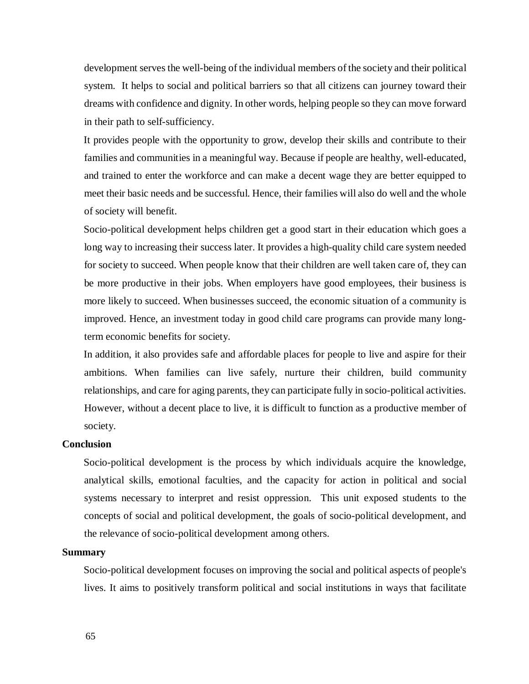development serves the well-being of the individual members of the society and their political system. It helps to social and political barriers so that all citizens can journey toward their dreams with confidence and dignity. In other words, helping people so they can move forward in their path to self-sufficiency.

It provides people with the opportunity to grow, develop their skills and contribute to their families and communities in a meaningful way. Because if people are healthy, well-educated, and trained to enter the workforce and can make a decent wage they are better equipped to meet their basic needs and be successful. Hence, their families will also do well and the whole of society will benefit.

Socio-political development helps children get a good start in their education which goes a long way to increasing their success later. It provides a high-quality child care system needed for society to succeed. When people know that their children are well taken care of, they can be more productive in their jobs. When employers have good employees, their business is more likely to succeed. When businesses succeed, the economic situation of a community is improved. Hence, an investment today in good child care programs can provide many longterm economic benefits for society.

In addition, it also provides safe and affordable places for people to live and aspire for their ambitions. When families can live safely, nurture their children, build community relationships, and care for aging parents, they can participate fully in socio-political activities. However, without a decent place to live, it is difficult to function as a productive member of society.

### **Conclusion**

Socio-political development is the process by which individuals acquire the knowledge, analytical skills, emotional faculties, and the capacity for action in political and social systems necessary to interpret and resist oppression. This unit exposed students to the concepts of social and political development, the goals of socio-political development, and the relevance of socio-political development among others.

### **Summary**

Socio-political development focuses on improving the social and political aspects of people's lives. It aims to positively transform political and social institutions in ways that facilitate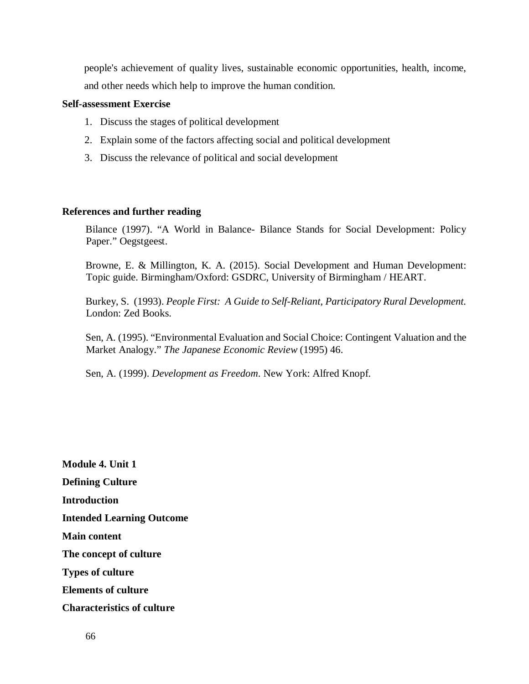people's achievement of quality lives, sustainable economic opportunities, health, income, and other needs which help to improve the human condition.

# **Self-assessment Exercise**

- 1. Discuss the stages of political development
- 2. Explain some of the factors affecting social and political development
- 3. Discuss the relevance of political and social development

# **References and further reading**

Bilance (1997). "A World in Balance- Bilance Stands for Social Development: Policy Paper." Oegstgeest.

Browne, E. & Millington, K. A. (2015). Social Development and Human Development: Topic guide. Birmingham/Oxford: GSDRC, University of Birmingham / HEART.

Burkey, S. (1993). *People First: A Guide to Self-Reliant, Participatory Rural Development.* London: Zed Books.

Sen, A. (1995). "Environmental Evaluation and Social Choice: Contingent Valuation and the Market Analogy." *The Japanese Economic Review* (1995) 46.

Sen, A. (1999). *Development as Freedom*. New York: Alfred Knopf.

**Module 4. Unit 1 Defining Culture Introduction Intended Learning Outcome Main content The concept of culture Types of culture Elements of culture Characteristics of culture**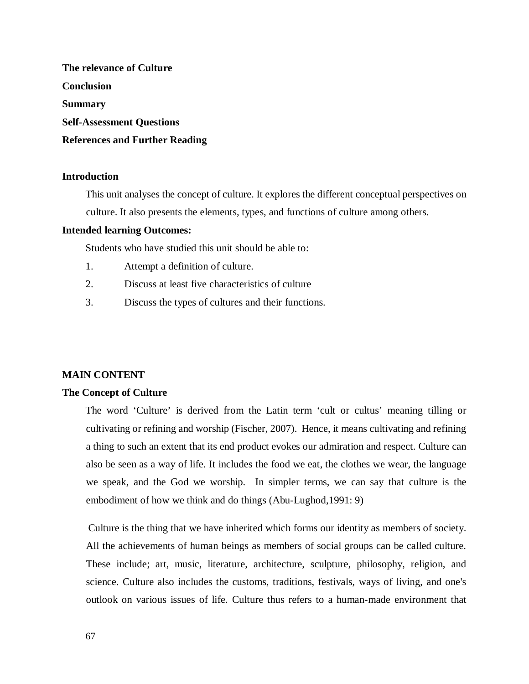**The relevance of Culture Conclusion Summary Self-Assessment Questions References and Further Reading** 

# **Introduction**

This unit analyses the concept of culture. It explores the different conceptual perspectives on culture. It also presents the elements, types, and functions of culture among others.

# **Intended learning Outcomes:**

Students who have studied this unit should be able to:

- 1. Attempt a definition of culture.
- 2. Discuss at least five characteristics of culture
- 3. Discuss the types of cultures and their functions.

# **MAIN CONTENT**

# **The Concept of Culture**

The word 'Culture' is derived from the Latin term 'cult or cultus' meaning tilling or cultivating or refining and worship (Fischer, 2007). Hence, it means cultivating and refining a thing to such an extent that its end product evokes our admiration and respect. Culture can also be seen as a way of life. It includes the food we eat, the clothes we wear, the language we speak, and the God we worship. In simpler terms, we can say that culture is the embodiment of how we think and do things (Abu-Lughod,1991: 9)

 Culture is the thing that we have inherited which forms our identity as members of society. All the achievements of human beings as members of social groups can be called culture. These include; art, music, literature, architecture, sculpture, philosophy, religion, and science. Culture also includes the customs, traditions, festivals, ways of living, and one's outlook on various issues of life. Culture thus refers to a human-made environment that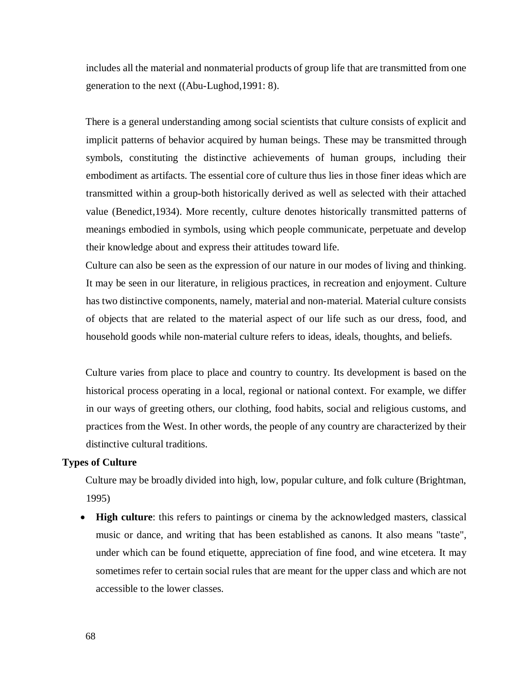includes all the material and nonmaterial products of group life that are transmitted from one generation to the next ((Abu-Lughod,1991: 8).

There is a general understanding among social scientists that culture consists of explicit and implicit patterns of behavior acquired by human beings. These may be transmitted through symbols, constituting the distinctive achievements of human groups, including their embodiment as artifacts. The essential core of culture thus lies in those finer ideas which are transmitted within a group-both historically derived as well as selected with their attached value (Benedict,1934). More recently, culture denotes historically transmitted patterns of meanings embodied in symbols, using which people communicate, perpetuate and develop their knowledge about and express their attitudes toward life.

Culture can also be seen as the expression of our nature in our modes of living and thinking. It may be seen in our literature, in religious practices, in recreation and enjoyment. Culture has two distinctive components, namely, material and non-material. Material culture consists of objects that are related to the material aspect of our life such as our dress, food, and household goods while non-material culture refers to ideas, ideals, thoughts, and beliefs.

Culture varies from place to place and country to country. Its development is based on the historical process operating in a local, regional or national context. For example, we differ in our ways of greeting others, our clothing, food habits, social and religious customs, and practices from the West. In other words, the people of any country are characterized by their distinctive cultural traditions.

# **Types of Culture**

Culture may be broadly divided into high, low, popular culture, and folk culture (Brightman, 1995)

 **High culture**: this refers to paintings or cinema by the acknowledged masters, classical music or dance, and writing that has been established as canons. It also means "taste", under which can be found etiquette, appreciation of fine food, and wine etcetera. It may sometimes refer to certain social rules that are meant for the upper class and which are not accessible to the lower classes.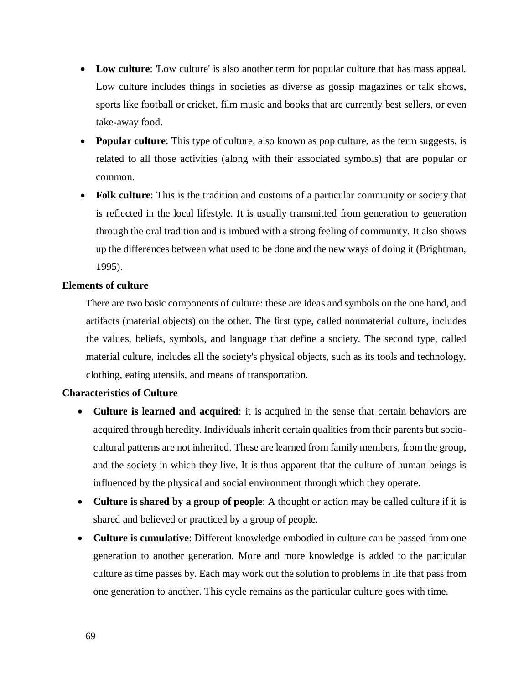- **Low culture**: 'Low culture' is also another term for popular culture that has mass appeal. Low culture includes things in societies as diverse as gossip magazines or talk shows, sports like football or cricket, film music and books that are currently best sellers, or even take-away food.
- **Popular culture**: This type of culture, also known as pop culture, as the term suggests, is related to all those activities (along with their associated symbols) that are popular or common.
- **Folk culture**: This is the tradition and customs of a particular community or society that is reflected in the local lifestyle. It is usually transmitted from generation to generation through the oral tradition and is imbued with a strong feeling of community. It also shows up the differences between what used to be done and the new ways of doing it (Brightman, 1995).

# **Elements of culture**

There are two basic components of culture: these are ideas and symbols on the one hand, and artifacts (material objects) on the other. The first type, called nonmaterial culture, includes the values, beliefs, symbols, and language that define a society. The second type, called material culture, includes all the society's physical objects, such as its tools and technology, clothing, eating utensils, and means of transportation.

# **Characteristics of Culture**

- **Culture is learned and acquired**: it is acquired in the sense that certain behaviors are acquired through heredity. Individuals inherit certain qualities from their parents but sociocultural patterns are not inherited. These are learned from family members, from the group, and the society in which they live. It is thus apparent that the culture of human beings is influenced by the physical and social environment through which they operate.
- **Culture is shared by a group of people**: A thought or action may be called culture if it is shared and believed or practiced by a group of people.
- **Culture is cumulative**: Different knowledge embodied in culture can be passed from one generation to another generation. More and more knowledge is added to the particular culture as time passes by. Each may work out the solution to problems in life that pass from one generation to another. This cycle remains as the particular culture goes with time.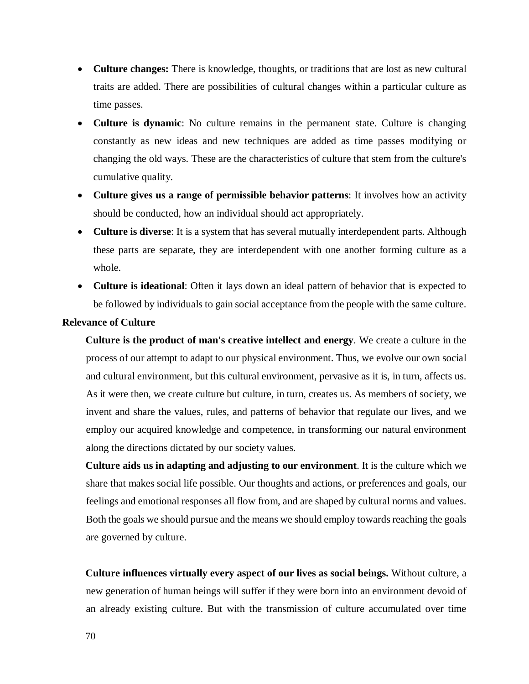- **Culture changes:** There is knowledge, thoughts, or traditions that are lost as new cultural traits are added. There are possibilities of cultural changes within a particular culture as time passes.
- **Culture is dynamic**: No culture remains in the permanent state. Culture is changing constantly as new ideas and new techniques are added as time passes modifying or changing the old ways. These are the characteristics of culture that stem from the culture's cumulative quality.
- **Culture gives us a range of permissible behavior patterns**: It involves how an activity should be conducted, how an individual should act appropriately.
- **Culture is diverse**: It is a system that has several mutually interdependent parts. Although these parts are separate, they are interdependent with one another forming culture as a whole.
- **Culture is ideational**: Often it lays down an ideal pattern of behavior that is expected to be followed by individuals to gain social acceptance from the people with the same culture.

# **Relevance of Culture**

**Culture is the product of man's creative intellect and energy**. We create a culture in the process of our attempt to adapt to our physical environment. Thus, we evolve our own social and cultural environment, but this cultural environment, pervasive as it is, in turn, affects us. As it were then, we create culture but culture, in turn, creates us. As members of society, we invent and share the values, rules, and patterns of behavior that regulate our lives, and we employ our acquired knowledge and competence, in transforming our natural environment along the directions dictated by our society values.

**Culture aids us in adapting and adjusting to our environment**. It is the culture which we share that makes social life possible. Our thoughts and actions, or preferences and goals, our feelings and emotional responses all flow from, and are shaped by cultural norms and values. Both the goals we should pursue and the means we should employ towards reaching the goals are governed by culture.

**Culture influences virtually every aspect of our lives as social beings.** Without culture, a new generation of human beings will suffer if they were born into an environment devoid of an already existing culture. But with the transmission of culture accumulated over time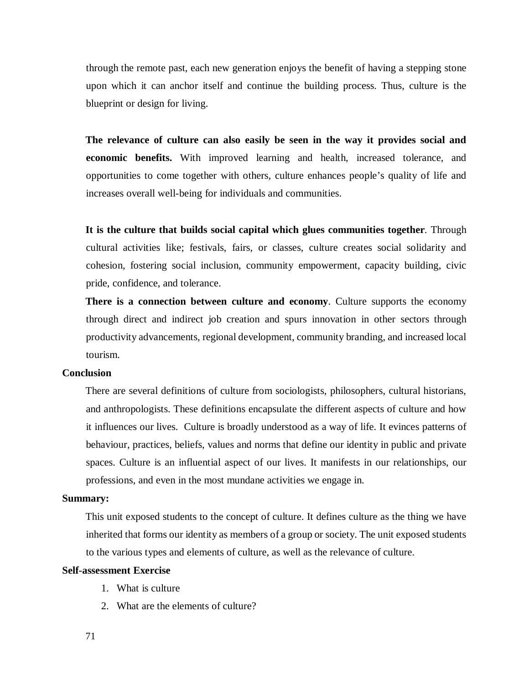through the remote past, each new generation enjoys the benefit of having a stepping stone upon which it can anchor itself and continue the building process. Thus, culture is the blueprint or design for living.

**The relevance of culture can also easily be seen in the way it provides social and economic benefits.** With improved learning and health, increased tolerance, and opportunities to come together with others, culture enhances people's quality of life and increases overall well-being for individuals and communities.

**It is the culture that builds social capital which glues communities together**. Through cultural activities like; festivals, fairs, or classes, culture creates social solidarity and cohesion, fostering social inclusion, community empowerment, capacity building, civic pride, confidence, and tolerance.

**There is a connection between culture and economy**. Culture supports the economy through direct and indirect job creation and spurs innovation in other sectors through productivity advancements, regional development, community branding, and increased local tourism.

# **Conclusion**

There are several definitions of culture from sociologists, philosophers, cultural historians, and anthropologists. These definitions encapsulate the different aspects of culture and how it influences our lives. Culture is broadly understood as a way of life. It evinces patterns of behaviour, practices, beliefs, values and norms that define our identity in public and private spaces. Culture is an influential aspect of our lives. It manifests in our relationships, our professions, and even in the most mundane activities we engage in.

# **Summary:**

This unit exposed students to the concept of culture. It defines culture as the thing we have inherited that forms our identity as members of a group or society. The unit exposed students to the various types and elements of culture, as well as the relevance of culture.

#### **Self-assessment Exercise**

- 1. What is culture
- 2. What are the elements of culture?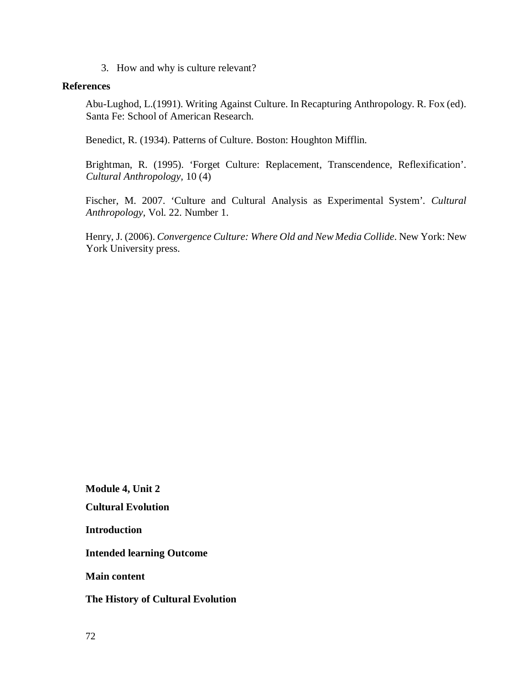3. How and why is culture relevant?

# **References**

Abu-Lughod, L.(1991). Writing Against Culture. In Recapturing Anthropology. R. Fox (ed). Santa Fe: School of American Research.

Benedict, R. (1934). Patterns of Culture. Boston: Houghton Mifflin.

Brightman, R. (1995). 'Forget Culture: Replacement, Transcendence, Reflexification'. *Cultural Anthropology,* 10 (4)

Fischer, M. 2007. 'Culture and Cultural Analysis as Experimental System'*. Cultural Anthropology*, Vol. 22. Number 1.

Henry, J. (2006). *Convergence Culture: Where Old and New Media Collide*. New York: New York University press.

**Module 4, Unit 2** 

**Cultural Evolution** 

**Introduction** 

**Intended learning Outcome** 

**Main content** 

# **The History of Cultural Evolution**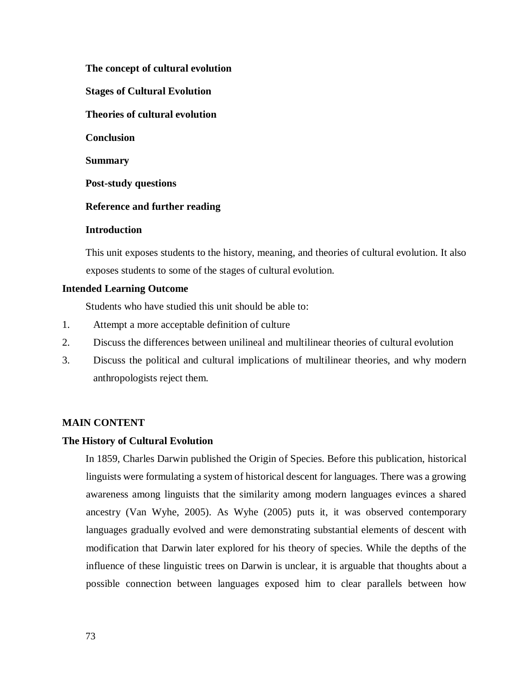# **The concept of cultural evolution**

**Stages of Cultural Evolution** 

**Theories of cultural evolution** 

**Conclusion** 

**Summary** 

**Post-study questions** 

# **Reference and further reading**

# **Introduction**

This unit exposes students to the history, meaning, and theories of cultural evolution. It also exposes students to some of the stages of cultural evolution.

# **Intended Learning Outcome**

Students who have studied this unit should be able to:

- 1. Attempt a more acceptable definition of culture
- 2. Discuss the differences between unilineal and multilinear theories of cultural evolution
- 3. Discuss the political and cultural implications of multilinear theories, and why modern anthropologists reject them.

# **MAIN CONTENT**

# **The History of Cultural Evolution**

In 1859, Charles Darwin published the Origin of Species. Before this publication, historical linguists were formulating a system of historical descent for languages. There was a growing awareness among linguists that the similarity among modern languages evinces a shared ancestry (Van Wyhe, 2005). As Wyhe (2005) puts it, it was observed contemporary languages gradually evolved and were demonstrating substantial elements of descent with modification that Darwin later explored for his theory of species. While the depths of the influence of these linguistic trees on Darwin is unclear, it is arguable that thoughts about a possible connection between languages exposed him to clear parallels between how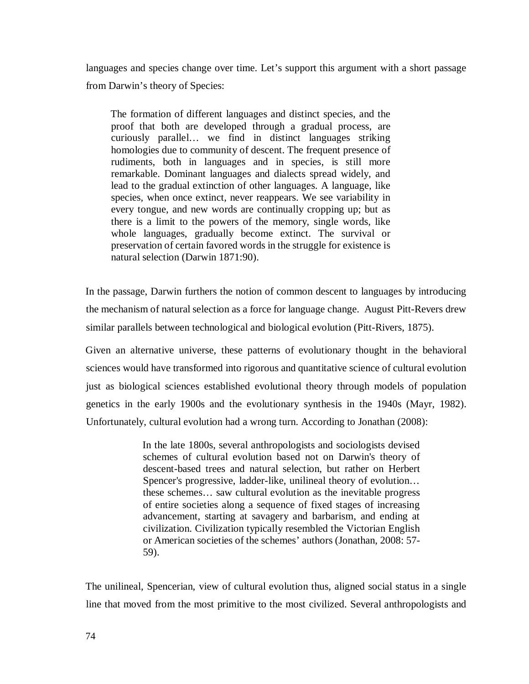languages and species change over time. Let's support this argument with a short passage from Darwin's theory of Species:

The formation of different languages and distinct species, and the proof that both are developed through a gradual process, are curiously parallel… we find in distinct languages striking homologies due to community of descent. The frequent presence of rudiments, both in languages and in species, is still more remarkable. Dominant languages and dialects spread widely, and lead to the gradual extinction of other languages. A language, like species, when once extinct, never reappears. We see variability in every tongue, and new words are continually cropping up; but as there is a limit to the powers of the memory, single words, like whole languages, gradually become extinct. The survival or preservation of certain favored words in the struggle for existence is natural selection (Darwin 1871:90).

In the passage, Darwin furthers the notion of common descent to languages by introducing the mechanism of natural selection as a force for language change. August Pitt-Revers drew similar parallels between technological and biological evolution (Pitt-Rivers, 1875).

Given an alternative universe, these patterns of evolutionary thought in the behavioral sciences would have transformed into rigorous and quantitative science of cultural evolution just as biological sciences established evolutional theory through models of population genetics in the early 1900s and the evolutionary synthesis in the 1940s (Mayr, 1982). Unfortunately, cultural evolution had a wrong turn. According to Jonathan (2008):

> In the late 1800s, several anthropologists and sociologists devised schemes of cultural evolution based not on Darwin's theory of descent-based trees and natural selection, but rather on Herbert Spencer's progressive, ladder-like, unilineal theory of evolution… these schemes… saw cultural evolution as the inevitable progress of entire societies along a sequence of fixed stages of increasing advancement, starting at savagery and barbarism, and ending at civilization. Civilization typically resembled the Victorian English or American societies of the schemes' authors (Jonathan, 2008: 57- 59).

The unilineal, Spencerian, view of cultural evolution thus, aligned social status in a single line that moved from the most primitive to the most civilized. Several anthropologists and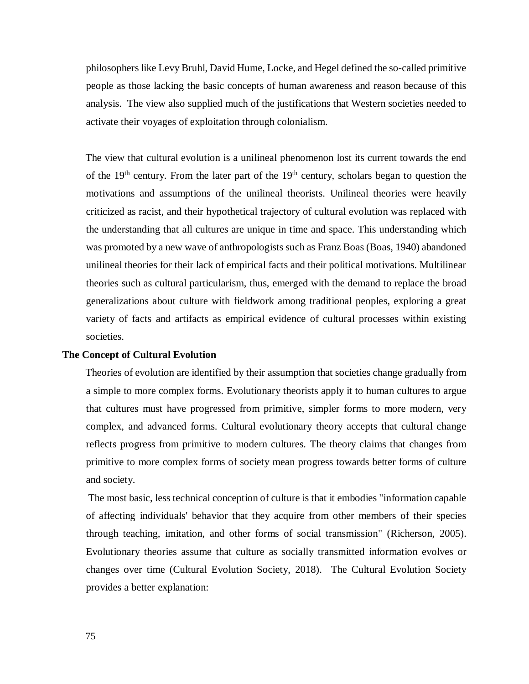philosophers like Levy Bruhl, David Hume, Locke, and Hegel defined the so-called primitive people as those lacking the basic concepts of human awareness and reason because of this analysis. The view also supplied much of the justifications that Western societies needed to activate their voyages of exploitation through colonialism.

The view that cultural evolution is a unilineal phenomenon lost its current towards the end of the  $19<sup>th</sup>$  century. From the later part of the  $19<sup>th</sup>$  century, scholars began to question the motivations and assumptions of the unilineal theorists. Unilineal theories were heavily criticized as racist, and their hypothetical trajectory of cultural evolution was replaced with the understanding that all cultures are unique in time and space. This understanding which was promoted by a new wave of anthropologists such as Franz Boas (Boas, 1940) abandoned unilineal theories for their lack of empirical facts and their political motivations. Multilinear theories such as cultural particularism, thus, emerged with the demand to replace the broad generalizations about culture with fieldwork among traditional peoples, exploring a great variety of facts and artifacts as empirical evidence of cultural processes within existing societies.

### **The Concept of Cultural Evolution**

Theories of evolution are identified by their assumption that societies change gradually from a simple to more complex forms. Evolutionary theorists apply it to human cultures to argue that cultures must have progressed from primitive, simpler forms to more modern, very complex, and advanced forms. Cultural evolutionary theory accepts that cultural change reflects progress from primitive to modern cultures. The theory claims that changes from primitive to more complex forms of society mean progress towards better forms of culture and society.

 The most basic, less technical conception of culture is that it embodies "information capable of affecting individuals' behavior that they acquire from other members of their species through teaching, imitation, and other forms of social transmission" (Richerson, 2005). Evolutionary theories assume that culture as socially transmitted information evolves or changes over time (Cultural Evolution Society, 2018). The Cultural Evolution Society provides a better explanation: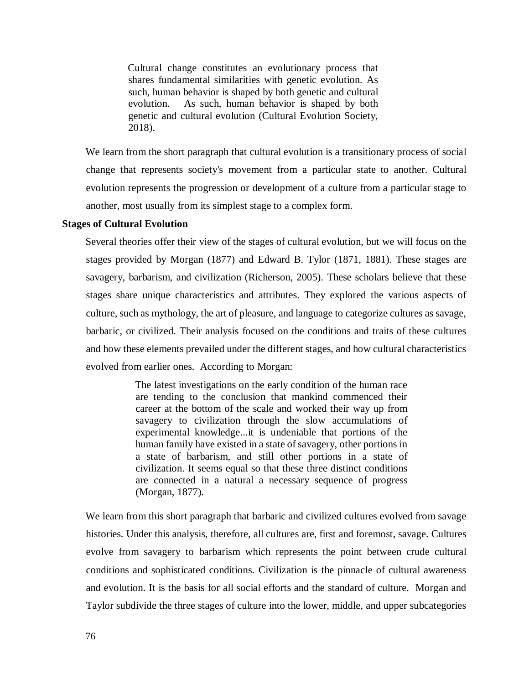Cultural change constitutes an evolutionary process that shares fundamental similarities with genetic evolution. As such, human behavior is shaped by both genetic and cultural evolution. As such, human behavior is shaped by both genetic and cultural evolution (Cultural Evolution Society, 2018).

We learn from the short paragraph that cultural evolution is a transitionary process of social change that represents society's movement from a particular state to another. Cultural evolution represents the progression or development of a culture from a particular stage to another, most usually from its simplest stage to a complex form.

#### **Stages of Cultural Evolution**

Several theories offer their view of the stages of cultural evolution, but we will focus on the stages provided by Morgan (1877) and Edward B. Tylor (1871, 1881). These stages are savagery, barbarism, and civilization (Richerson, 2005). These scholars believe that these stages share unique characteristics and attributes. They explored the various aspects of culture, such as mythology, the art of pleasure, and language to categorize cultures as savage, barbaric, or civilized. Their analysis focused on the conditions and traits of these cultures and how these elements prevailed under the different stages, and how cultural characteristics evolved from earlier ones. According to Morgan:

> The latest investigations on the early condition of the human race are tending to the conclusion that mankind commenced their career at the bottom of the scale and worked their way up from savagery to civilization through the slow accumulations of experimental knowledge...it is undeniable that portions of the human family have existed in a state of savagery, other portions in a state of barbarism, and still other portions in a state of civilization. It seems equal so that these three distinct conditions are connected in a natural a necessary sequence of progress (Morgan, 1877).

We learn from this short paragraph that barbaric and civilized cultures evolved from savage histories. Under this analysis, therefore, all cultures are, first and foremost, savage. Cultures evolve from savagery to barbarism which represents the point between crude cultural conditions and sophisticated conditions. Civilization is the pinnacle of cultural awareness and evolution. It is the basis for all social efforts and the standard of culture. Morgan and Taylor subdivide the three stages of culture into the lower, middle, and upper subcategories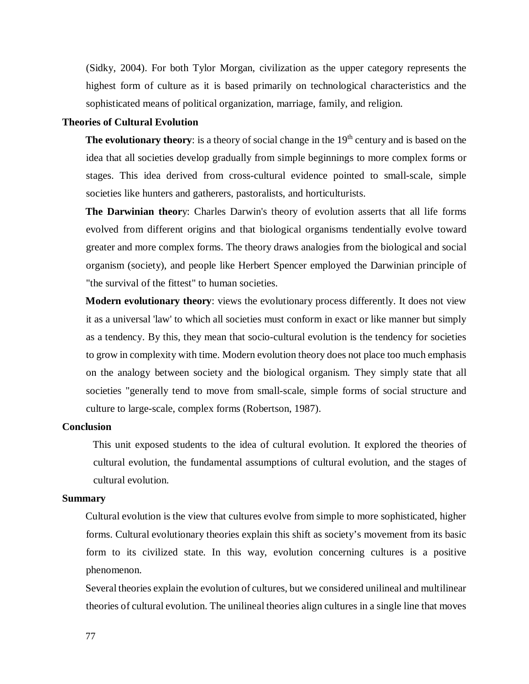(Sidky, 2004). For both Tylor Morgan, civilization as the upper category represents the highest form of culture as it is based primarily on technological characteristics and the sophisticated means of political organization, marriage, family, and religion.

## **Theories of Cultural Evolution**

**The evolutionary theory**: is a theory of social change in the 19<sup>th</sup> century and is based on the idea that all societies develop gradually from simple beginnings to more complex forms or stages. This idea derived from cross-cultural evidence pointed to small-scale, simple societies like hunters and gatherers, pastoralists, and horticulturists.

**The Darwinian theor**y: Charles Darwin's theory of evolution asserts that all life forms evolved from different origins and that biological organisms tendentially evolve toward greater and more complex forms. The theory draws analogies from the biological and social organism (society), and people like Herbert Spencer employed the Darwinian principle of "the survival of the fittest" to human societies.

**Modern evolutionary theory**: views the evolutionary process differently. It does not view it as a universal 'law' to which all societies must conform in exact or like manner but simply as a tendency. By this, they mean that socio-cultural evolution is the tendency for societies to grow in complexity with time. Modern evolution theory does not place too much emphasis on the analogy between society and the biological organism. They simply state that all societies "generally tend to move from small-scale, simple forms of social structure and culture to large-scale, complex forms (Robertson, 1987).

#### **Conclusion**

This unit exposed students to the idea of cultural evolution. It explored the theories of cultural evolution, the fundamental assumptions of cultural evolution, and the stages of cultural evolution.

### **Summary**

Cultural evolution is the view that cultures evolve from simple to more sophisticated, higher forms. Cultural evolutionary theories explain this shift as society's movement from its basic form to its civilized state. In this way, evolution concerning cultures is a positive phenomenon.

Several theories explain the evolution of cultures, but we considered unilineal and multilinear theories of cultural evolution. The unilineal theories align cultures in a single line that moves

77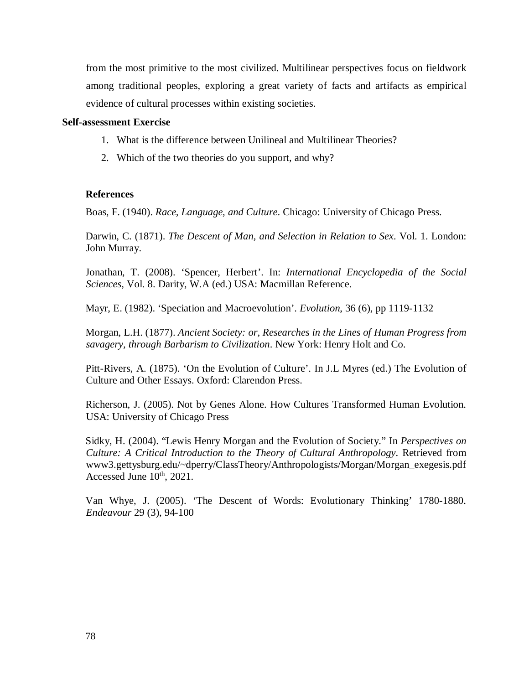from the most primitive to the most civilized. Multilinear perspectives focus on fieldwork among traditional peoples, exploring a great variety of facts and artifacts as empirical evidence of cultural processes within existing societies.

### **Self-assessment Exercise**

- 1. What is the difference between Unilineal and Multilinear Theories?
- 2. Which of the two theories do you support, and why?

## **References**

Boas, F. (1940). *Race, Language, and Culture*. Chicago: University of Chicago Press.

Darwin, C. (1871). *The Descent of Man, and Selection in Relation to Sex*. Vol. 1. London: John Murray.

Jonathan, T. (2008). 'Spencer, Herbert'. In: *International Encyclopedia of the Social Sciences,* Vol. 8. Darity, W.A (ed.) USA: Macmillan Reference.

Mayr, E. (1982). 'Speciation and Macroevolution'. *Evolution*, 36 (6), pp 1119-1132

Morgan, L.H. (1877). *Ancient Society: or, Researches in the Lines of Human Progress from savagery, through Barbarism to Civilization*. New York: Henry Holt and Co.

Pitt-Rivers, A. (1875). 'On the Evolution of Culture'. In J.L Myres (ed.) The Evolution of Culture and Other Essays. Oxford: Clarendon Press.

Richerson, J. (2005). Not by Genes Alone. How Cultures Transformed Human Evolution. USA: University of Chicago Press

Sidky, H. (2004). "Lewis Henry Morgan and the Evolution of Society." In *Perspectives on Culture: A Critical Introduction to the Theory of Cultural Anthropology*. Retrieved from www3.gettysburg.edu/~dperry/ClassTheory/Anthropologists/Morgan/Morgan\_exegesis.pdf Accessed June  $10^{th}$ , 2021.

Van Whye, J. (2005). 'The Descent of Words: Evolutionary Thinking' 1780-1880. *Endeavour* 29 (3), 94-100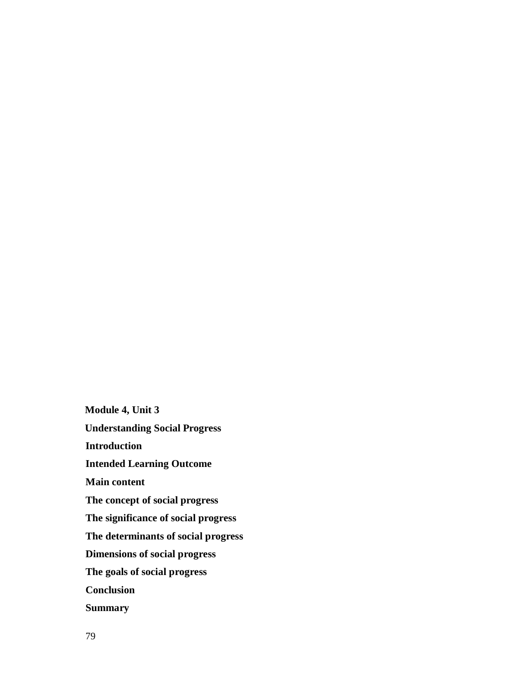**Module 4, Unit 3 Understanding Social Progress Introduction Intended Learning Outcome Main content The concept of social progress The significance of social progress The determinants of social progress Dimensions of social progress The goals of social progress Conclusion Summary**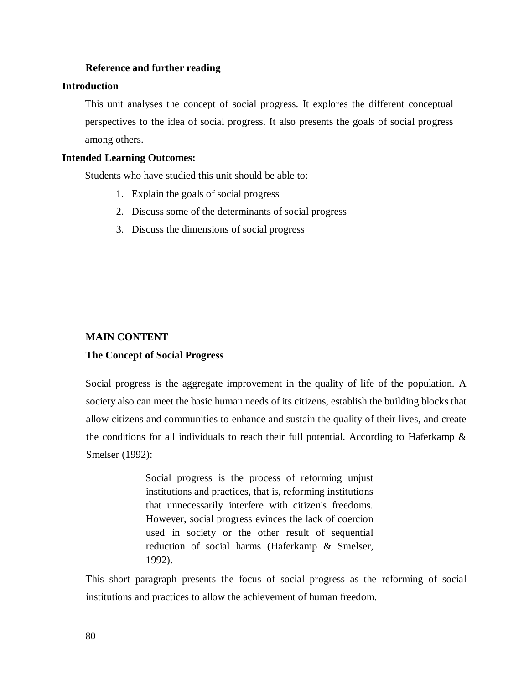#### **Reference and further reading**

### **Introduction**

This unit analyses the concept of social progress. It explores the different conceptual perspectives to the idea of social progress. It also presents the goals of social progress among others.

### **Intended Learning Outcomes:**

Students who have studied this unit should be able to:

- 1. Explain the goals of social progress
- 2. Discuss some of the determinants of social progress
- 3. Discuss the dimensions of social progress

## **MAIN CONTENT**

#### **The Concept of Social Progress**

Social progress is the aggregate improvement in the quality of life of the population. A society also can meet the basic human needs of its citizens, establish the building blocks that allow citizens and communities to enhance and sustain the quality of their lives, and create the conditions for all individuals to reach their full potential. According to Haferkamp  $\&$ Smelser (1992):

> Social progress is the process of reforming unjust institutions and practices, that is, reforming institutions that unnecessarily interfere with citizen's freedoms. However, social progress evinces the lack of coercion used in society or the other result of sequential reduction of social harms (Haferkamp & Smelser, 1992).

This short paragraph presents the focus of social progress as the reforming of social institutions and practices to allow the achievement of human freedom.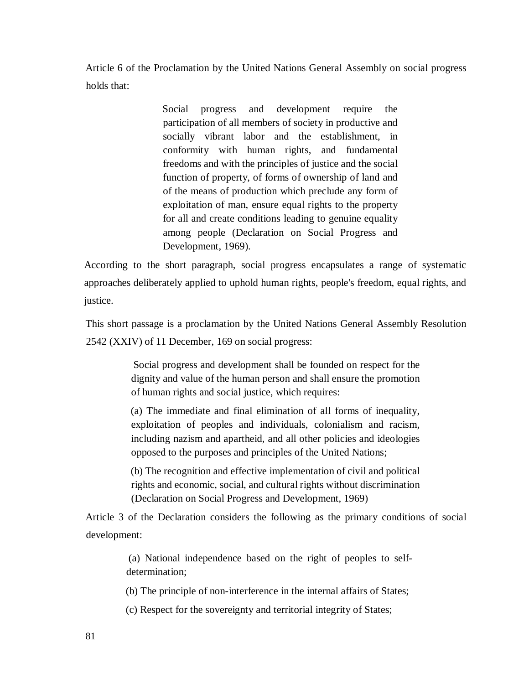Article 6 of the Proclamation by the United Nations General Assembly on social progress holds that:

> Social progress and development require the participation of all members of society in productive and socially vibrant labor and the establishment, in conformity with human rights, and fundamental freedoms and with the principles of justice and the social function of property, of forms of ownership of land and of the means of production which preclude any form of exploitation of man, ensure equal rights to the property for all and create conditions leading to genuine equality among people (Declaration on Social Progress and Development, 1969).

According to the short paragraph, social progress encapsulates a range of systematic approaches deliberately applied to uphold human rights, people's freedom, equal rights, and justice.

This short passage is a proclamation by the United Nations General Assembly Resolution 2542 (XXIV) of 11 December, 169 on social progress:

> Social progress and development shall be founded on respect for the dignity and value of the human person and shall ensure the promotion of human rights and social justice, which requires:

> (a) The immediate and final elimination of all forms of inequality, exploitation of peoples and individuals, colonialism and racism, including nazism and apartheid, and all other policies and ideologies opposed to the purposes and principles of the United Nations;

> (b) The recognition and effective implementation of civil and political rights and economic, social, and cultural rights without discrimination (Declaration on Social Progress and Development, 1969)

Article 3 of the Declaration considers the following as the primary conditions of social development:

> (a) National independence based on the right of peoples to selfdetermination;

> (b) The principle of non-interference in the internal affairs of States;

(c) Respect for the sovereignty and territorial integrity of States;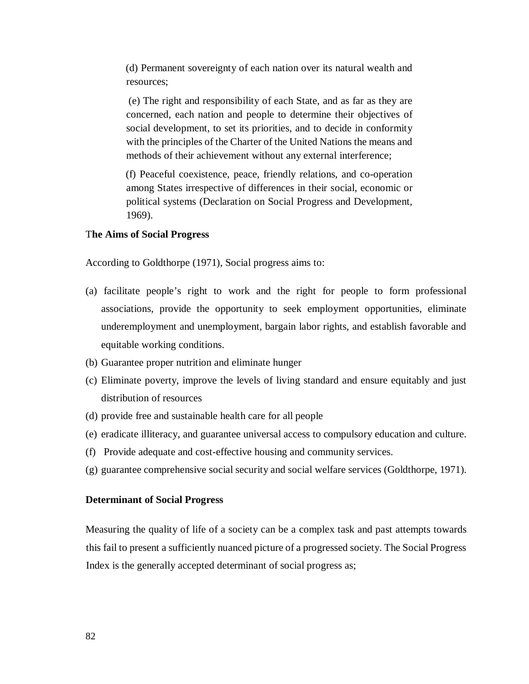(d) Permanent sovereignty of each nation over its natural wealth and resources;

 (e) The right and responsibility of each State, and as far as they are concerned, each nation and people to determine their objectives of social development, to set its priorities, and to decide in conformity with the principles of the Charter of the United Nations the means and methods of their achievement without any external interference;

(f) Peaceful coexistence, peace, friendly relations, and co-operation among States irrespective of differences in their social, economic or political systems (Declaration on Social Progress and Development, 1969).

### T**he Aims of Social Progress**

According to Goldthorpe (1971), Social progress aims to:

- (a) facilitate people's right to work and the right for people to form professional associations, provide the opportunity to seek employment opportunities, eliminate underemployment and unemployment, bargain labor rights, and establish favorable and equitable working conditions.
- (b) Guarantee proper nutrition and eliminate hunger
- (c) Eliminate poverty, improve the levels of living standard and ensure equitably and just distribution of resources
- (d) provide free and sustainable health care for all people
- (e) eradicate illiteracy, and guarantee universal access to compulsory education and culture.
- (f) Provide adequate and cost-effective housing and community services.
- (g) guarantee comprehensive social security and social welfare services (Goldthorpe, 1971).

### **Determinant of Social Progress**

Measuring the quality of life of a society can be a complex task and past attempts towards this fail to present a sufficiently nuanced picture of a progressed society. The Social Progress Index is the generally accepted determinant of social progress as;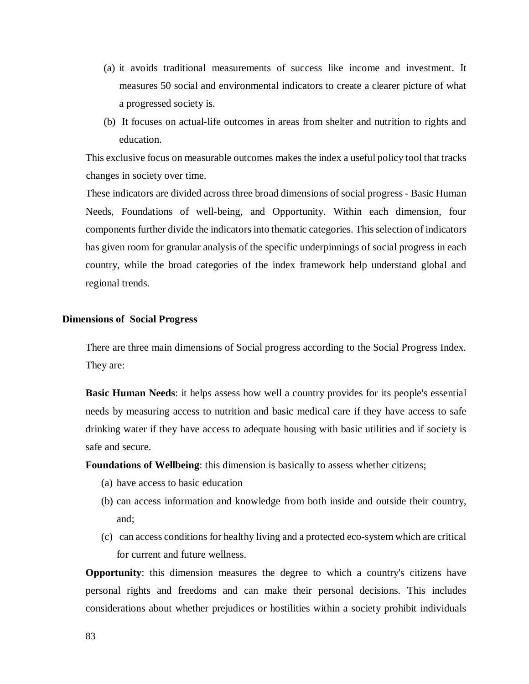- (a) it avoids traditional measurements of success like income and investment. It measures 50 social and environmental indicators to create a clearer picture of what a progressed society is.
- (b) It focuses on actual-life outcomes in areas from shelter and nutrition to rights and education.

This exclusive focus on measurable outcomes makes the index a useful policy tool that tracks changes in society over time.

These indicators are divided across three broad dimensions of social progress - Basic Human Needs, Foundations of well-being, and Opportunity. Within each dimension, four components further divide the indicators into thematic categories. This selection of indicators has given room for granular analysis of the specific underpinnings of social progress in each country, while the broad categories of the index framework help understand global and regional trends.

#### **Dimensions of Social Progress**

There are three main dimensions of Social progress according to the Social Progress Index. They are:

**Basic Human Needs**: it helps assess how well a country provides for its people's essential needs by measuring access to nutrition and basic medical care if they have access to safe drinking water if they have access to adequate housing with basic utilities and if society is safe and secure.

**Foundations of Wellbeing**: this dimension is basically to assess whether citizens;

- (a) have access to basic education
- (b) can access information and knowledge from both inside and outside their country, and;
- (c) can access conditions for healthy living and a protected eco-system which are critical for current and future wellness.

**Opportunity**: this dimension measures the degree to which a country's citizens have personal rights and freedoms and can make their personal decisions. This includes considerations about whether prejudices or hostilities within a society prohibit individuals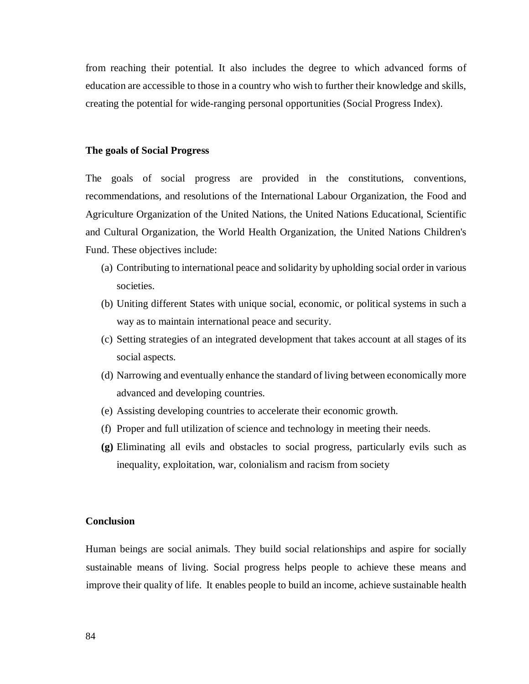from reaching their potential. It also includes the degree to which advanced forms of education are accessible to those in a country who wish to further their knowledge and skills, creating the potential for wide-ranging personal opportunities (Social Progress Index).

#### **The goals of Social Progress**

The goals of social progress are provided in the constitutions, conventions, recommendations, and resolutions of the International Labour Organization, the Food and Agriculture Organization of the United Nations, the United Nations Educational, Scientific and Cultural Organization, the World Health Organization, the United Nations Children's Fund. These objectives include:

- (a) Contributing to international peace and solidarity by upholding social order in various societies.
- (b) Uniting different States with unique social, economic, or political systems in such a way as to maintain international peace and security.
- (c) Setting strategies of an integrated development that takes account at all stages of its social aspects.
- (d) Narrowing and eventually enhance the standard of living between economically more advanced and developing countries.
- (e) Assisting developing countries to accelerate their economic growth.
- (f) Proper and full utilization of science and technology in meeting their needs.
- **(g)** Eliminating all evils and obstacles to social progress, particularly evils such as inequality, exploitation, war, colonialism and racism from society

#### **Conclusion**

Human beings are social animals. They build social relationships and aspire for socially sustainable means of living. Social progress helps people to achieve these means and improve their quality of life. It enables people to build an income, achieve sustainable health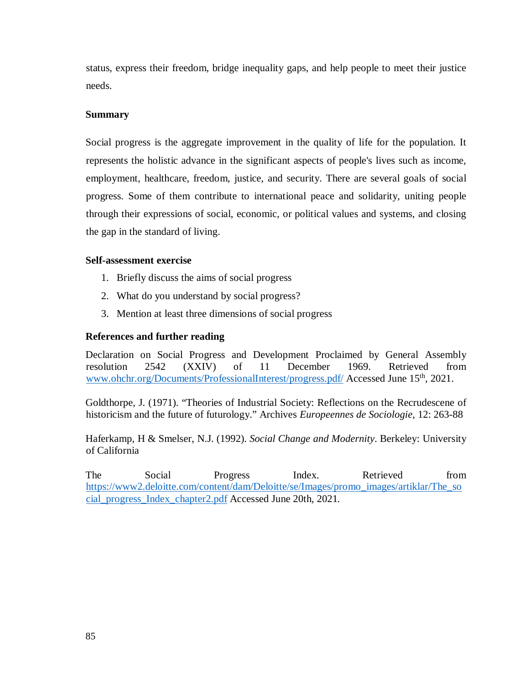status, express their freedom, bridge inequality gaps, and help people to meet their justice needs.

## **Summary**

Social progress is the aggregate improvement in the quality of life for the population. It represents the holistic advance in the significant aspects of people's lives such as income, employment, healthcare, freedom, justice, and security. There are several goals of social progress. Some of them contribute to international peace and solidarity, uniting people through their expressions of social, economic, or political values and systems, and closing the gap in the standard of living.

### **Self-assessment exercise**

- 1. Briefly discuss the aims of social progress
- 2. What do you understand by social progress?
- 3. Mention at least three dimensions of social progress

## **References and further reading**

Declaration on Social Progress and Development Proclaimed by General Assembly resolution 2542 (XXIV) of 11 December 1969. Retrieved from www.ohchr.org/Documents/ProfessionalInterest/progress.pdf/ Accessed June 15<sup>th</sup>, 2021.

Goldthorpe, J. (1971). "Theories of Industrial Society: Reflections on the Recrudescene of historicism and the future of futurology." Archives *Europeennes de Sociologie*, 12: 263-88

Haferkamp, H & Smelser, N.J. (1992). *Social Change and Modernity*. Berkeley: University of California

The Social Progress Index. Retrieved from https://www2.deloitte.com/content/dam/Deloitte/se/Images/promo\_images/artiklar/The\_so cial\_progress\_Index\_chapter2.pdf Accessed June 20th, 2021.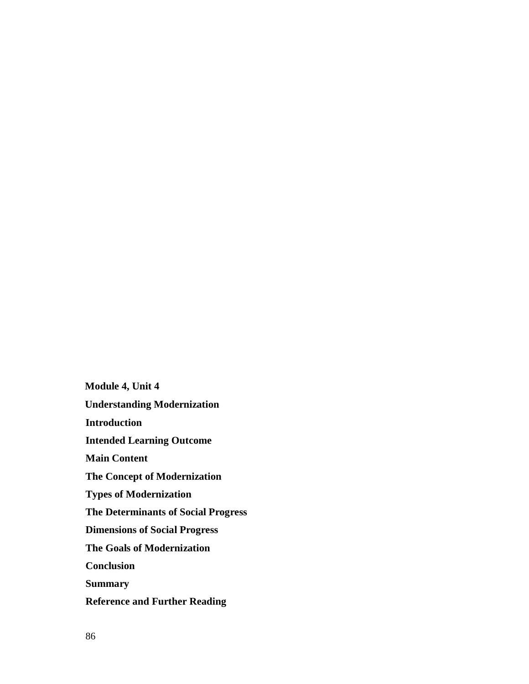**Module 4, Unit 4 Understanding Modernization Introduction Intended Learning Outcome Main Content The Concept of Modernization Types of Modernization The Determinants of Social Progress Dimensions of Social Progress The Goals of Modernization Conclusion Summary Reference and Further Reading**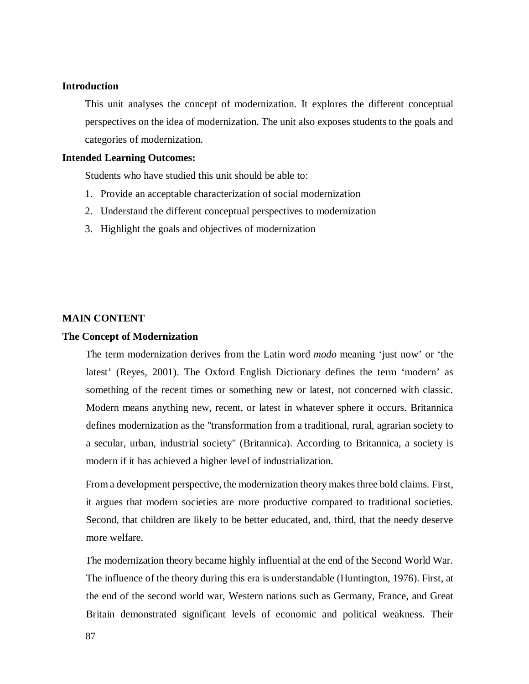#### **Introduction**

This unit analyses the concept of modernization. It explores the different conceptual perspectives on the idea of modernization. The unit also exposes students to the goals and categories of modernization.

### **Intended Learning Outcomes:**

Students who have studied this unit should be able to:

- 1. Provide an acceptable characterization of social modernization
- 2. Understand the different conceptual perspectives to modernization
- 3. Highlight the goals and objectives of modernization

## **MAIN CONTENT**

### **The Concept of Modernization**

The term modernization derives from the Latin word *modo* meaning 'just now' or 'the latest' (Reyes, 2001). The Oxford English Dictionary defines the term 'modern' as something of the recent times or something new or latest, not concerned with classic. Modern means anything new, recent, or latest in whatever sphere it occurs. Britannica defines modernization as the "transformation from a traditional, rural, agrarian society to a secular, urban, industrial society" (Britannica). According to Britannica, a society is modern if it has achieved a higher level of industrialization.

From a development perspective, the modernization theory makes three bold claims. First, it argues that modern societies are more productive compared to traditional societies. Second, that children are likely to be better educated, and, third, that the needy deserve more welfare.

The modernization theory became highly influential at the end of the Second World War. The influence of the theory during this era is understandable (Huntington, 1976). First, at the end of the second world war, Western nations such as Germany, France, and Great Britain demonstrated significant levels of economic and political weakness. Their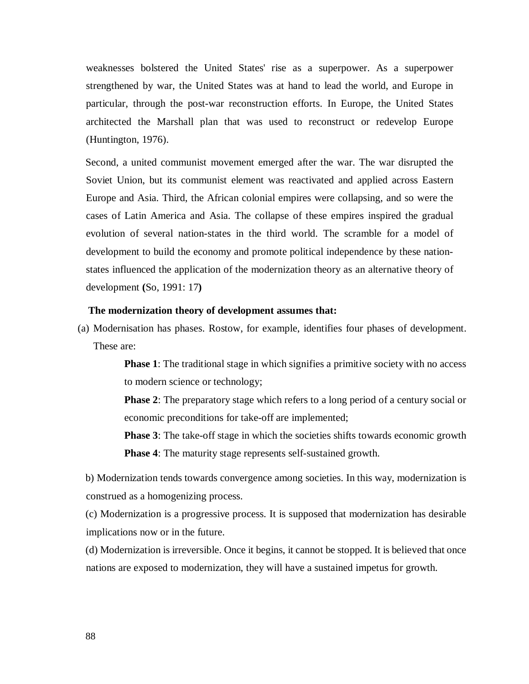weaknesses bolstered the United States' rise as a superpower. As a superpower strengthened by war, the United States was at hand to lead the world, and Europe in particular, through the post-war reconstruction efforts. In Europe, the United States architected the Marshall plan that was used to reconstruct or redevelop Europe (Huntington, 1976).

Second, a united communist movement emerged after the war. The war disrupted the Soviet Union, but its communist element was reactivated and applied across Eastern Europe and Asia. Third, the African colonial empires were collapsing, and so were the cases of Latin America and Asia. The collapse of these empires inspired the gradual evolution of several nation-states in the third world. The scramble for a model of development to build the economy and promote political independence by these nationstates influenced the application of the modernization theory as an alternative theory of development **(**So, 1991: 17**)**

#### **The modernization theory of development assumes that:**

(a) Modernisation has phases. Rostow, for example, identifies four phases of development. These are:

> **Phase 1**: The traditional stage in which signifies a primitive society with no access to modern science or technology;

> **Phase 2**: The preparatory stage which refers to a long period of a century social or economic preconditions for take-off are implemented;

> **Phase 3**: The take-off stage in which the societies shifts towards economic growth **Phase 4**: The maturity stage represents self-sustained growth.

b) Modernization tends towards convergence among societies. In this way, modernization is construed as a homogenizing process.

(c) Modernization is a progressive process. It is supposed that modernization has desirable implications now or in the future.

(d) Modernization is irreversible. Once it begins, it cannot be stopped. It is believed that once nations are exposed to modernization, they will have a sustained impetus for growth.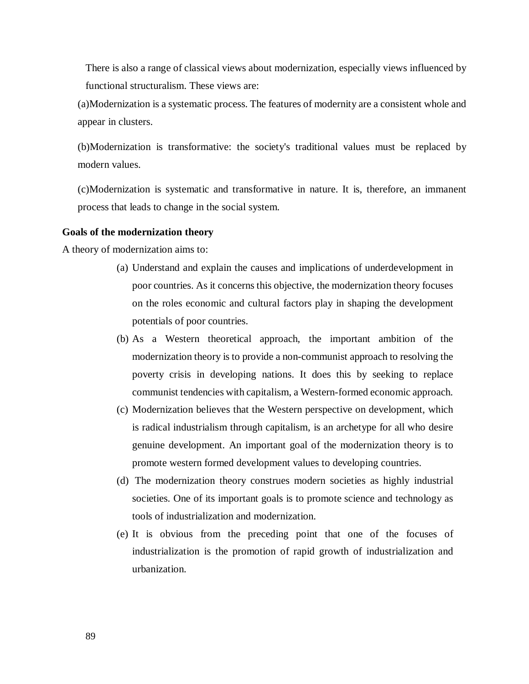There is also a range of classical views about modernization, especially views influenced by functional structuralism. These views are:

(a)Modernization is a systematic process. The features of modernity are a consistent whole and appear in clusters.

(b)Modernization is transformative: the society's traditional values must be replaced by modern values.

(c)Modernization is systematic and transformative in nature. It is, therefore, an immanent process that leads to change in the social system.

#### **Goals of the modernization theory**

A theory of modernization aims to:

- (a) Understand and explain the causes and implications of underdevelopment in poor countries. As it concerns this objective, the modernization theory focuses on the roles economic and cultural factors play in shaping the development potentials of poor countries.
- (b) As a Western theoretical approach, the important ambition of the modernization theory is to provide a non-communist approach to resolving the poverty crisis in developing nations. It does this by seeking to replace communist tendencies with capitalism, a Western-formed economic approach.
- (c) Modernization believes that the Western perspective on development, which is radical industrialism through capitalism, is an archetype for all who desire genuine development. An important goal of the modernization theory is to promote western formed development values to developing countries.
- (d) The modernization theory construes modern societies as highly industrial societies. One of its important goals is to promote science and technology as tools of industrialization and modernization.
- (e) It is obvious from the preceding point that one of the focuses of industrialization is the promotion of rapid growth of industrialization and urbanization.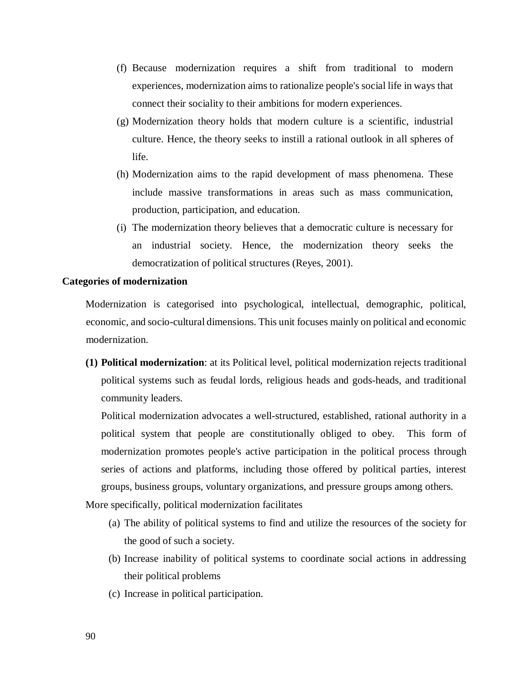- (f) Because modernization requires a shift from traditional to modern experiences, modernization aims to rationalize people's social life in ways that connect their sociality to their ambitions for modern experiences.
- (g) Modernization theory holds that modern culture is a scientific, industrial culture. Hence, the theory seeks to instill a rational outlook in all spheres of life.
- (h) Modernization aims to the rapid development of mass phenomena. These include massive transformations in areas such as mass communication, production, participation, and education.
- (i) The modernization theory believes that a democratic culture is necessary for an industrial society. Hence, the modernization theory seeks the democratization of political structures (Reyes, 2001).

#### **Categories of modernization**

Modernization is categorised into psychological, intellectual, demographic, political, economic, and socio-cultural dimensions. This unit focuses mainly on political and economic modernization.

**(1) Political modernization**: at its Political level, political modernization rejects traditional political systems such as feudal lords, religious heads and gods-heads, and traditional community leaders.

Political modernization advocates a well-structured, established, rational authority in a political system that people are constitutionally obliged to obey. This form of modernization promotes people's active participation in the political process through series of actions and platforms, including those offered by political parties, interest groups, business groups, voluntary organizations, and pressure groups among others.

More specifically, political modernization facilitates

- (a) The ability of political systems to find and utilize the resources of the society for the good of such a society.
- (b) Increase inability of political systems to coordinate social actions in addressing their political problems
- (c) Increase in political participation.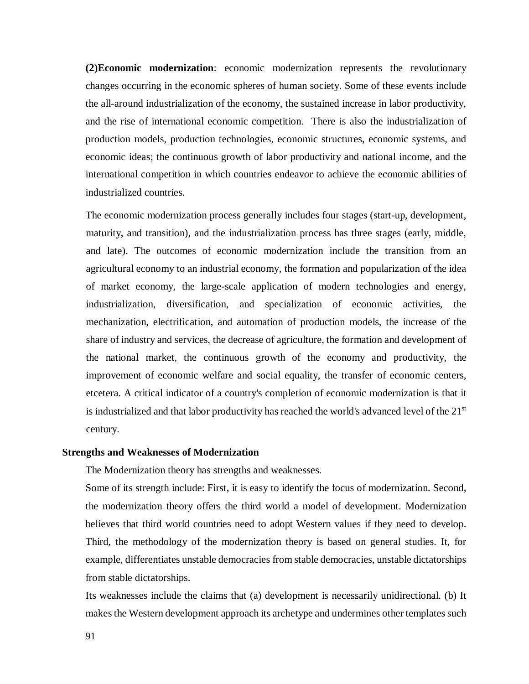**(2)Economic modernization**: economic modernization represents the revolutionary changes occurring in the economic spheres of human society. Some of these events include the all-around industrialization of the economy, the sustained increase in labor productivity, and the rise of international economic competition. There is also the industrialization of production models, production technologies, economic structures, economic systems, and economic ideas; the continuous growth of labor productivity and national income, and the international competition in which countries endeavor to achieve the economic abilities of industrialized countries.

The economic modernization process generally includes four stages (start-up, development, maturity, and transition), and the industrialization process has three stages (early, middle, and late). The outcomes of economic modernization include the transition from an agricultural economy to an industrial economy, the formation and popularization of the idea of market economy, the large-scale application of modern technologies and energy, industrialization, diversification, and specialization of economic activities, the mechanization, electrification, and automation of production models, the increase of the share of industry and services, the decrease of agriculture, the formation and development of the national market, the continuous growth of the economy and productivity, the improvement of economic welfare and social equality, the transfer of economic centers, etcetera. A critical indicator of a country's completion of economic modernization is that it is industrialized and that labor productivity has reached the world's advanced level of the 21<sup>st</sup> century.

#### **Strengths and Weaknesses of Modernization**

The Modernization theory has strengths and weaknesses.

Some of its strength include: First, it is easy to identify the focus of modernization. Second, the modernization theory offers the third world a model of development. Modernization believes that third world countries need to adopt Western values if they need to develop. Third, the methodology of the modernization theory is based on general studies. It, for example, differentiates unstable democracies from stable democracies, unstable dictatorships from stable dictatorships.

Its weaknesses include the claims that (a) development is necessarily unidirectional. (b) It makes the Western development approach its archetype and undermines other templates such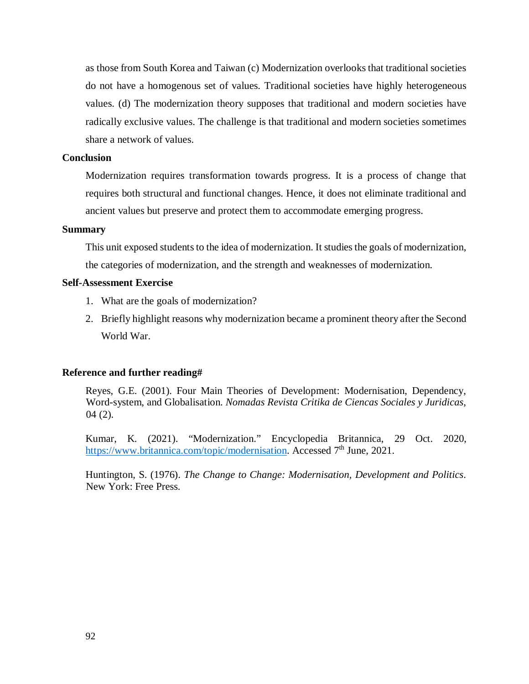as those from South Korea and Taiwan (c) Modernization overlooks that traditional societies do not have a homogenous set of values. Traditional societies have highly heterogeneous values. (d) The modernization theory supposes that traditional and modern societies have radically exclusive values. The challenge is that traditional and modern societies sometimes share a network of values.

#### **Conclusion**

Modernization requires transformation towards progress. It is a process of change that requires both structural and functional changes. Hence, it does not eliminate traditional and ancient values but preserve and protect them to accommodate emerging progress.

#### **Summary**

This unit exposed students to the idea of modernization. It studies the goals of modernization, the categories of modernization, and the strength and weaknesses of modernization.

#### **Self-Assessment Exercise**

- 1. What are the goals of modernization?
- 2. Briefly highlight reasons why modernization became a prominent theory after the Second World War.

#### **Reference and further reading#**

Reyes, G.E. (2001). Four Main Theories of Development: Modernisation, Dependency, Word-system, and Globalisation. *Nomadas Revista Critika de Ciencas Sociales y Juridicas*, 04 (2).

Kumar, K. (2021). "Modernization." Encyclopedia Britannica, 29 Oct. 2020, https://www.britannica.com/topic/modernisation. Accessed 7<sup>th</sup> June, 2021.

Huntington, S. (1976). *The Change to Change: Modernisation, Development and Politics*. New York: Free Press.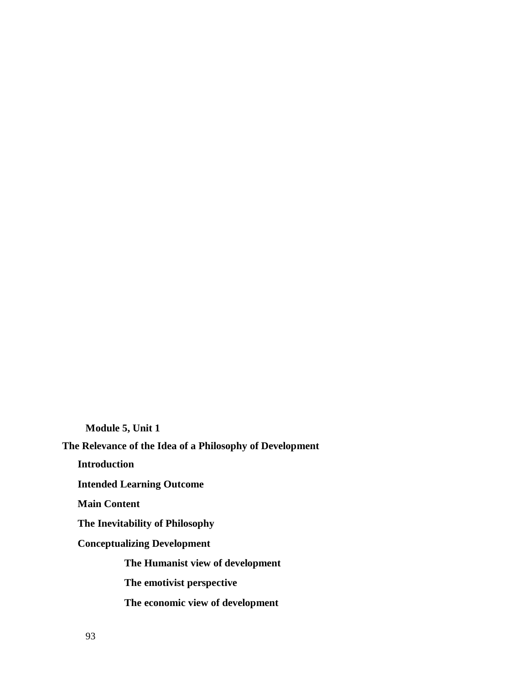**Module 5, Unit 1** 

**The Relevance of the Idea of a Philosophy of Development** 

**Introduction** 

**Intended Learning Outcome** 

**Main Content** 

**The Inevitability of Philosophy** 

**Conceptualizing Development** 

**The Humanist view of development** 

**The emotivist perspective** 

**The economic view of development**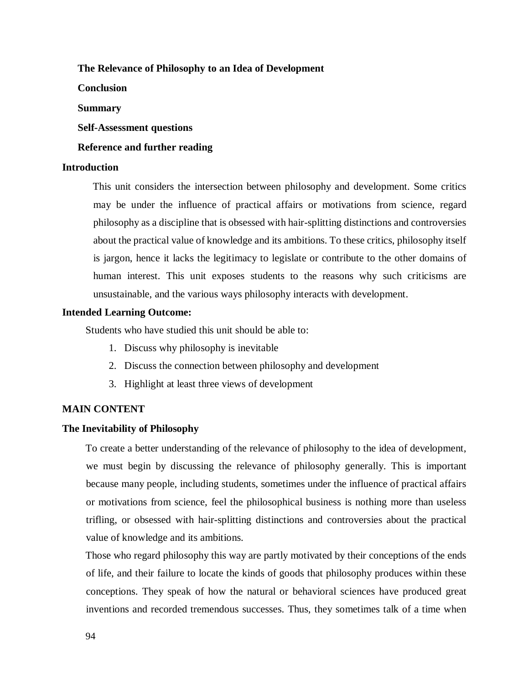### **The Relevance of Philosophy to an Idea of Development**

**Conclusion** 

#### **Summary**

**Self-Assessment questions** 

### **Reference and further reading**

#### **Introduction**

This unit considers the intersection between philosophy and development. Some critics may be under the influence of practical affairs or motivations from science, regard philosophy as a discipline that is obsessed with hair-splitting distinctions and controversies about the practical value of knowledge and its ambitions. To these critics, philosophy itself is jargon, hence it lacks the legitimacy to legislate or contribute to the other domains of human interest. This unit exposes students to the reasons why such criticisms are unsustainable, and the various ways philosophy interacts with development.

#### **Intended Learning Outcome:**

Students who have studied this unit should be able to:

- 1. Discuss why philosophy is inevitable
- 2. Discuss the connection between philosophy and development
- 3. Highlight at least three views of development

#### **MAIN CONTENT**

#### **The Inevitability of Philosophy**

To create a better understanding of the relevance of philosophy to the idea of development, we must begin by discussing the relevance of philosophy generally. This is important because many people, including students, sometimes under the influence of practical affairs or motivations from science, feel the philosophical business is nothing more than useless trifling, or obsessed with hair-splitting distinctions and controversies about the practical value of knowledge and its ambitions.

Those who regard philosophy this way are partly motivated by their conceptions of the ends of life, and their failure to locate the kinds of goods that philosophy produces within these conceptions. They speak of how the natural or behavioral sciences have produced great inventions and recorded tremendous successes. Thus, they sometimes talk of a time when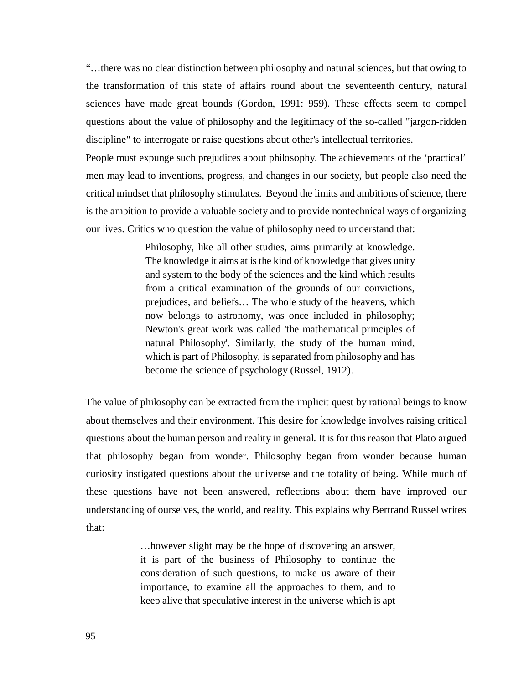"…there was no clear distinction between philosophy and natural sciences, but that owing to the transformation of this state of affairs round about the seventeenth century, natural sciences have made great bounds (Gordon, 1991: 959). These effects seem to compel questions about the value of philosophy and the legitimacy of the so-called "jargon-ridden discipline" to interrogate or raise questions about other's intellectual territories.

People must expunge such prejudices about philosophy. The achievements of the 'practical' men may lead to inventions, progress, and changes in our society, but people also need the critical mindset that philosophy stimulates. Beyond the limits and ambitions of science, there is the ambition to provide a valuable society and to provide nontechnical ways of organizing our lives. Critics who question the value of philosophy need to understand that:

> Philosophy, like all other studies, aims primarily at knowledge. The knowledge it aims at is the kind of knowledge that gives unity and system to the body of the sciences and the kind which results from a critical examination of the grounds of our convictions, prejudices, and beliefs… The whole study of the heavens, which now belongs to astronomy, was once included in philosophy; Newton's great work was called 'the mathematical principles of natural Philosophy'. Similarly, the study of the human mind, which is part of Philosophy, is separated from philosophy and has become the science of psychology (Russel, 1912).

The value of philosophy can be extracted from the implicit quest by rational beings to know about themselves and their environment. This desire for knowledge involves raising critical questions about the human person and reality in general. It is for this reason that Plato argued that philosophy began from wonder. Philosophy began from wonder because human curiosity instigated questions about the universe and the totality of being. While much of these questions have not been answered, reflections about them have improved our understanding of ourselves, the world, and reality. This explains why Bertrand Russel writes that:

> …however slight may be the hope of discovering an answer, it is part of the business of Philosophy to continue the consideration of such questions, to make us aware of their importance, to examine all the approaches to them, and to keep alive that speculative interest in the universe which is apt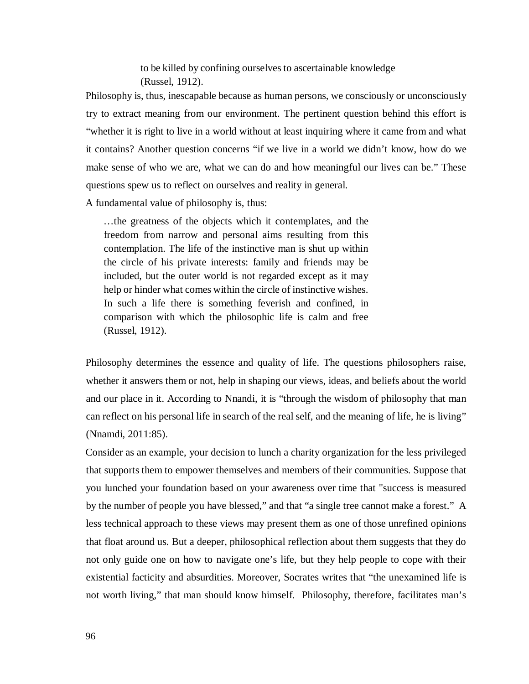to be killed by confining ourselves to ascertainable knowledge (Russel, 1912).

Philosophy is, thus, inescapable because as human persons, we consciously or unconsciously try to extract meaning from our environment. The pertinent question behind this effort is "whether it is right to live in a world without at least inquiring where it came from and what it contains? Another question concerns "if we live in a world we didn't know, how do we make sense of who we are, what we can do and how meaningful our lives can be." These questions spew us to reflect on ourselves and reality in general.

A fundamental value of philosophy is, thus:

…the greatness of the objects which it contemplates, and the freedom from narrow and personal aims resulting from this contemplation. The life of the instinctive man is shut up within the circle of his private interests: family and friends may be included, but the outer world is not regarded except as it may help or hinder what comes within the circle of instinctive wishes. In such a life there is something feverish and confined, in comparison with which the philosophic life is calm and free (Russel, 1912).

Philosophy determines the essence and quality of life. The questions philosophers raise, whether it answers them or not, help in shaping our views, ideas, and beliefs about the world and our place in it. According to Nnandi, it is "through the wisdom of philosophy that man can reflect on his personal life in search of the real self, and the meaning of life, he is living" (Nnamdi, 2011:85).

Consider as an example, your decision to lunch a charity organization for the less privileged that supports them to empower themselves and members of their communities. Suppose that you lunched your foundation based on your awareness over time that "success is measured by the number of people you have blessed," and that "a single tree cannot make a forest." A less technical approach to these views may present them as one of those unrefined opinions that float around us. But a deeper, philosophical reflection about them suggests that they do not only guide one on how to navigate one's life, but they help people to cope with their existential facticity and absurdities. Moreover, Socrates writes that "the unexamined life is not worth living," that man should know himself. Philosophy, therefore, facilitates man's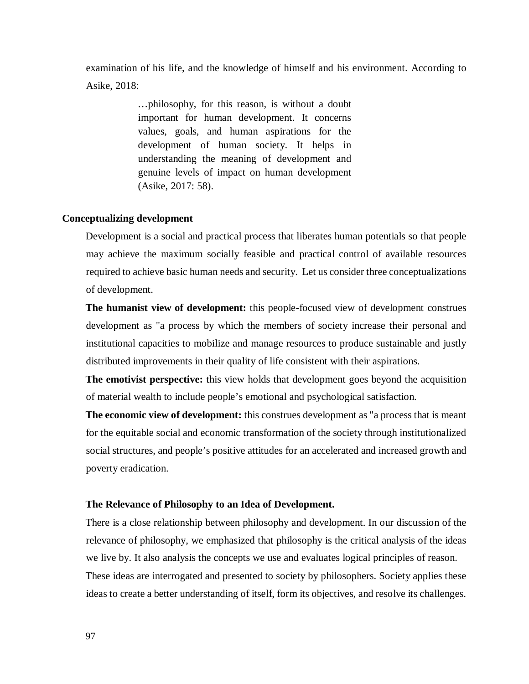examination of his life, and the knowledge of himself and his environment. According to Asike, 2018:

> …philosophy, for this reason, is without a doubt important for human development. It concerns values, goals, and human aspirations for the development of human society. It helps in understanding the meaning of development and genuine levels of impact on human development (Asike, 2017: 58).

### **Conceptualizing development**

Development is a social and practical process that liberates human potentials so that people may achieve the maximum socially feasible and practical control of available resources required to achieve basic human needs and security. Let us consider three conceptualizations of development.

**The humanist view of development:** this people-focused view of development construes development as "a process by which the members of society increase their personal and institutional capacities to mobilize and manage resources to produce sustainable and justly distributed improvements in their quality of life consistent with their aspirations.

**The emotivist perspective:** this view holds that development goes beyond the acquisition of material wealth to include people's emotional and psychological satisfaction.

**The economic view of development:** this construes development as "a process that is meant for the equitable social and economic transformation of the society through institutionalized social structures, and people's positive attitudes for an accelerated and increased growth and poverty eradication.

#### **The Relevance of Philosophy to an Idea of Development.**

There is a close relationship between philosophy and development. In our discussion of the relevance of philosophy, we emphasized that philosophy is the critical analysis of the ideas we live by. It also analysis the concepts we use and evaluates logical principles of reason. These ideas are interrogated and presented to society by philosophers. Society applies these ideas to create a better understanding of itself, form its objectives, and resolve its challenges.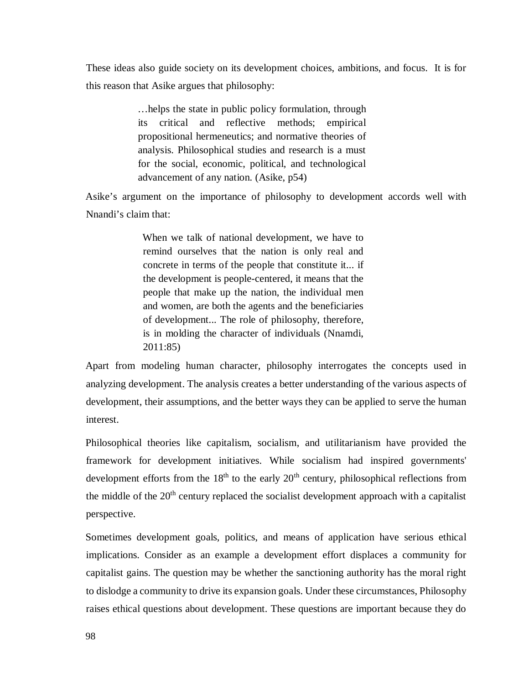These ideas also guide society on its development choices, ambitions, and focus. It is for this reason that Asike argues that philosophy:

> …helps the state in public policy formulation, through its critical and reflective methods; empirical propositional hermeneutics; and normative theories of analysis. Philosophical studies and research is a must for the social, economic, political, and technological advancement of any nation. (Asike, p54)

Asike's argument on the importance of philosophy to development accords well with Nnandi's claim that:

> When we talk of national development, we have to remind ourselves that the nation is only real and concrete in terms of the people that constitute it... if the development is people-centered, it means that the people that make up the nation, the individual men and women, are both the agents and the beneficiaries of development... The role of philosophy, therefore, is in molding the character of individuals (Nnamdi, 2011:85)

Apart from modeling human character, philosophy interrogates the concepts used in analyzing development. The analysis creates a better understanding of the various aspects of development, their assumptions, and the better ways they can be applied to serve the human interest.

Philosophical theories like capitalism, socialism, and utilitarianism have provided the framework for development initiatives. While socialism had inspired governments' development efforts from the 18<sup>th</sup> to the early 20<sup>th</sup> century, philosophical reflections from the middle of the  $20<sup>th</sup>$  century replaced the socialist development approach with a capitalist perspective.

Sometimes development goals, politics, and means of application have serious ethical implications. Consider as an example a development effort displaces a community for capitalist gains. The question may be whether the sanctioning authority has the moral right to dislodge a community to drive its expansion goals. Under these circumstances, Philosophy raises ethical questions about development. These questions are important because they do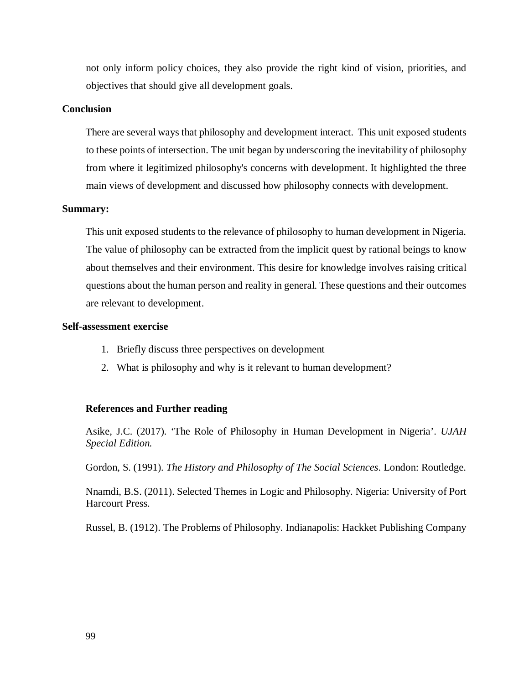not only inform policy choices, they also provide the right kind of vision, priorities, and objectives that should give all development goals.

#### **Conclusion**

There are several ways that philosophy and development interact. This unit exposed students to these points of intersection. The unit began by underscoring the inevitability of philosophy from where it legitimized philosophy's concerns with development. It highlighted the three main views of development and discussed how philosophy connects with development.

### **Summary:**

This unit exposed students to the relevance of philosophy to human development in Nigeria. The value of philosophy can be extracted from the implicit quest by rational beings to know about themselves and their environment. This desire for knowledge involves raising critical questions about the human person and reality in general. These questions and their outcomes are relevant to development.

#### **Self-assessment exercise**

- 1. Briefly discuss three perspectives on development
- 2. What is philosophy and why is it relevant to human development?

#### **References and Further reading**

Asike, J.C. (2017). 'The Role of Philosophy in Human Development in Nigeria'. *UJAH Special Edition.* 

Gordon, S. (1991). *The History and Philosophy of The Social Sciences*. London: Routledge.

Nnamdi, B.S. (2011). Selected Themes in Logic and Philosophy. Nigeria: University of Port Harcourt Press.

Russel, B. (1912). The Problems of Philosophy. Indianapolis: Hackket Publishing Company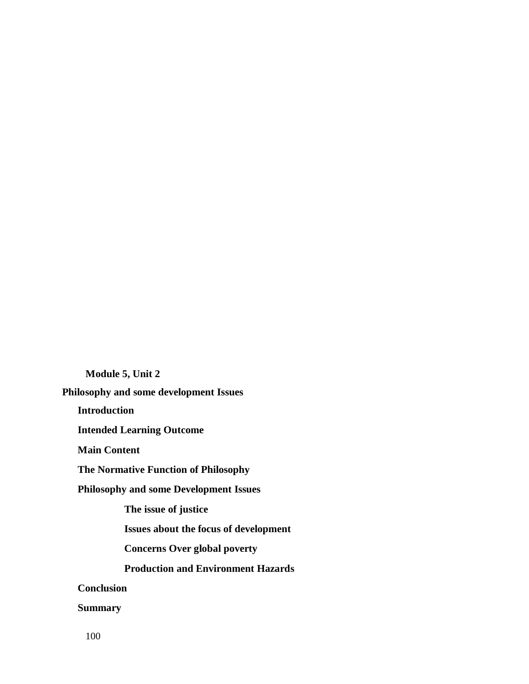**Module 5, Unit 2 Philosophy and some development Issues Introduction Intended Learning Outcome Main Content The Normative Function of Philosophy Philosophy and some Development Issues The issue of justice Issues about the focus of development Concerns Over global poverty Production and Environment Hazards Conclusion Summary** 

100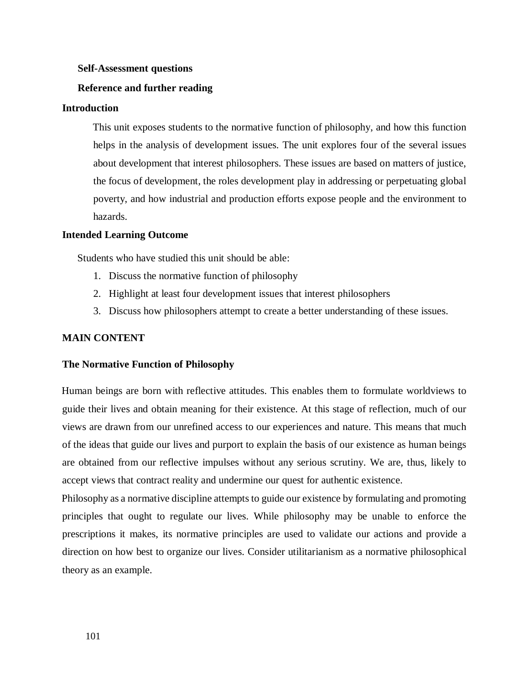#### **Self-Assessment questions**

#### **Reference and further reading**

### **Introduction**

This unit exposes students to the normative function of philosophy, and how this function helps in the analysis of development issues. The unit explores four of the several issues about development that interest philosophers. These issues are based on matters of justice, the focus of development, the roles development play in addressing or perpetuating global poverty, and how industrial and production efforts expose people and the environment to hazards.

#### **Intended Learning Outcome**

Students who have studied this unit should be able:

- 1. Discuss the normative function of philosophy
- 2. Highlight at least four development issues that interest philosophers
- 3. Discuss how philosophers attempt to create a better understanding of these issues.

### **MAIN CONTENT**

#### **The Normative Function of Philosophy**

Human beings are born with reflective attitudes. This enables them to formulate worldviews to guide their lives and obtain meaning for their existence. At this stage of reflection, much of our views are drawn from our unrefined access to our experiences and nature. This means that much of the ideas that guide our lives and purport to explain the basis of our existence as human beings are obtained from our reflective impulses without any serious scrutiny. We are, thus, likely to accept views that contract reality and undermine our quest for authentic existence.

Philosophy as a normative discipline attempts to guide our existence by formulating and promoting principles that ought to regulate our lives. While philosophy may be unable to enforce the prescriptions it makes, its normative principles are used to validate our actions and provide a direction on how best to organize our lives. Consider utilitarianism as a normative philosophical theory as an example.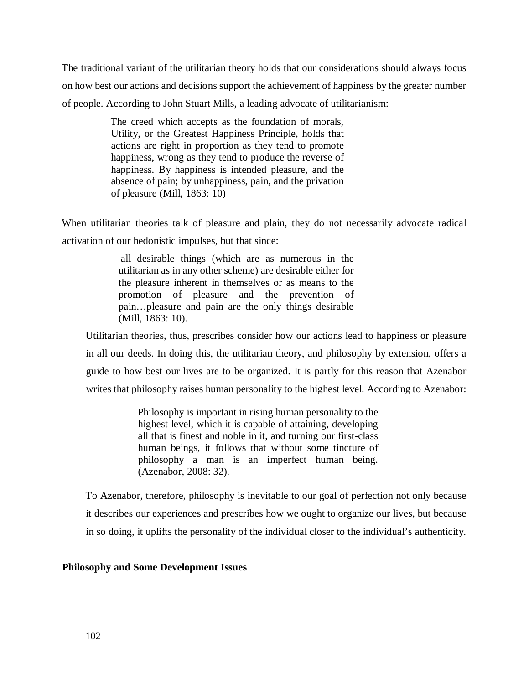The traditional variant of the utilitarian theory holds that our considerations should always focus on how best our actions and decisions support the achievement of happiness by the greater number of people. According to John Stuart Mills, a leading advocate of utilitarianism:

> The creed which accepts as the foundation of morals, Utility, or the Greatest Happiness Principle, holds that actions are right in proportion as they tend to promote happiness, wrong as they tend to produce the reverse of happiness. By happiness is intended pleasure, and the absence of pain; by unhappiness, pain, and the privation of pleasure (Mill, 1863: 10)

When utilitarian theories talk of pleasure and plain, they do not necessarily advocate radical activation of our hedonistic impulses, but that since:

> all desirable things (which are as numerous in the utilitarian as in any other scheme) are desirable either for the pleasure inherent in themselves or as means to the promotion of pleasure and the prevention of pain…pleasure and pain are the only things desirable (Mill, 1863: 10).

Utilitarian theories, thus, prescribes consider how our actions lead to happiness or pleasure in all our deeds. In doing this, the utilitarian theory, and philosophy by extension, offers a guide to how best our lives are to be organized. It is partly for this reason that Azenabor writes that philosophy raises human personality to the highest level. According to Azenabor:

> Philosophy is important in rising human personality to the highest level, which it is capable of attaining, developing all that is finest and noble in it, and turning our first-class human beings, it follows that without some tincture of philosophy a man is an imperfect human being. (Azenabor, 2008: 32).

To Azenabor, therefore, philosophy is inevitable to our goal of perfection not only because it describes our experiences and prescribes how we ought to organize our lives, but because in so doing, it uplifts the personality of the individual closer to the individual's authenticity.

## **Philosophy and Some Development Issues**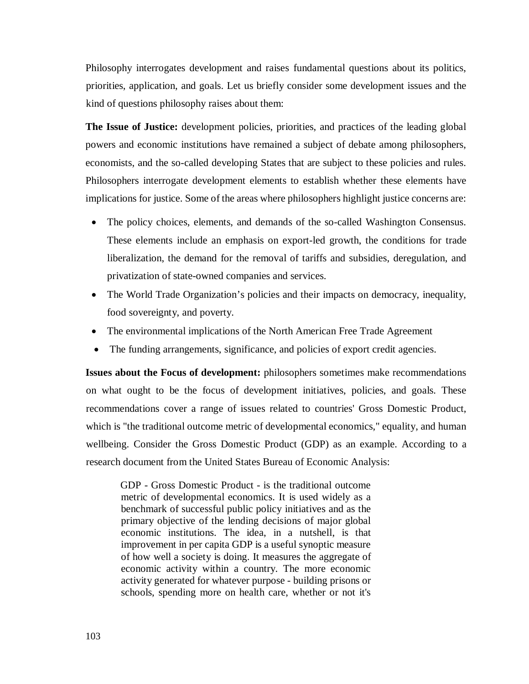Philosophy interrogates development and raises fundamental questions about its politics, priorities, application, and goals. Let us briefly consider some development issues and the kind of questions philosophy raises about them:

**The Issue of Justice:** development policies, priorities, and practices of the leading global powers and economic institutions have remained a subject of debate among philosophers, economists, and the so-called developing States that are subject to these policies and rules. Philosophers interrogate development elements to establish whether these elements have implications for justice. Some of the areas where philosophers highlight justice concerns are:

- The policy choices, elements, and demands of the so-called Washington Consensus. These elements include an emphasis on export-led growth, the conditions for trade liberalization, the demand for the removal of tariffs and subsidies, deregulation, and privatization of state-owned companies and services.
- The World Trade Organization's policies and their impacts on democracy, inequality, food sovereignty, and poverty.
- The environmental implications of the North American Free Trade Agreement
- The funding arrangements, significance, and policies of export credit agencies.

**Issues about the Focus of development:** philosophers sometimes make recommendations on what ought to be the focus of development initiatives, policies, and goals. These recommendations cover a range of issues related to countries' Gross Domestic Product, which is "the traditional outcome metric of developmental economics," equality, and human wellbeing. Consider the Gross Domestic Product (GDP) as an example. According to a research document from the United States Bureau of Economic Analysis:

GDP - Gross Domestic Product - is the traditional outcome metric of developmental economics. It is used widely as a benchmark of successful public policy initiatives and as the primary objective of the lending decisions of major global economic institutions. The idea, in a nutshell, is that improvement in per capita GDP is a useful synoptic measure of how well a society is doing. It measures the aggregate of economic activity within a country. The more economic activity generated for whatever purpose - building prisons or schools, spending more on health care, whether or not it's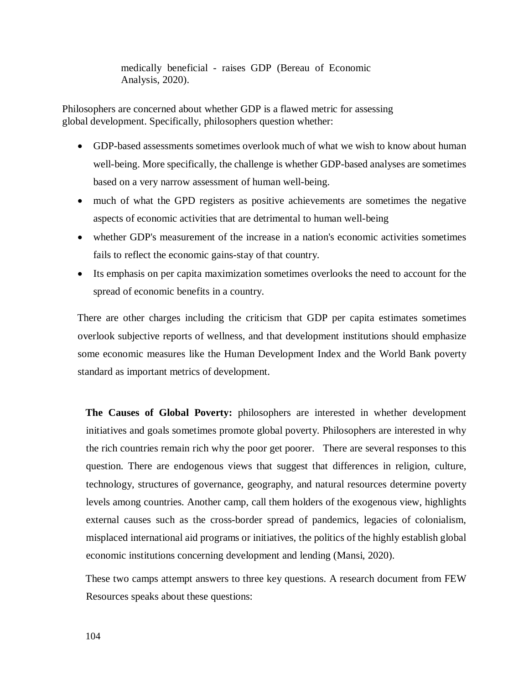medically beneficial - raises GDP (Bereau of Economic Analysis, 2020).

Philosophers are concerned about whether GDP is a flawed metric for assessing global development. Specifically, philosophers question whether:

- GDP-based assessments sometimes overlook much of what we wish to know about human well-being. More specifically, the challenge is whether GDP-based analyses are sometimes based on a very narrow assessment of human well-being.
- much of what the GPD registers as positive achievements are sometimes the negative aspects of economic activities that are detrimental to human well-being
- whether GDP's measurement of the increase in a nation's economic activities sometimes fails to reflect the economic gains-stay of that country.
- Its emphasis on per capita maximization sometimes overlooks the need to account for the spread of economic benefits in a country.

There are other charges including the criticism that GDP per capita estimates sometimes overlook subjective reports of wellness, and that development institutions should emphasize some economic measures like the Human Development Index and the World Bank poverty standard as important metrics of development.

**The Causes of Global Poverty:** philosophers are interested in whether development initiatives and goals sometimes promote global poverty. Philosophers are interested in why the rich countries remain rich why the poor get poorer. There are several responses to this question. There are endogenous views that suggest that differences in religion, culture, technology, structures of governance, geography, and natural resources determine poverty levels among countries. Another camp, call them holders of the exogenous view, highlights external causes such as the cross-border spread of pandemics, legacies of colonialism, misplaced international aid programs or initiatives, the politics of the highly establish global economic institutions concerning development and lending (Mansi, 2020).

These two camps attempt answers to three key questions. A research document from FEW Resources speaks about these questions: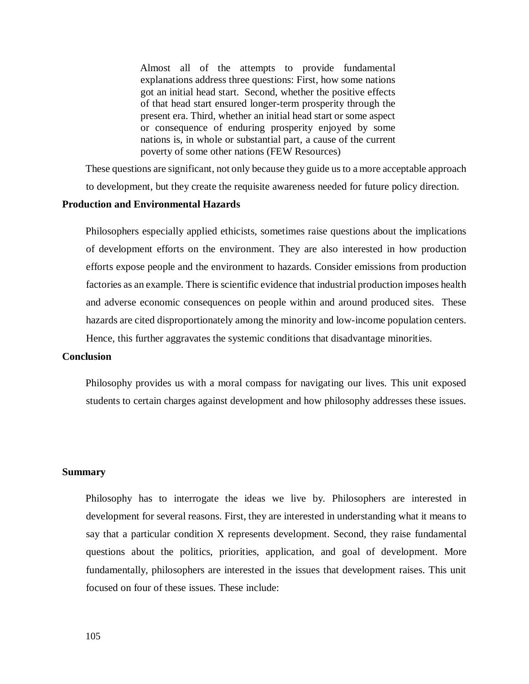Almost all of the attempts to provide fundamental explanations address three questions: First, how some nations got an initial head start. Second, whether the positive effects of that head start ensured longer-term prosperity through the present era. Third, whether an initial head start or some aspect or consequence of enduring prosperity enjoyed by some nations is, in whole or substantial part, a cause of the current poverty of some other nations (FEW Resources)

These questions are significant, not only because they guide us to a more acceptable approach to development, but they create the requisite awareness needed for future policy direction.

## **Production and Environmental Hazards**

Philosophers especially applied ethicists, sometimes raise questions about the implications of development efforts on the environment. They are also interested in how production efforts expose people and the environment to hazards. Consider emissions from production factories as an example. There is scientific evidence that industrial production imposes health and adverse economic consequences on people within and around produced sites. These hazards are cited disproportionately among the minority and low-income population centers. Hence, this further aggravates the systemic conditions that disadvantage minorities.

### **Conclusion**

Philosophy provides us with a moral compass for navigating our lives. This unit exposed students to certain charges against development and how philosophy addresses these issues.

#### **Summary**

Philosophy has to interrogate the ideas we live by. Philosophers are interested in development for several reasons. First, they are interested in understanding what it means to say that a particular condition X represents development. Second, they raise fundamental questions about the politics, priorities, application, and goal of development. More fundamentally, philosophers are interested in the issues that development raises. This unit focused on four of these issues. These include: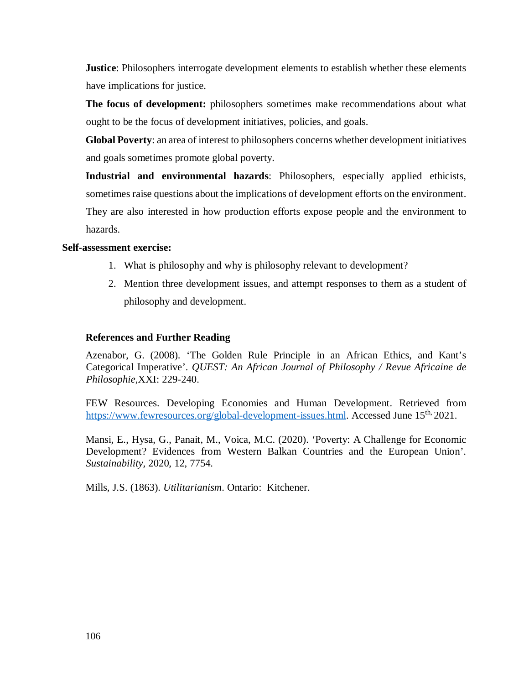**Justice**: Philosophers interrogate development elements to establish whether these elements have implications for justice.

**The focus of development:** philosophers sometimes make recommendations about what ought to be the focus of development initiatives, policies, and goals.

**Global Poverty**: an area of interest to philosophers concerns whether development initiatives and goals sometimes promote global poverty.

**Industrial and environmental hazards**: Philosophers, especially applied ethicists, sometimes raise questions about the implications of development efforts on the environment. They are also interested in how production efforts expose people and the environment to

hazards.

## **Self-assessment exercise:**

- 1. What is philosophy and why is philosophy relevant to development?
- 2. Mention three development issues, and attempt responses to them as a student of philosophy and development.

# **References and Further Reading**

Azenabor, G. (2008). 'The Golden Rule Principle in an African Ethics, and Kant's Categorical Imperative'. *QUEST: An African Journal of Philosophy / Revue Africaine de Philosophie*,XXI: 229-240.

FEW Resources. Developing Economies and Human Development. Retrieved from https://www.fewresources.org/global-development-issues.html. Accessed June 15<sup>th,</sup> 2021.

Mansi, E., Hysa, G., Panait, M., Voica, M.C. (2020). 'Poverty: A Challenge for Economic Development? Evidences from Western Balkan Countries and the European Union'. *Sustainability,* 2020, 12, 7754.

Mills, J.S. (1863). *Utilitarianism*. Ontario: Kitchener.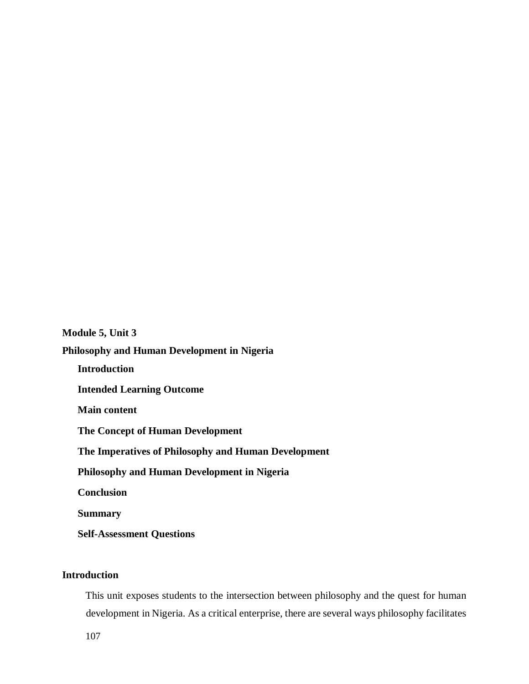**Module 5, Unit 3 Philosophy and Human Development in Nigeria Introduction Intended Learning Outcome Main content The Concept of Human Development The Imperatives of Philosophy and Human Development Philosophy and Human Development in Nigeria Conclusion Summary Self-Assessment Questions** 

# **Introduction**

This unit exposes students to the intersection between philosophy and the quest for human development in Nigeria. As a critical enterprise, there are several ways philosophy facilitates

107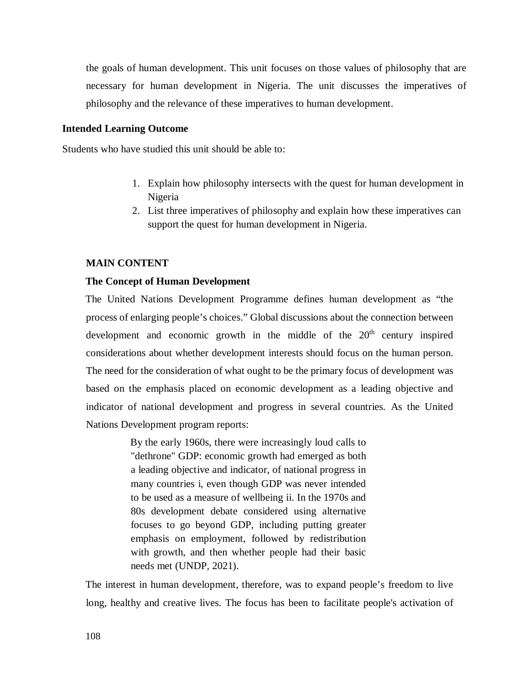the goals of human development. This unit focuses on those values of philosophy that are necessary for human development in Nigeria. The unit discusses the imperatives of philosophy and the relevance of these imperatives to human development.

### **Intended Learning Outcome**

Students who have studied this unit should be able to:

- 1. Explain how philosophy intersects with the quest for human development in Nigeria
- 2. List three imperatives of philosophy and explain how these imperatives can support the quest for human development in Nigeria.

#### **MAIN CONTENT**

### **The Concept of Human Development**

The United Nations Development Programme defines human development as "the process of enlarging people's choices." Global discussions about the connection between development and economic growth in the middle of the  $20<sup>th</sup>$  century inspired considerations about whether development interests should focus on the human person. The need for the consideration of what ought to be the primary focus of development was based on the emphasis placed on economic development as a leading objective and indicator of national development and progress in several countries. As the United Nations Development program reports:

> By the early 1960s, there were increasingly loud calls to "dethrone" GDP: economic growth had emerged as both a leading objective and indicator, of national progress in many countries i, even though GDP was never intended to be used as a measure of wellbeing ii. In the 1970s and 80s development debate considered using alternative focuses to go beyond GDP, including putting greater emphasis on employment, followed by redistribution with growth, and then whether people had their basic needs met (UNDP, 2021).

The interest in human development, therefore, was to expand people's freedom to live long, healthy and creative lives. The focus has been to facilitate people's activation of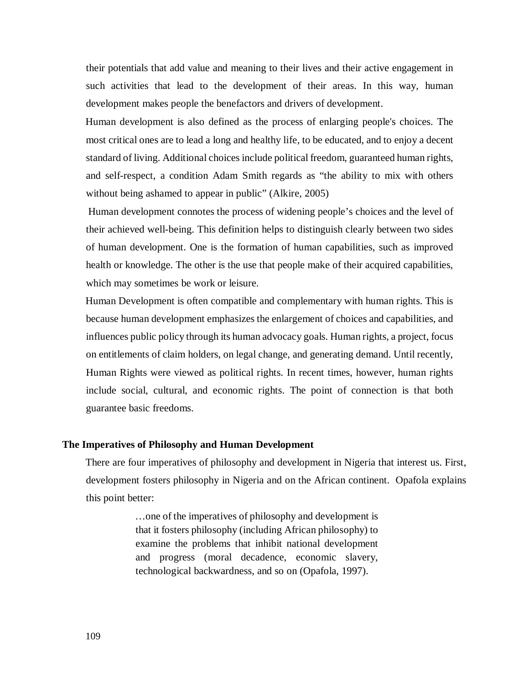their potentials that add value and meaning to their lives and their active engagement in such activities that lead to the development of their areas. In this way, human development makes people the benefactors and drivers of development.

Human development is also defined as the process of enlarging people's choices. The most critical ones are to lead a long and healthy life, to be educated, and to enjoy a decent standard of living. Additional choices include political freedom, guaranteed human rights, and self-respect, a condition Adam Smith regards as "the ability to mix with others without being ashamed to appear in public" (Alkire, 2005)

 Human development connotes the process of widening people's choices and the level of their achieved well-being. This definition helps to distinguish clearly between two sides of human development. One is the formation of human capabilities, such as improved health or knowledge. The other is the use that people make of their acquired capabilities, which may sometimes be work or leisure.

Human Development is often compatible and complementary with human rights. This is because human development emphasizes the enlargement of choices and capabilities, and influences public policy through its human advocacy goals. Human rights, a project, focus on entitlements of claim holders, on legal change, and generating demand. Until recently, Human Rights were viewed as political rights. In recent times, however, human rights include social, cultural, and economic rights. The point of connection is that both guarantee basic freedoms.

## **The Imperatives of Philosophy and Human Development**

There are four imperatives of philosophy and development in Nigeria that interest us. First, development fosters philosophy in Nigeria and on the African continent. Opafola explains this point better:

> …one of the imperatives of philosophy and development is that it fosters philosophy (including African philosophy) to examine the problems that inhibit national development and progress (moral decadence, economic slavery, technological backwardness, and so on (Opafola, 1997).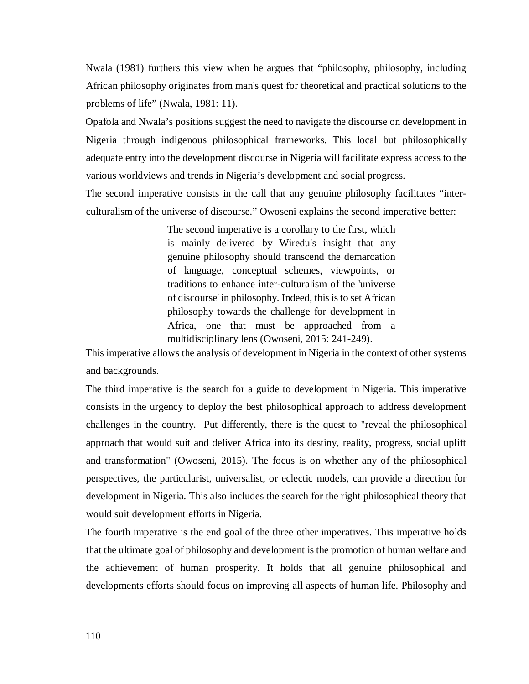Nwala (1981) furthers this view when he argues that "philosophy, philosophy, including African philosophy originates from man's quest for theoretical and practical solutions to the problems of life" (Nwala, 1981: 11).

Opafola and Nwala's positions suggest the need to navigate the discourse on development in Nigeria through indigenous philosophical frameworks. This local but philosophically adequate entry into the development discourse in Nigeria will facilitate express access to the various worldviews and trends in Nigeria's development and social progress.

The second imperative consists in the call that any genuine philosophy facilitates "interculturalism of the universe of discourse." Owoseni explains the second imperative better:

> The second imperative is a corollary to the first, which is mainly delivered by Wiredu's insight that any genuine philosophy should transcend the demarcation of language, conceptual schemes, viewpoints, or traditions to enhance inter-culturalism of the 'universe of discourse' in philosophy. Indeed, this is to set African philosophy towards the challenge for development in Africa, one that must be approached from a multidisciplinary lens (Owoseni, 2015: 241-249).

This imperative allows the analysis of development in Nigeria in the context of other systems and backgrounds.

The third imperative is the search for a guide to development in Nigeria. This imperative consists in the urgency to deploy the best philosophical approach to address development challenges in the country. Put differently, there is the quest to "reveal the philosophical approach that would suit and deliver Africa into its destiny, reality, progress, social uplift and transformation" (Owoseni, 2015). The focus is on whether any of the philosophical perspectives, the particularist, universalist, or eclectic models, can provide a direction for development in Nigeria. This also includes the search for the right philosophical theory that would suit development efforts in Nigeria.

The fourth imperative is the end goal of the three other imperatives. This imperative holds that the ultimate goal of philosophy and development is the promotion of human welfare and the achievement of human prosperity. It holds that all genuine philosophical and developments efforts should focus on improving all aspects of human life. Philosophy and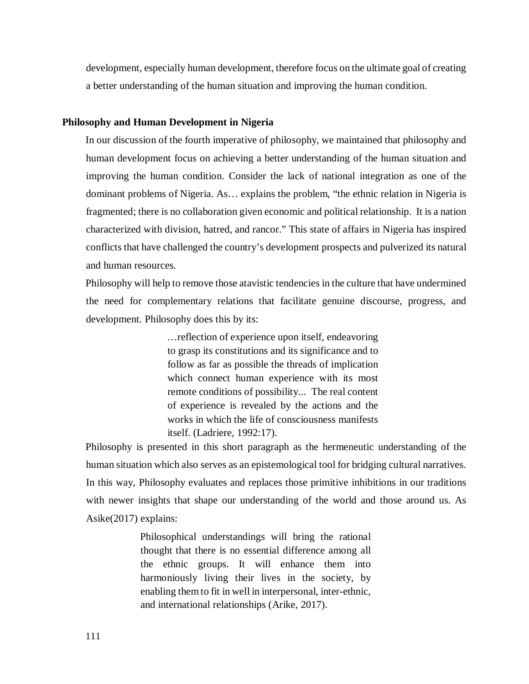development, especially human development, therefore focus on the ultimate goal of creating a better understanding of the human situation and improving the human condition.

## **Philosophy and Human Development in Nigeria**

In our discussion of the fourth imperative of philosophy, we maintained that philosophy and human development focus on achieving a better understanding of the human situation and improving the human condition. Consider the lack of national integration as one of the dominant problems of Nigeria. As… explains the problem, "the ethnic relation in Nigeria is fragmented; there is no collaboration given economic and political relationship. It is a nation characterized with division, hatred, and rancor." This state of affairs in Nigeria has inspired conflicts that have challenged the country's development prospects and pulverized its natural and human resources.

Philosophy will help to remove those atavistic tendencies in the culture that have undermined the need for complementary relations that facilitate genuine discourse, progress, and development. Philosophy does this by its:

> …reflection of experience upon itself, endeavoring to grasp its constitutions and its significance and to follow as far as possible the threads of implication which connect human experience with its most remote conditions of possibility... The real content of experience is revealed by the actions and the works in which the life of consciousness manifests itself. (Ladriere, 1992:17).

Philosophy is presented in this short paragraph as the hermeneutic understanding of the human situation which also serves as an epistemological tool for bridging cultural narratives. In this way, Philosophy evaluates and replaces those primitive inhibitions in our traditions with newer insights that shape our understanding of the world and those around us. As Asike(2017) explains:

> Philosophical understandings will bring the rational thought that there is no essential difference among all the ethnic groups. It will enhance them into harmoniously living their lives in the society, by enabling them to fit in well in interpersonal, inter-ethnic, and international relationships (Arike, 2017).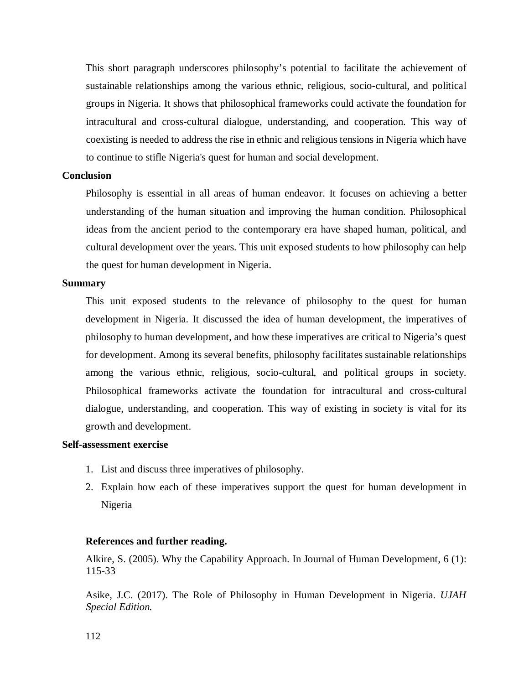This short paragraph underscores philosophy's potential to facilitate the achievement of sustainable relationships among the various ethnic, religious, socio-cultural, and political groups in Nigeria. It shows that philosophical frameworks could activate the foundation for intracultural and cross-cultural dialogue, understanding, and cooperation. This way of coexisting is needed to address the rise in ethnic and religious tensions in Nigeria which have to continue to stifle Nigeria's quest for human and social development.

# **Conclusion**

Philosophy is essential in all areas of human endeavor. It focuses on achieving a better understanding of the human situation and improving the human condition. Philosophical ideas from the ancient period to the contemporary era have shaped human, political, and cultural development over the years. This unit exposed students to how philosophy can help the quest for human development in Nigeria.

#### **Summary**

This unit exposed students to the relevance of philosophy to the quest for human development in Nigeria. It discussed the idea of human development, the imperatives of philosophy to human development, and how these imperatives are critical to Nigeria's quest for development. Among its several benefits, philosophy facilitates sustainable relationships among the various ethnic, religious, socio-cultural, and political groups in society. Philosophical frameworks activate the foundation for intracultural and cross-cultural dialogue, understanding, and cooperation. This way of existing in society is vital for its growth and development.

### **Self-assessment exercise**

- 1. List and discuss three imperatives of philosophy.
- 2. Explain how each of these imperatives support the quest for human development in Nigeria

## **References and further reading.**

Alkire, S. (2005). Why the Capability Approach. In Journal of Human Development, 6 (1): 115-33

Asike, J.C. (2017). The Role of Philosophy in Human Development in Nigeria. *UJAH Special Edition.*